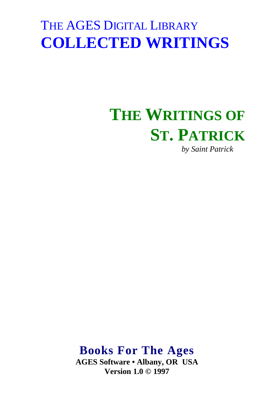# THE AGES DIGITAL LIBRARY **COLLECTED WRITINGS**

# **THE WRITINGS OF ST. PATRICK** *by Saint Patrick*

# **Books For The Ages**

**AGES Software • Albany, OR USA Version 1.0 © 1997**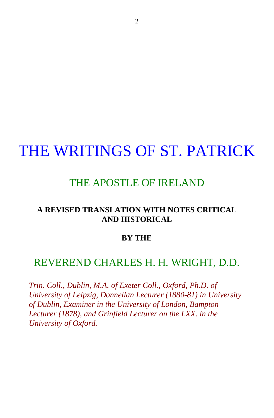# THE WRITINGS OF ST. PATRICK

## THE APOSTLE OF IRELAND

### **A REVISED TRANSLATION WITH NOTES CRITICAL AND HISTORICAL**

### **BY THE**

# REVEREND CHARLES H. H. WRIGHT, D.D.

*Trin. Coll., Dublin, M.A. of Exeter Coll., Oxford, Ph.D. of University of Leipzig, Donnellan Lecturer (1880-81) in University of Dublin, Examiner in the University of London, Bampton Lecturer (1878), and Grinfield Lecturer on the LXX. in the University of Oxford.*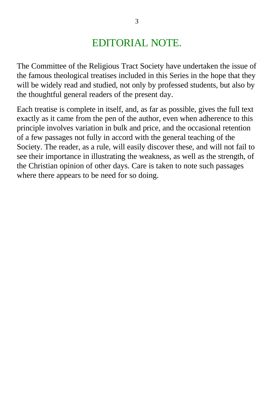# EDITORIAL NOTE.

The Committee of the Religious Tract Society have undertaken the issue of the famous theological treatises included in this Series in the hope that they will be widely read and studied, not only by professed students, but also by the thoughtful general readers of the present day.

Each treatise is complete in itself, and, as far as possible, gives the full text exactly as it came from the pen of the author, even when adherence to this principle involves variation in bulk and price, and the occasional retention of a few passages not fully in accord with the general teaching of the Society. The reader, as a rule, will easily discover these, and will not fail to see their importance in illustrating the weakness, as well as the strength, of the Christian opinion of other days. Care is taken to note such passages where there appears to be need for so doing.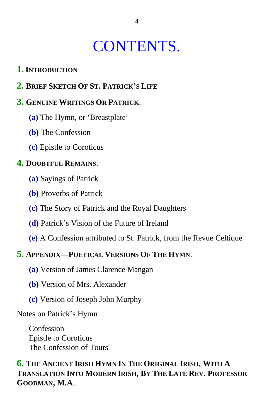# CONTENTS.

## **1. INTRODUCTION**

## **2. BRIEF SKETCH OF ST. PATRICK'S LIFE**

## **3. GENUINE WRITINGS OR PATRICK**.

- **(a)** The Hymn, or 'Breastplate'
- **(b)** The Confession
- **(c)** Epistle to Coroticus

## **4. DOUBTFUL REMAINS**.

- **(a)** Sayings of Patrick
- **(b)** Proverbs of Patrick
- **(c)** The Story of Patrick and the Royal Daughters
- **(d)** Patrick's Vision of the Future of Ireland
- **(e)** A Confession attributed to St. Patrick, from the Revue Celtique

## **5. APPENDIX—POETICAL VERSIONS OF THE HYMN**.

- **(a)** Version of James Clarence Mangan
- **(b)** Version of Mrs. Alexander
- **(c)** Version of Joseph John Murphy

## Notes on Patrick's Hymn

Confession Epistle to Coroticus The Confession of Tours

**6. THE ANCIENT IRISH HYMN IN THE ORIGINAL IRISH, WITH A TRANSLATION INTO MODERN IRISH, BY THE LATE REV. PROFESSOR GOODMAN, M.A**..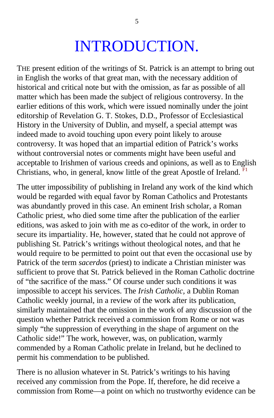# INTRODUCTION.

THE present edition of the writings of St. Patrick is an attempt to bring out in English the works of that great man, with the necessary addition of historical and critical note but with the omission, as far as possible of all matter which has been made the subject of religious controversy. In the earlier editions of this work, which were issued nominally under the joint editorship of Revelation G. T. Stokes, D.D., Professor of Ecclesiastical History in the University of Dublin, and myself, a special attempt was indeed made to avoid touching upon every point likely to arouse controversy. It was hoped that an impartial edition of Patrick's works without controversial notes or comments might have been useful and acceptable to Irishmen of various creeds and opinions, as well as to English Christians, who, in general, know little of the great Apostle of Ireland. [F1](#page--1-0)

The utter impossibility of publishing in Ireland any work of the kind which would be regarded with equal favor by Roman Catholics and Protestants was abundantly proved in this case. An eminent Irish scholar, a Roman Catholic priest, who died some time after the publication of the earlier editions, was asked to join with me as co-editor of the work, in order to secure its impartiality. He, however, stated that he could not approve of publishing St. Patrick's writings without theological notes, and that he would require to be permitted to point out that even the occasional use by Patrick of the term *sacerdos* (priest) to indicate a Christian minister was sufficient to prove that St. Patrick believed in the Roman Catholic doctrine of "the sacrifice of the mass." Of course under such conditions it was impossible to accept his services. The *Irish Catholic,* a Dublin Roman Catholic weekly journal, in a review of the work after its publication, similarly maintained that the omission in the work of any discussion of the question whether Patrick received a commission from Rome or not was simply "the suppression of everything in the shape of argument on the Catholic side!" The work, however, was, on publication, warmly commended by a Roman Catholic prelate in Ireland, but he declined to permit his commendation to be published.

There is no allusion whatever in St. Patrick's writings to his having received any commission from the Pope. If, therefore, he did receive a commission from Rome—a point on which no trustworthy evidence can be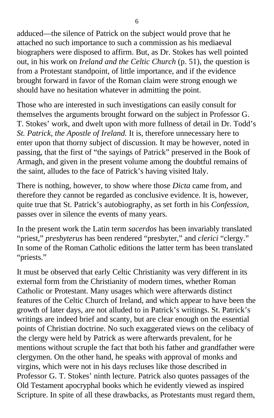adduced—the silence of Patrick on the subject would prove that he attached no such importance to such a commission as his mediaeval biographers were disposed to affirm. But, as Dr. Stokes has well pointed out, in his work on *Ireland and the Celtic Church* (p. 51), the question is from a Protestant standpoint, of little importance, and if the evidence brought forward in favor of the Roman claim were strong enough we should have no hesitation whatever in admitting the point.

Those who are interested in such investigations can easily consult for themselves the arguments brought forward on the subject in Professor G. T. Stokes' work, and dwelt upon with more fullness of detail in Dr. Todd's *St. Patrick, the Apostle of Ireland.* It is, therefore unnecessary here to enter upon that thorny subject of discussion. It may be however, noted in passing, that the first of "the sayings of Patrick" preserved in the Book of Armagh, and given in the present volume among the doubtful remains of the saint, alludes to the face of Patrick's having visited Italy.

There is nothing, however, to show where those *Dicta* came from, and therefore they cannot be regarded as conclusive evidence. It is, however, quite true that St. Patrick's autobiography, as set forth in his *Confession,* passes over in silence the events of many years.

In the present work the Latin term *sacerdos* has been invariably translated "priest," *presbyterus* has been rendered "presbyter," and *clerici* "clergy." In some of the Roman Catholic editions the latter term has been translated "priests."

It must be observed that early Celtic Christianity was very different in its external form from the Christianity of modern times, whether Roman Catholic or Protestant. Many usages which were afterwards distinct features of the Celtic Church of Ireland, and which appear to have been the growth of later days, are not alluded to in Patrick's writings. St. Patrick's writings are indeed brief and scanty, but are clear enough on the essential points of Christian doctrine. No such exaggerated views on the celibacy of the clergy were held by Patrick as were afterwards prevalent, for he mentions without scruple the fact that both his father and grandfather were clergymen. On the other hand, he speaks with approval of monks and virgins, which were not in his days recluses like those described in Professor G. T. Stokes' ninth lecture. Patrick also quotes passages of the Old Testament apocryphal books which he evidently viewed as inspired Scripture. In spite of all these drawbacks, as Protestants must regard them,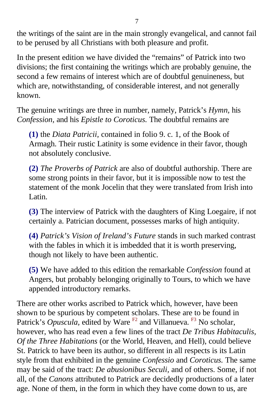the writings of the saint are in the main strongly evangelical, and cannot fail to be perused by all Christians with both pleasure and profit.

In the present edition we have divided the "remains" of Patrick into two divisions; the first containing the writings which are probably genuine, the second a few remains of interest which are of doubtful genuineness, but which are, notwithstanding, of considerable interest, and not generally known.

The genuine writings are three in number, namely, Patrick's *Hymn,* his *Confession,* and his *Epistle to Coroticus.* The doubtful remains are

**(1)** the *Diata Patricii,* contained in folio 9. c. 1, of the Book of Armagh. Their rustic Latinity is some evidence in their favor, though not absolutely conclusive.

**(2)** *The Proverbs of Patrick* are also of doubtful authorship. There are some strong points in their favor, but it is impossible now to test the statement of the monk Jocelin that they were translated from Irish into Latin.

**(3)** The interview of Patrick with the daughters of King Loegaire, if not certainly a. Patrician document, possesses marks of high antiquity.

**(4)** *Patrick's Vision of Ireland's Future* stands in such marked contrast with the fables in which it is imbedded that it is worth preserving, though not likely to have been authentic.

**(5)** We have added to this edition the remarkable *Confession* found at Angers, but probably belonging originally to Tours, to which we have appended introductory remarks.

There are other works ascribed to Patrick which, however, have been shown to be spurious by competent scholars. These are to be found in Patrick's *Opuscula*, edited by Ware <sup>[F2](#page--1-0)</sup> and Villanueva. <sup>[F3](#page--1-0)</sup> No scholar, however, who has read even a few lines of the tract *De Tribus Habitaculis, Of the Three Habitations* (or the World, Heaven, and Hell), could believe St. Patrick to have been its author, so different in all respects is its Latin style from that exhibited in the genuine *Confessio* and *Coroticus.* The same may be said of the tract: *De abusionibus Seculi,* and of others. Some, if not all, of the *Canons* attributed to Patrick are decidedly productions of a later age. None of them, in the form in which they have come down to us, are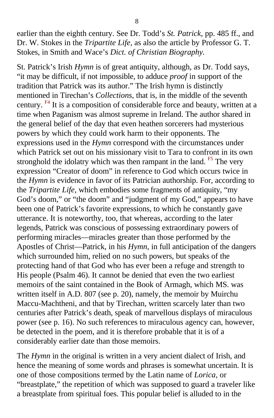earlier than the eighth century. See Dr. Todd's *St. Patrick,* pp. 485 ff., and Dr. W. Stokes in the *Tripartite Life,* as also the article by Professor G. T. Stokes, in Smith and Wace's *Dict. of Christian Biography.*

St. Patrick's Irish *Hymn* is of great antiquity, although, as Dr. Todd says, "it may be difficult, if not impossible, to adduce *proof* in support of the tradition that Patrick was its author." The Irish hymn is distinctly mentioned in Tirechan's *Collections,* that is, in the middle of the seventh century. [F4](#page--1-0) It is a composition of considerable force and beauty, written at a time when Paganism was almost supreme in Ireland. The author shared in the general belief of the day that even heathen sorcerers had mysterious powers by which they could work harm to their opponents. The expressions used in the *Hymn* correspond with the circumstances under which Patrick set out on his missionary visit to Tara to confront in its own stronghold the idolatry which was then rampant in the land.  $F<sup>5</sup>$  The very expression "Creator of doom" in reference to God which occurs twice in the *Hymn* is evidence in favor of its Patrician authorship. For, according to the *Tripartite Life,* which embodies some fragments of antiquity, "my God's doom," or "the doom" and "judgment of my God," appears to have been one of Patrick's favorite expressions, to which he constantly gave utterance. It is noteworthy, too, that whereas, according to the later legends, Patrick was conscious of possessing extraordinary powers of performing miracles—miracles greater than those performed by the Apostles of Christ—Patrick, in his *Hymn,* in full anticipation of the dangers which surrounded him, relied on no such powers, but speaks of the protecting hand of that God who has ever been a refuge and strength to His people (Psalm 46). It cannot be denied that even the two earliest memoirs of the saint contained in the Book of Armagh, which MS. was written itself in A.D. 807 (see p. 20), namely, the memoir by Muirchu Maccu-Machtheni, and that by Tirechan, written scarcely later than two centuries after Patrick's death, speak of marvellous displays of miraculous power (see p. 16). No such references to miraculous agency can, however, be detected in the poem, and it is therefore probable that it is of a considerably earlier date than those memoirs.

The *Hymn* in the original is written in a very ancient dialect of Irish, and hence the meaning of some words and phrases is somewhat uncertain. It is one of those compositions termed by the Latin name of *Lorica,* or "breastplate," the repetition of which was supposed to guard a traveler like a breastplate from spiritual foes. This popular belief is alluded to in the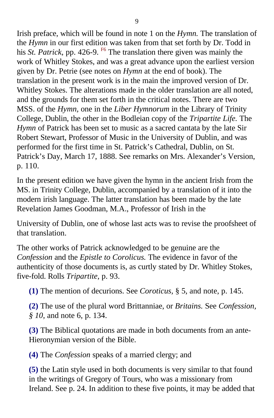Irish preface, which will be found in note 1 on the *Hymn.* The translation of the *Hymn* in our first edition was taken from that set forth by Dr. Todd in his *St. Patrick*, pp. 426-9. <sup>[F6](#page--1-0)</sup> The translation there given was mainly the work of Whitley Stokes, and was a great advance upon the earliest version given by Dr. Petrie (see notes on *Hymn* at the end of book). The translation in the present work is in the main the improved version of Dr. Whitley Stokes. The alterations made in the older translation are all noted, and the grounds for them set forth in the critical notes. There are two MSS. of the *Hymn,* one in the *Liber Hymnorum* in the Library of Trinity College, Dublin, the other in the Bodleian copy of the *Tripartite Life.* The *Hymn* of Patrick has been set to music as a sacred cantata by the late Sir Robert Stewart, Professor of Music in the University of Dublin, and was performed for the first time in St. Patrick's Cathedral, Dublin, on St. Patrick's Day, March 17, 1888. See remarks on Mrs. Alexander's Version, p. 110.

In the present edition we have given the hymn in the ancient Irish from the MS. in Trinity College, Dublin, accompanied by a translation of it into the modern irish language. The latter translation has been made by the late Revelation James Goodman, M.A., Professor of Irish in the

University of Dublin, one of whose last acts was to revise the proofsheet of that translation.

The other works of Patrick acknowledged to be genuine are the *Confession* and the *Epistle to Corolicus.* The evidence in favor of the authenticity of those documents is, as curtly stated by Dr. Whitley Stokes, five-fold. Rolls *Tripartite,* p. 93.

**(1)** The mention of decurions. See *Coroticus,* § 5, and note, p. 145.

**(2)** The use of the plural word Brittanniae, or *Britains.* See *Confession, § 10,* and note 6, p. 134.

**(3)** The Biblical quotations are made in both documents from an ante-Hieronymian version of the Bible.

**(4)** The *Confession* speaks of a married clergy; and

**(5)** the Latin style used in both documents is very similar to that found in the writings of Gregory of Tours, who was a missionary from Ireland. See p. 24. In addition to these five points, it may be added that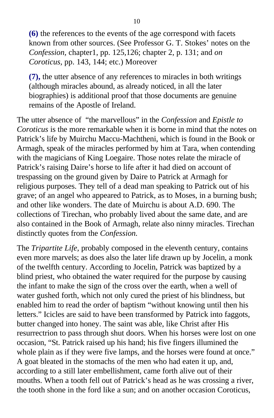**(6)** the references to the events of the age correspond with facets known from other sources. (See Professor G. T. Stokes' notes on the *Confession,* chapter1, pp. 125,126; chapter 2, p. 131; and *on Coroticus,* pp. 143, 144; etc.) Moreover

**(7),** the utter absence of any references to miracles in both writings (although miracles abound, as already noticed, in all the later biographies) is additional proof that those documents are genuine remains of the Apostle of Ireland.

The utter absence of "the marvellous" in the *Confession* and *Epistle to Coroticus* is the more remarkable when it is borne in mind that the notes on Patrick's life by Muirchu Maccu-Machtheni, which is found in the Book or Armagh, speak of the miracles performed by him at Tara, when contending with the magicians of King Loegaire. Those notes relate the miracle of Patrick's raising Daire's horse to life after it had died on account of trespassing on the ground given by Daire to Patrick at Armagh for religious purposes. They tell of a dead man speaking to Patrick out of his grave; of an angel who appeared to Patrick, as to Moses, in a burning bush; and other like wonders. The date of Muirchu is about A.D. 690. The collections of Tirechan, who probably lived about the same date, and are also contained in the Book of Armagh, relate also ninny miracles. Tirechan distinctly quotes from the *Confession.*

The *Tripartite Life,* probably composed in the eleventh century, contains even more marvels; as does also the later life drawn up by Jocelin, a monk of the twelfth century. According to Jocelin, Patrick was baptized by a blind priest, who obtained the water required for the purpose by causing the infant to make the sign of the cross over the earth, when a well of water gushed forth, which not only cured the priest of his blindness, but enabled him to read the order of baptism "without knowing until then his letters." Icicles are said to have been transformed by Patrick into faggots, butter changed into honey. The saint was able, like Christ after His resurrectrion to pass through shut doors. When his horses were lost on one occasion, "St. Patrick raised up his hand; his five fingers illumined the whole plain as if they were five lamps, and the horses were found at once." A goat bleated in the stomachs of the men who had eaten it up, and, according to a still later embellishment, came forth alive out of their mouths. When a tooth fell out of Patrick's head as he was crossing a river, the tooth shone in the ford like a sun; and on another occasion Coroticus,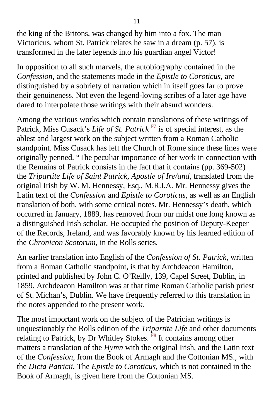the king of the Britons, was changed by him into a fox. The man Victoricus, whom St. Patrick relates he saw in a dream (p. 57), is transformed in the later legends into his guardian angel Victor!

In opposition to all such marvels, the autobiography contained in the *Confession,* and the statements made in the *Epistle to Coroticus,* are distinguished by a sobriety of narration which in itself goes far to prove their genuineness. Not even the legend-loving scribes of a later age have dared to interpolate those writings with their absurd wonders.

Among the various works which contain translations of these writings of Patrick, Miss Cusack's *Life of St. Patrick* <sup>[F7](#page--1-0)</sup> is of special interest, as the ablest and largest work on the subject written from a Roman Catholic standpoint. Miss Cusack has left the Church of Rome since these lines were originally penned. "The peculiar importance of her work in connection with the Remains of Patrick consists in the fact that it contains (pp. 369-502) the *Tripartite Life of Saint Patrick, Apostle of Ire/and,* translated from the original Irish by W. M. Hennessy, Esq., M.R.I.A. Mr. Hennessy gives the Latin text of the *Confession* and *Epistle to Coroticus,* as well as an English translation of both, with some critical notes. Mr. Hennessy's death, which occurred in January, 1889, has removed from our midst one long known as a distinguished Irish scholar. He occupied the position of Deputy-Keeper of the Records, Ireland, and was favorably known by his learned edition of the *Chronicon Scotorum,* in the Rolls series.

An earlier translation into English of the *Confession of St. Patrick,* written from a Roman Catholic standpoint, is that by Archdeacon Hamilton, printed and published by John C. O'Reilly, 139, Capel Street, Dublin, in 1859. Archdeacon Hamilton was at that time Roman Catholic parish priest of St. Michan's, Dublin. We have frequently referred to this translation in the notes appended to the present work.

The most important work on the subject of the Patrician writings is unquestionably the Rolls edition of the *Tripartite Life* and other documents relating to Patrick, by Dr Whitley Stokes. F<sub>8</sub> It contains among other matters a translation of the *Hymn* with the original Irish, and the Latin text of the *Confession,* from the Book of Armagh and the Cottonian MS., with the *Dicta Patricii.* The *Epistle to Coroticus,* which is not contained in the Book of Armagh, is given here from the Cottonian MS.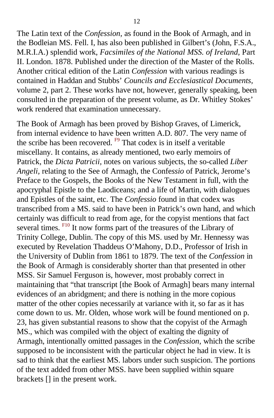The Latin text of the *Confession,* as found in the Book of Armagh, and in the Bodleian MS. Fell. I, has also been published in Gilbert's (John, F.S.A., M.R.I.A.) splendid work, *Facsimiles of the National MSS. of Ireland,* Part II. London. 1878. Published under the direction of the Master of the Rolls. Another critical edition of the Latin *Confession* with various readings is contained in Haddan and Stubbs' *Councils and Ecclesiastical Documents,* volume 2, part 2. These works have not, however, generally speaking, been consulted in the preparation of the present volume, as Dr. Whitley Stokes' work rendered that examination unnecessary.

The Book of Armagh has been proved by Bishop Graves, of Limerick, from internal evidence to have been written A.D. 807. The very name of the scribe has been recovered.  $F<sup>9</sup>$  That codex is in itself a veritable miscellany. It contains, as already mentioned, two early memoirs of Patrick, the *Dicta Patricii,* notes on various subjects, the so-called *Liber Angeli,* relating to the See of Armagh, the Confe*ssio* of Patrick, Jerome's Preface to the Gospels, the Books of the New Testament in full, with the apocryphal Epistle to the Laodiceans; and a life of Martin, with dialogues and Epistles of the saint, etc. The *Confessio* found in that codex was transcribed from a MS. said to have been in Patrick's own hand, and which certainly was difficult to read from age, for the copyist mentions that fact several times.  $F10$  It now forms part of the treasures of the Library of Trinity College, Dublin. The copy of this MS. used by Mr. Hennessy was executed by Revelation Thaddeus O'Mahony, D.D., Professor of Irish in the University of Dublin from 1861 to 1879. The text of the *Confession* in the Book of Armagh is considerably shorter than that presented in other MSS. Sir Samuel Ferguson is, however, most probably correct in maintaining that "that transcript [the Book of Armagh] bears many internal evidences of an abridgment; and there is nothing in the more copious matter of the other copies necessarily at variance with it, so far as it has come down to us. Mr. Olden, whose work will be found mentioned on p. 23, has given substantial reasons to show that the copyist of the Armagh MS., which was compiled with the object of exalting the dignity of Armagh, intentionally omitted passages in the *Confession,* which the scribe supposed to be inconsistent with the particular object he had in view. It is sad to think that the earliest MS. labors under such suspicion. The portions of the text added from other MSS. have been supplied within square brackets [] in the present work.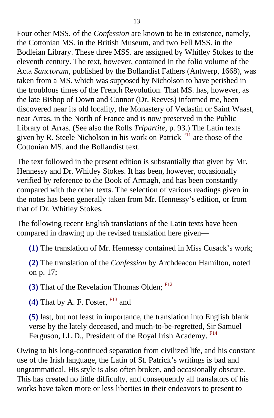Four other MSS. of the *Confession* are known to be in existence, namely, the Cottonian MS. in the British Museum, and two Fell MSS. in the Bodleian Library. These three MSS. are assigned by Whitley Stokes to the eleventh century. The text, however, contained in the folio volume of the Acta *Sanctorum,* published by the Bollandist Fathers (Antwerp, 1668), was taken from a MS. which was supposed by Nicholson to have perished in the troublous times of the French Revolution. That MS. has, however, as the late Bishop of Down and Connor (Dr. Reeves) informed me, been discovered near its old locality, the Monastery of Vedastin or Saint Waast, near Arras, in the North of France and is now preserved in the Public Library of Arras. (See also the Rolls *Tripartite,* p. 93.) The Latin texts given by R. Steele Nicholson in his work on Patrick  $F<sup>11</sup>$  are those of the Cottonian MS. and the Bollandist text.

The text followed in the present edition is substantially that given by Mr. Hennessy and Dr. Whitley Stokes. It has been, however, occasionally verified by reference to the Book of Armagh, and has been constantly compared with the other texts. The selection of various readings given in the notes has been generally taken from Mr. Hennessy's edition, or from that of Dr. Whitley Stokes.

The following recent English translations of the Latin texts have been compared in drawing up the revised translation here given—

**(1)** The translation of Mr. Hennessy contained in Miss Cusack's work;

**(2)** The translation of the *Confession* by Archdeacon Hamilton, noted on p. 17;

**(3)** That of the Revelation Thomas Olden; [F12](#page--1-0)

**(4)** That by A. F. Foster, [F13](#page--1-0) and

**(5)** last, but not least in importance, the translation into English blank verse by the lately deceased, and much-to-be-regretted, Sir Samuel Ferguson, LL.D., President of the Royal Irish Academy.  $F14$ 

Owing to his long-continued separation from civilized life, and his constant use of the Irish language, the Latin of St. Patrick's writings is bad and ungrammatical. His style is also often broken, and occasionally obscure. This has created no little difficulty, and consequently all translators of his works have taken more or less liberties in their endeavors to present to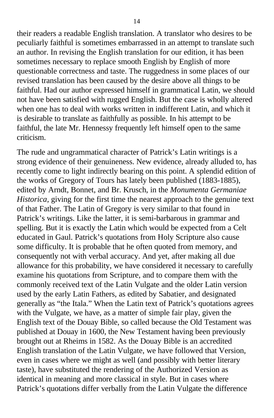their readers a readable English translation. A translator who desires to be peculiarly faithful is sometimes embarrassed in an attempt to translate such an author. In revising the English translation for our edition, it has been sometimes necessary to replace smooth English by English of more questionable correctness and taste. The ruggedness in some places of our revised translation has been caused by the desire above all things to be faithful. Had our author expressed himself in grammatical Latin, we should not have been satisfied with rugged English. But the case is wholly altered when one has to deal with works written in indifferent Latin, and which it is desirable to translate as faithfully as possible. In his attempt to be faithful, the late Mr. Hennessy frequently left himself open to the same criticism.

The rude and ungrammatical character of Patrick's Latin writings is a strong evidence of their genuineness. New evidence, already alluded to, has recently come to light indirectly bearing on this point. A splendid edition of the works of Gregory of Tours has lately been published (1883-1885), edited by Arndt, Bonnet, and Br. Krusch, in the *Monumenta Germaniae Historica*, giving for the first time the nearest approach to the genuine text of that Father. The Latin of Gregory is very similar to that found in Patrick's writings. Like the latter, it is semi-barbarous in grammar and spelling. But it is exactly the Latin which would be expected from a Celt educated in Gaul. Patrick's quotations from Holy Scripture also cause some difficulty. It is probable that he often quoted from memory, and consequently not with verbal accuracy. And yet, after making all due allowance for this probability, we have considered it necessary to carefully examine his quotations from Scripture, and to compare them with the commonly received text of the Latin Vulgate and the older Latin version used by the early Latin Fathers, as edited by Sabatier, and designated generally as "the Itala." When the Latin text of Patrick's quotations agrees with the Vulgate, we have, as a matter of simple fair play, given the English text of the Douay Bible, so called because the Old Testament was published at Douay in 1600, the New Testament having been previously brought out at Rheims in 1582. As the Douay Bible is an accredited English translation of the Latin Vulgate, we have followed that Version, even in cases where we might as well (and possibly with better literary taste), have substituted the rendering of the Authorized Version as identical in meaning and more classical in style. But in cases where Patrick's quotations differ verbally from the Latin Vulgate the difference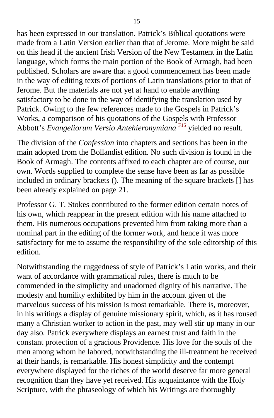has been expressed in our translation. Patrick's Biblical quotations were made from a Latin Version earlier than that of Jerome. More might be said on this head if the ancient Irish Version of the New Testament in the Latin language, which forms the main portion of the Book of Armagh, had been published. Scholars are aware that a good commencement has been made in the way of editing texts of portions of Latin translations prior to that of Jerome. But the materials are not yet at hand to enable anything satisfactory to be done in the way of identifying the translation used by Patrick. Owing to the few references made to the Gospels in Patrick's Works, a comparison of his quotations of the Gospels with Professor Abbott's *Evangeliorum Versio Antehieronymiana* [F15](#page--1-0) yielded no result.

The division of the *Confession* into chapters and sections has been in the main adopted from the Bollandist edition. No such division is found in the Book of Armagh. The contents affixed to each chapter are of course, our own. Words supplied to complete the sense have been as far as possible included in ordinary brackets (). The meaning of the square brackets [] has been already explained on page 21.

Professor G. T. Stokes contributed to the former edition certain notes of his own, which reappear in the present edition with his name attached to them. His numerous occupations prevented him from taking more than a nominal part in the editing of the former work, and hence it was more satisfactory for me to assume the responsibility of the sole editorship of this edition.

Notwithstanding the ruggedness of style of Patrick's Latin works, and their want of accordance with grammatical rules, there is much to be commended in the simplicity and unadorned dignity of his narrative. The modesty and humility exhibited by him in the account given of the marvelous success of his mission is most remarkable. There is, moreover, in his writings a display of genuine missionary spirit, which, as it has roused many a Christian worker to action in the past, may well stir up many in our day also. Patrick everywhere displays an earnest trust and faith in the constant protection of a gracious Providence. His love for the souls of the men among whom he labored, notwithstanding the ill-treatment he received at their hands, is remarkable. His honest simplicity and the contempt everywhere displayed for the riches of the world deserve far more general recognition than they have yet received. His acquaintance with the Holy Scripture, with the phraseology of which his Writings are thoroughly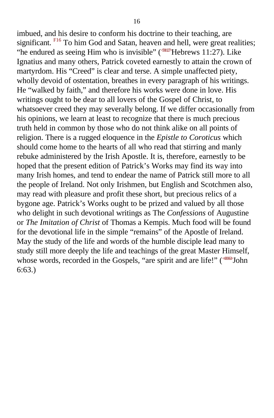imbued, and his desire to conform his doctrine to their teaching, are significant. <sup>[F16](#page--1-0)</sup> To him God and Satan, heaven and hell, were great realities; "he endured as seeing Him who is invisible" ( $\frac{\text{min}}{\text{min}}$ Hebrews 11:27). Like Ignatius and many others, Patrick coveted earnestly to attain the crown of martyrdom. His "Creed" is clear and terse. A simple unaffected piety, wholly devoid of ostentation, breathes in every paragraph of his writings. He "walked by faith," and therefore his works were done in love. His writings ought to be dear to all lovers of the Gospel of Christ, to whatsoever creed they may severally belong. If we differ occasionally from his opinions, we learn at least to recognize that there is much precious truth held in common by those who do not think alike on all points of religion. There is a rugged eloquence in the *Epistle to Coroticus* which should come home to the hearts of all who read that stirring and manly rebuke administered by the Irish Apostle. It is, therefore, earnestly to be hoped that the present edition of Patrick's Works may find its way into many Irish homes, and tend to endear the name of Patrick still more to all the people of Ireland. Not only Irishmen, but English and Scotchmen also, may read with pleasure and profit these short, but precious relics of a bygone age. Patrick's Works ought to be prized and valued by all those who delight in such devotional writings as The *Confessions* of Augustine or *The Imitation of Christ* of Thomas a Kempis. Much food will be found for the devotional life in the simple "remains" of the Apostle of Ireland. May the study of the life and words of the humble disciple lead many to study still more deeply the life and teachings of the great Master Himself, whose words, recorded in the Gospels, "are spirit and are life!" (<am John 6:63.)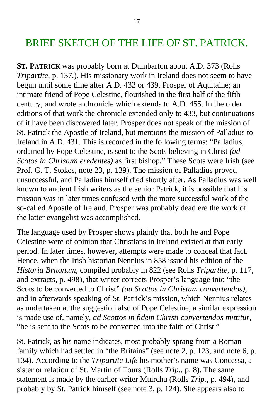# BRIEF SKETCH OF THE LIFE OF ST. PATRICK.

**ST. PATRICK** was probably born at Dumbarton about A.D. 373 (Rolls *Tripartite,* p. 137.). His missionary work in Ireland does not seem to have begun until some time after A.D. 432 or 439. Prosper of Aquitaine; an intimate friend of Pope Celestine, flourished in the first half of the fifth century, and wrote a chronicle which extends to A.D. 455. In the older editions of that work the chronicle extended only to 433, but continuations of it have been discovered later. Prosper does not speak of the mission of St. Patrick the Apostle of Ireland, but mentions the mission of Palladius to Ireland in A.D. 431. This is recorded in the following terms: "Palladius, ordained by Pope Celestine, is sent to the Scots believing in Christ *(ad Scotos in Christum eredentes)* as first bishop." These Scots were Irish (see Prof. G. T. Stokes, note 23, p. 139). The mission of Palladius proved unsuccessful, and Palladius himself died shortly after. As Palladius was well known to ancient Irish writers as the senior Patrick, it is possible that his mission was in later times confused with the more successful work of the so-called Apostle of Ireland. Prosper was probably dead ere the work of the latter evangelist was accomplished.

The language used by Prosper shows plainly that both he and Pope Celestine were of opinion that Christians in Ireland existed at that early period. In later times, however, attempts were made to conceal that fact. Hence, when the Irish historian Nennius in 858 issued his edition of the *Historia Britonum,* compiled probably in 822 (see Rolls *Tripartite,* p. 117, and extracts, p. 498), that writer corrects Prosper's language into "the Scots to be converted to Christ" *(ad Scottos in Christum convertendos),* and in afterwards speaking of St. Patrick's mission, which Nennius relates as undertaken at the suggestion also of Pope Celestine, a similar expression is made use of, namely, *ad Scottos in fidem Christi convertendos mittitur,* "he is sent to the Scots to be converted into the faith of Christ."

St. Patrick, as his name indicates, most probably sprang from a Roman family which had settled in "the Britains" (see note 2, p. 123, and note 6, p. 134). According to the *Tripartite Life* his mother's name was Concessa, a sister or relation of St. Martin of Tours (Rolls *Trip.,* p. 8). The same statement is made by the earlier writer Muirchu (Rolls *Trip.,* p. 494), and probably by St. Patrick himself (see note 3, p. 124). She appears also to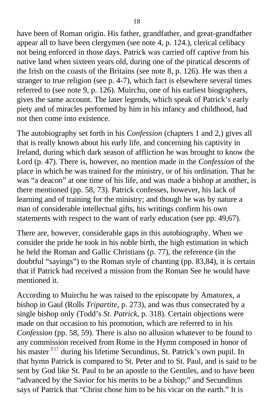have been of Roman origin. His father, grandfather, and great-grandfather appear all to have been clergymen (see note 4, p. 124.), clerical celibacy not being enforced in those days. Patrick was carried off captive from his native land when sixteen years old, during one of the piratical descents of the Irish on the coasts of the Britains (see note 8, p. 126). He was then a stranger to true religion (see p. 4-7), which fact is elsewhere several times referred to (see note 9, p. 126). Muirchu, one of his earliest biographers, gives the same account. The later legends, which speak of Patrick's early piety and of miracles performed by him in his infancy and childhood, had not then come into existence.

The autobiography set forth in his *Confession* (chapters 1 and 2,) gives all that is really known about his early life, and concerning his captivity in Ireland, during which dark season of affliction he was brought to know the Lord (p. 47). There is, however, no mention made in the *Confession* of the place in which he was trained for the ministry, or of his ordination. That he was "a deacon" at one time of his life, and was made a bishop at another, is there mentioned (pp. 58, 73). Patrick confesses, however, his lack of learning and of training for the ministry; and though he was by nature a man of considerable intellectual gifts, his writings confirm his own statements with respect to the want of early education (see pp. 49,67).

There are, however, considerable gaps in this autobiography. When we consider the pride he took in his noble birth, the high estimation in which he held the Roman and Gallic Christians (p. 77), the reference (in the doubtful "sayings") to the Roman style of chanting (pp. 83,84), it is certain that if Patrick had received a mission from the Roman See he would have mentioned it.

According to Muirchu he was raised to the episcopate by Amatorex, a bishop in Gaul (Rolls *Tripartite,* p. 273), and was thus consecrated by a single bishop only (Todd's *St. Patrick,* p. 318). Certain objections were made on that occasion to his promotion, which are referred to in his *Confession* (pp. 58, 59). There is also no allusion whatever to be found to any commission received from Rome in the Hymn composed in honor of his master F<sup>17</sup> during his lifetime Secundinus, St. Patrick's own pupil. In that hymn Patrick is compared to St. Peter and to St. Paul, and is said to be sent by God like St. Paul to be an apostle to the Gentiles, and to have been "advanced by the Savior for his merits to be a bishop;" and Secundinus says of Patrick that "Christ chose him to be his vicar on the earth." It is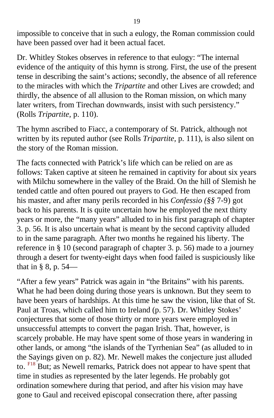impossible to conceive that in such a eulogy, the Roman commission could have been passed over had it been actual facet.

Dr. Whitley Stokes observes in reference to that eulogy: "The internal evidence of the antiquity of this hymn is strong. First, the use of the present tense in describing the saint's actions; secondly, the absence of all reference to the miracles with which the *Tripartite* and other Lives are crowded; and thirdly, the absence of all allusion to the Roman mission, on which many later writers, from Tirechan downwards, insist with such persistency." (Rolls *Tripartite,* p. 110).

The hymn ascribed to Fiacc, a contemporary of St. Patrick, although not written by its reputed author (see Rolls *Tripartite,* p. 111), is also silent on the story of the Roman mission.

The facts connected with Patrick's life which can be relied on are as follows: Taken captive at siteen he remained in captivity for about six years with Milchu somewhere in the valley of the Braid. On the hill of Slemish he tended cattle and often poured out prayers to God. He then escaped from his master, and after many perils recorded in his *Confessio (§§* 7-9) got back to his parents. It is quite uncertain how he employed the next thirty years or more, the "many years" alluded to in his first paragraph of chapter 3. p. 56. It is also uncertain what is meant by the second captivity alluded to in the same paragraph. After two months he regained his liberty. The reference in § 10 (second paragraph of chapter 3. p. 56) made to a journey through a desert for twenty-eight days when food failed is suspiciously like that in § 8, p. 54—

"After a few years" Patrick was again in "the Britains" with his parents. What he had been doing during those years is unknown. But they seem to have been years of hardships. At this time he saw the vision, like that of St. Paul at Troas, which called him to Ireland (p. 57). Dr. Whitley Stokes' conjectures that some of those thirty or more years were employed in unsuccessful attempts to convert the pagan Irish. That, however, is scarcely probable. He may have spent some of those years in wandering in other lands, or among "the islands of the Tyrrhenian Sea" (as alluded to in the Sayings given on p. 82). Mr. Newell makes the conjecture just alluded to. [F18](#page--1-0) But; as Newell remarks, Patrick does not appear to have spent that time in studies as represented by the later legends. He probably got ordination somewhere during that period, and after his vision may have gone to Gaul and received episcopal consecration there, after passing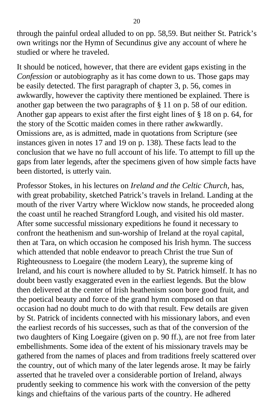through the painful ordeal alluded to on pp. 58,59. But neither St. Patrick's own writings nor the Hymn of Secundinus give any account of where he studied or where he traveled.

It should be noticed, however, that there are evident gaps existing in the *Confession* or autobiography as it has come down to us. Those gaps may be easily detected. The first paragraph of chapter 3, p. 56, comes in awkwardly, however the captivity there mentioned be explained. There is another gap between the two paragraphs of § 11 on p. 58 of our edition. Another gap appears to exist after the first eight lines of § 18 on p. 64, for the story of the Scottic maiden comes in there rather awkwardly. Omissions are, as is admitted, made in quotations from Scripture (see instances given in notes 17 and 19 on p. 138). These facts lead to the conclusion that we have no full account of his life. To attempt to fill up the gaps from later legends, after the specimens given of how simple facts have been distorted, is utterly vain.

Professor Stokes, in his lectures on *Ireland and the Celtic Church,* has, with great probability, sketched Patrick's travels in Ireland. Landing at the mouth of the river Vartry where Wicklow now stands, he proceeded along the coast until he reached Strangford Lough, and visited his old master. After some successful missionary expeditions he found it necessary to confront the heathenism and sun-worship of Ireland at the royal capital, then at Tara, on which occasion he composed his Irish hymn. The success which attended that noble endeavor to preach Christ the true Sun of Righteousness to Loegaire (the modern Leary), the supreme king of Ireland, and his court is nowhere alluded to by St. Patrick himself. It has no doubt been vastly exaggerated even in the earliest legends. But the blow then delivered at the center of Irish heathenism soon bore good fruit, and the poetical beauty and force of the grand hymn composed on that occasion had no doubt much to do with that result. Few details are given by St. Patrick of incidents connected with his missionary labors, and even the earliest records of his successes, such as that of the conversion of the two daughters of King Loegaire (given on p. 90 ff.), are not free from later embellishments. Some idea of the extent of his missionary travels may be gathered from the names of places and from traditions freely scattered over the country, out of which many of the later legends arose. It may be fairly asserted that he traveled over a considerable portion of Ireland, always prudently seeking to commence his work with the conversion of the petty kings and chieftains of the various parts of the country. He adhered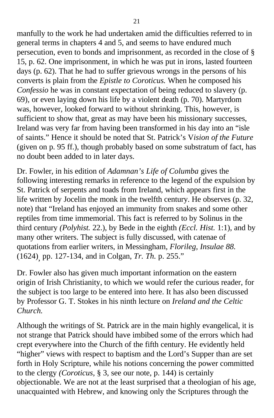manfully to the work he had undertaken amid the difficulties referred to in general terms in chapters 4 and 5, and seems to have endured much persecution, even to bonds and imprisonment, as recorded in the close of § 15, p. 62. One imprisonment, in which he was put in irons, lasted fourteen days (p. 62). That he had to suffer grievous wrongs in the persons of his converts is plain from the *Epistle to Coroticus.* When he composed his *Confessio* he was in constant expectation of being reduced to slavery (p. 69), or even laying down his life by a violent death (p. 70). Martyrdom was, however, looked forward to without shrinking. This, however, is sufficient to show that, great as may have been his missionary successes, Ireland was very far from having been transformed in his day into an "isle of saints." Hence it should be noted that St. Patrick's V*ision of the Future* (given on p. 95 ff.), though probably based on some substratum of fact, has no doubt been added to in later days.

Dr. Fowler, in his edition of *Adamnan's Life of Columba* gives the following interesting remarks in reference to the legend of the expulsion by St. Patrick of serpents and toads from Ireland, which appears first in the life written by Jocelin the monk in the twelfth century. He observes (p. 32, note) that "Ireland has enjoyed an immunity from snakes and some other reptiles from time immemorial. This fact is referred to by Solinus in the third century *(Polyhist.* 22.), by Bede in the eighth *(Eccl. Hist.* 1:1), and by many other writers. The subject is fully discussed, with catenae of quotations from earlier writers, in Messingham, *Florileg, Insulae 88.* (1624) , pp. 127-134, and in Colgan, *Tr. Th.* p. 255."

Dr. Fowler also has given much important information on the eastern origin of Irish Christianity, to which we would refer the curious reader, for the subject is too large to be entered into here. It has also been discussed by Professor G. T. Stokes in his ninth lecture on *Ireland and the Celtic Church.*

Although the writings of St. Patrick are in the main highly evangelical, it is not strange that Patrick should have imbibed some of the errors which had crept everywhere into the Church of the fifth century. He evidently held "higher" views with respect to baptism and the Lord's Supper than are set forth in Holy Scripture, while his notions concerning the power committed to the clergy *(Coroticus,* § 3, see our note, p. 144) is certainly objectionable. We are not at the least surprised that a theologian of his age, unacquainted with Hebrew, and knowing only the Scriptures through the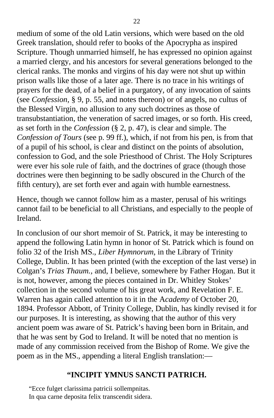medium of some of the old Latin versions, which were based on the old Greek translation, should refer to books of the Apocrypha as inspired Scripture. Though unmarried himself, he has expressed no opinion against a married clergy, and his ancestors for several generations belonged to the clerical ranks. The monks and virgins of his day were not shut up within prison walls like those of a later age. There is no trace in his writings of prayers for the dead, of a belief in a purgatory, of any invocation of saints (see *Confession,* § 9, p. 55, and notes thereon) or of angels, no cultus of the Blessed Virgin, no allusion to any such doctrines as those of transubstantiation, the veneration of sacred images, or so forth. His creed, as set forth in the *Confession* (§ 2, p. 47), is clear and simple. The *Confession of Tours* (see p. 99 ff.), which, if not from his pen, is from that of a pupil of his school, is clear and distinct on the points of absolution, confession to God, and the sole Priesthood of Christ. The Holy Scriptures were ever his sole rule of faith, and the doctrines of grace (though those doctrines were then beginning to be sadly obscured in the Church of the fifth century), are set forth ever and again with humble earnestness.

Hence, though we cannot follow him as a master, perusal of his writings cannot fail to be beneficial to all Christians, and especially to the people of Ireland.

In conclusion of our short memoir of St. Patrick, it may be interesting to append the following Latin hymn in honor of St. Patrick which is found on folio 32 of the Irish MS., *Liber Hymnorum,* in the Library of Trinity College, Dublin. It has been printed (with the exception of the last verse) in Colgan's *Trias Thaum.,* and, I believe, somewhere by Father Hogan. But it is not, however, among the pieces contained in Dr. Whitley Stokes' collection in the second volume of his great work, and Revelation F. E. Warren has again called attention to it in the A*cademy* of October 20, 1894. Professor Abbott, of Trinity College, Dublin, has kindly revised it for our purposes. It is interesting, as showing that the author of this very ancient poem was aware of St. Patrick's having been born in Britain, and that he was sent by God to Ireland. It will be noted that no mention is made of any commission received from the Bishop of Rome. We give the poem as in the MS., appending a literal English translation:—

### **"INCIPIT YMNUS SANCTI PATRICH.**

"Ecce fulget clarissima patricii sollempnitas. In qua carne deposita felix transcendit sidera.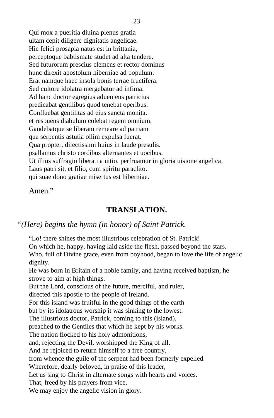Qui mox a pueritia diuina plenus gratia uitam cepit diligere dignitatis angelicae. Hic felici prosapia natus est in brittania, perceptoque babtismate studet ad alta tendere. Sed futurorum prescius clemens et rector dominus hunc direxit apostolum hiberniae ad populum. Erat namque haec insola bonis terrae fructifera. Sed cultore idolatra mergebatur ad infima. Ad hanc doctor egregius adueniens patricius predicabat gentilibus quod tenebat operibus. Confluebat gentilitas ad eius sancta monita. et respuens diabulum colebat regem omnium. Gandebatque se liberam remeare ad patriam qua serpentis astutia ollim expulsa fuerat. Qua propter, dilectissimi huius in laude presulis. psallamus christo cordibus alternantes et uocibus. Ut illius suffragio liberati a uitio. perfruamur in gloria uisione angelica. Laus patri sit, et filio, cum spiritu paraclito. qui suae dono gratiae misertus est hiberniae.

Amen."

#### **TRANSLATION.**

#### *"(Here) begins the hymn (in honor) of Saint Patrick.*

"Lo! there shines the most illustrious celebration of St. Patrick! On which he, happy, having laid aside the flesh, passed beyond the stars. Who, full of Divine grace, even from boyhood, began to love the life of angelic dignity.

He was born in Britain of a noble family, and having received baptism, he strove to aim at high things.

But the Lord, conscious of the future, merciful, and ruler,

directed this apostle to the people of Ireland.

For this island was fruitful in the good things of the earth

but by its idolatrous worship it was sinking to the lowest.

The illustrious doctor, Patrick, coming to this (island),

preached to the Gentiles that which he kept by his works.

The nation flocked to his holy admonitions,

and, rejecting the Devil, worshipped the King of all.

And he rejoiced to return himself to a free country,

from whence the guile of the serpent had been formerly expelled.

Wherefore, dearly beloved, in praise of this leader,

Let us sing to Christ in alternate songs with hearts and voices.

That, freed by his prayers from vice,

We may enjoy the angelic vision in glory.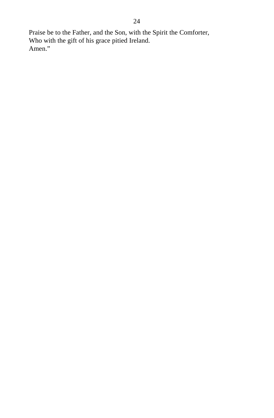Praise be to the Father, and the Son, with the Spirit the Comforter, Who with the gift of his grace pitied Ireland. Amen."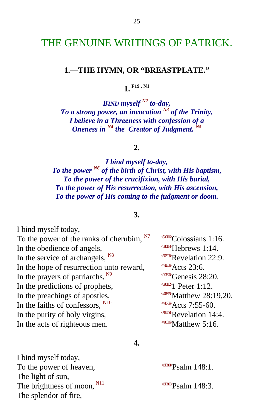## THE GENUINE WRITINGS OF PATRICK.

### **1.—THE HYMN, OR "BREASTPLATE."**

**1. [F19](#page--1-0) , [N1](#page--1-0)**

*BIND myself [N2](#page--1-0) to-day, To a strong power, an invocation [N3](#page--1-0) of the Trinity, I believe in a Threeness with confession of a Oneness in [N4](#page--1-0) the Creator of Judgment. [N5](#page--1-0)*

#### **2.**

*I bind myself to-day, To the power [N6](#page--1-0) of the birth of Christ, with His baptism, To the power of the crucifixion, with His burial, To the power of His resurrection, with His ascension, To the power of His coming to the judgment or doom.*

#### **3.**

| I bind myself today,                         |                                                         |
|----------------------------------------------|---------------------------------------------------------|
| To the power of the ranks of cherubim, $N^7$ | $\frac{116}{100}$ Colossians 1:16.                      |
| In the obedience of angels,                  | <b><i><u></u></i></b> <i>SSOR4</i> <b>Hebrews</b> 1:14. |
| In the service of archangels, $^{N8}$        | <b>EXP</b> Revelation 22:9.                             |
| In the hope of resurrection unto reward,     | $4206$ Acts 23:6.                                       |
| In the prayers of patriarchs, $N9$           | $\sqrt{222}$ Genesis 28:20.                             |
| In the predictions of prophets,              | $\triangle$ <sup>0012</sup> 1 Peter 1:12.               |
| In the preachings of apostles,               | $4080$ Matthew 28:19,20.                                |
| In the faiths of confessors, N10             | $40\%$ Acts 7:55-60.                                    |
| In the purity of holy virgins,               | <b>ESAAA</b> Revelation 14:4.                           |
| In the acts of righteous men.                | <b>40566</b> Matthew 5:16.                              |

I bind myself today, To the power of heaven,  $\frac{\text{dBB}}{\text{dBC}}$  Psalm 148:1. The light of sun, The brightness of moon,  $N11$   $\triangleleft$  EERB  $P$ Salm 148:3. The splendor of fire,

#### **4.**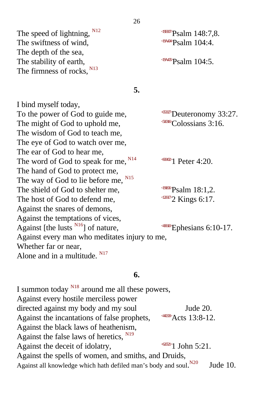The speed of lightning,  $N12$   $\triangleleft$   $\triangleleft$  Psalm 148:7,8. The swiftness of wind,  $\frac{49404}{2}$ Psalm 104:4. The depth of the sea, The stability of earth,  $\frac{4945}{9}$ Psalm 104:5. The firmness of rocks. [N13](#page--1-0)

#### **5.**

I bind myself today, To the power of God to guide me,<br>The might of God to unhold me.<br> $\frac{3327}{1000}$ Colossians 3:16. The might of God to uphold me, The wisdom of God to teach me, The eye of God to watch over me, The ear of God to hear me, The word of God to speak for me,  $^{N14}$   $\qquad \qquad$   $\qquad \qquad$   $\qquad \qquad$  Peter 4:20. The hand of God to protect me, The way of God to lie before me, [N15](#page--1-0) The shield of God to shelter me,  $\frac{4980}{P}\text{Salm } 18:1,2.$ The host of God to defend me,  $\frac{\text{and } 2}{\text{...}}$  Kings 6:17. Against the snares of demons, Against the temptations of vices, Against [the lusts  $N16$ ] of nature,  $4980$  Ephesians 6:10-17. Against every man who meditates injury to me, Whether far or near, Alone and in a multitude. [N17](#page--1-0)

#### **6.**

I summon today  $N18$  around me all these powers, Against every hostile merciless power directed against my body and my soul Jude 20. Against the incantations of false prophets,  $\frac{44136}{8}$ Acts 13:8-12. Against the black laws of heathenism, Against the false laws of heretics,  $N19$ Against the deceit of idolatry,  $\frac{dP}{dP}$  John 5:21. Against the spells of women, and smiths, and Druids, Against all knowledge which hath defiled man's body and soul.<sup>N20</sup> Jude 10.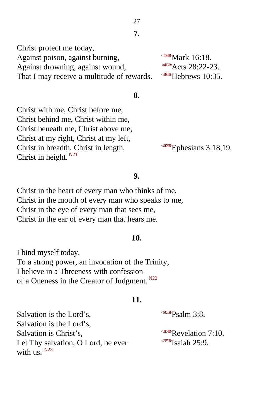Christ protect me today, Against poison, against burning,  $\frac{4168}{8}$ Mark 16:18. Against drowning, against wound,  $4482 \text{Acts} 28:22-23$ . That I may receive a multitude of rewards.  $\frac{1000 \text{ m}}{1000 \text{ s}}$  Hebrews 10:35.

#### **8.**

Christ with me, Christ before me, Christ behind me, Christ within me, Christ beneath me, Christ above me, Christ at my right, Christ at my left, Christ in breadth, Christ in length,  $\frac{4088}{25}Ephesians$  3:18,19. Christ in height.  $N21$ 

#### **9.**

Christ in the heart of every man who thinks of me, Christ in the mouth of every man who speaks to me, Christ in the eye of every man that sees me, Christ in the ear of every man that hears me.

#### **10.**

I bind myself today, To a strong power, an invocation of the Trinity, I believe in a Threeness with confession of a Oneness in the Creator of Judgment. [N22](#page--1-0)

#### **11.**

Salvation is the Lord's,  $\frac{4908}{8}$ Psalm 3:8. Salvation is the Lord's, Salvation is Christ's,  $\frac{4600}{R}$ Revelation 7:10. Let Thy salvation, O Lord, be ever  $\frac{2339}{15}$  Isaiah 25:9. with us.  $N23$ 

27 **7.**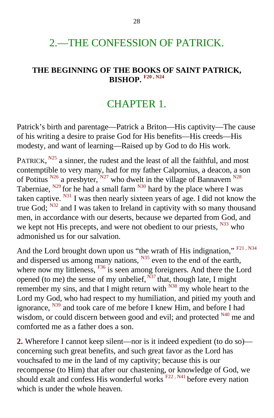# 2.—THE CONFESSION OF PATRICK.

### **THE BEGINNING OF THE BOOKS OF SAINT PATRICK, BISHOP. [F20](#page--1-0) , [N24](#page--1-0)**

## CHAPTER 1.

Patrick's birth and parentage—Patrick a Briton—His captivity—The cause of his writing a desire to praise God for His benefits—His creeds—His modesty, and want of learning—Raised up by God to do His work.

PATRICK,  $^{N25}$  a sinner, the rudest and the least of all the faithful, and most contemptible to very many, had for my father Calpornius, a deacon, a son of Potitus  $^{N26}$  $^{N26}$  $^{N26}$  a presbyter,  $^{N27}$  $^{N27}$  $^{N27}$  who dwelt in the village of Bannavem  $^{N28}$  $^{N28}$  $^{N28}$ Taberniae,  $N^{29}$  for he had a small farm  $N^{30}$  hard by the place where I was taken captive. <sup>[N31](#page--1-0)</sup> I was then nearly sixteen years of age. I did not know the true God;  $N^{32}$  and I was taken to Ireland in captivity with so many thousand men, in accordance with our deserts, because we departed from God, and we kept not His precepts, and were not obedient to our priests, [N33](#page--1-0) who admonished us for our salvation.

And the Lord brought down upon us "the wrath of His indignation,"  $F^{21}$ , [N34](#page--1-0) and dispersed us among many nations,  $N35$  even to the end of the earth, where now my littleness,  $F^{36}$  is seen among foreigners. And there the Lord opened (to me) the sense of my unbelief,  $^{N37}$  that, though late, I might remember my sins, and that I might return with  $N38$  my whole heart to the Lord my God, who had respect to my humiliation, and pitied my youth and ignorance,  $^{N39}$  $^{N39}$  $^{N39}$  and took care of me before I knew Him, and before I had wisdom, or could discern between good and evil; and protected  $N40$  me and comforted me as a father does a son.

**2.** Wherefore I cannot keep silent—nor is it indeed expedient (to do so) concerning such great benefits, and such great favor as the Lord has vouchsafed to me in the land of my captivity; because this is our recompense (to Him) that after our chastening, or knowledge of God, we should exalt and confess His wonderful works  $F^{22}$ ,  $^{N41}$  before every nation which is under the whole heaven.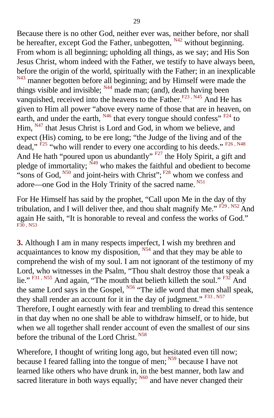Because there is no other God, neither ever was, neither before, nor shall be hereafter, except God the Father, unbegotten,  $N42$  without beginning. From whom is all beginning; upholding all things, as we say; and His Son Jesus Christ, whom indeed with the Father, we testify to have always been, before the origin of the world, spiritually with the Father; in an inexplicable <sup>[N43](#page--1-0)</sup> manner begotten before all beginning; and by Himself were made the things visible and invisible;  $N44$  made man; (and), death having been vanquished, received into the heavens to the Father. $F^{23}$ , N<sub>45</sub> And He has given to Him all power "above every name of those that are in heaven, on earth, and under the earth,  $^{N46}$  $^{N46}$  $^{N46}$  that every tongue should confess"  $^{F24}$  $^{F24}$  $^{F24}$  to Him,  $^{N47}$  $^{N47}$  $^{N47}$  that Jesus Christ is Lord and God, in whom we believe, and expect (His) coming, to be ere long; "the Judge of the living and of the dead," [F25](#page--1-0) "who will render to every one according to his deeds." F26, [N48](#page--1-0) And He hath "poured upon us abundantly"  $F<sup>27</sup>$  the Holy Spirit, a gift and pledge of immortality;  $\frac{\tilde{N}^{49}}{N}$  who makes the faithful and obedient to become "sons of God,  $^{N50}$  and joint-heirs with Christ";  $^{F28}$  whom we confess and adore—one God in the Holy Trinity of the sacred name. [N51](#page--1-0)

For He Himself has said by the prophet, "Call upon Me in the day of thy tribulation, and I will deliver thee, and thou shalt magnify Me."  $F29, N52$  And again He saith, "It is honorable to reveal and confess the works of God." [F30](#page--1-0) , [N53](#page--1-0)

**3.** Although I am in many respects imperfect, I wish my brethren and acquaintances to know my disposition,  $N<sub>54</sub>$  and that they may be able to comprehend the wish of my soul. I am not ignorant of the testimony of my Lord, who witnesses in the Psalm, "Thou shalt destroy those that speak a lie." F31, [N55](#page--1-0) And again, "The mouth that belieth killeth the soul." [F32](#page--1-0) And the same Lord says in the Gospel, <sup>[N56](#page--1-0)</sup> "The idle word that men shall speak, they shall render an account for it in the day of judgment." F33, [N57](#page--1-0) Therefore, I ought earnestly with fear and trembling to dread this sentence in that day when no one shall be able to withdraw himself, or to hide, but when we all together shall render account of even the smallest of our sins before the tribunal of the Lord Christ.  $N58$ 

Wherefore, I thought of writing long ago, but hesitated even till now; because I feared falling into the tongue of men;  $^{NS9}$  because I have not learned like others who have drunk in, in the best manner, both law and sacred literature in both ways equally;  $^{N60}$  $^{N60}$  $^{N60}$  and have never changed their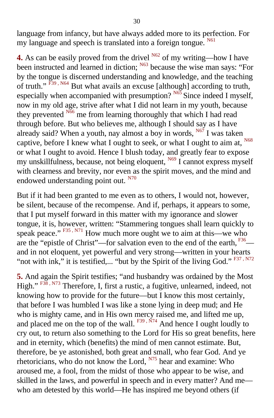language from infancy, but have always added more to its perfection. For my language and speech is translated into a foreign tongue. [N61](#page--1-0)

**4.** As can be easily proved from the drivel  $N62$  of my writing—how I have been instructed and learned in diction;  $N63$  because the wise man says: "For by the tongue is discerned understanding and knowledge, and the teaching of truth."  $\frac{F39}{P39}$ , [N64](#page--1-0) But what avails an excuse [although] according to truth, especially when accompanied with presumption? [N65](#page--1-0) Since indeed I myself, now in my old age, strive after what I did not learn in my youth, because they prevented  $\frac{N_{66}}{N_{66}}$  me from learning thoroughly that which I had read through before. But who believes me, although I should say as I have already said? When a youth, nay almost a boy in words,  $N67$  I was taken captive, before I knew what I ought to seek, or what I ought to aim at,  $^{N68}$  $^{N68}$  $^{N68}$ or what I ought to avoid. Hence I blush today, and greatly fear to expose my unskillfulness, because, not being eloquent, <sup>[N69](#page--1-0)</sup> I cannot express myself with clearness and brevity, nor even as the spirit moves, and the mind and endowed understanding point out. [N70](#page--1-0)

But if it had been granted to me even as to others, I would not, however, be silent, because of the recompense. And if, perhaps, it appears to some, that I put myself forward in this matter with my ignorance and slower tongue, it is, however, written: "Stammering tongues shall learn quickly to speak peace."  $F35, N71$  $F35, N71$  How much more ought we to aim at this—we who are the "epistle of Christ"—for salvation even to the end of the earth,  $F^{36}$  and in not eloquent, yet powerful and very strong—written in your hearts "not with ink," it is testified,... "but by the Spirit of the living God."  $F37, N72$  $F37, N72$ 

**5.** And again the Spirit testifies; "and husbandry was ordained by the Most High." F38, [N73](#page--1-0) Therefore, I, first a rustic, a fugitive, unlearned, indeed, not knowing how to provide for the future—but I know this most certainly, that before I was humbled I was like a stone lying in deep mud; and He who is mighty came, and in His own mercy raised me, and lifted me up, and placed me on the top of the wall.  $F39, N74$  $F39, N74$  And hence I ought loudly to cry out, to return also something to the Lord for His so great benefits, here and in eternity, which (benefits) the mind of men cannot estimate. But, therefore, be ye astonished, both great and small, who fear God. And ye rhetoricians, who do not know the Lord, [N75](#page--1-0) hear and examine: Who aroused me, a fool, from the midst of those who appear to be wise, and skilled in the laws, and powerful in speech and in every matter? And me who am detested by this world—He has inspired me beyond others (if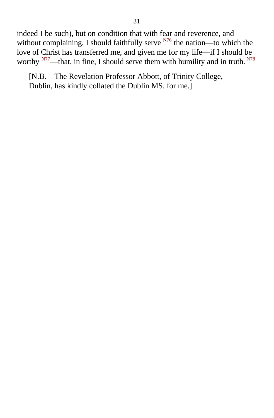indeed I be such), but on condition that with fear and reverence, and without complaining, I should faithfully serve  $N^{76}$  the nation—to which the love of Christ has transferred me, and given me for my life—if I should be worthy  $N^{77}$ —that, in fine, I should serve them with humility and in truth.  $N^{78}$ 

[N.B.—The Revelation Professor Abbott, of Trinity College, Dublin, has kindly collated the Dublin MS. for me.]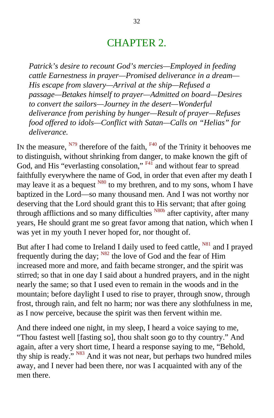# CHAPTER 2.

*Patrick's desire to recount God's mercies—Employed in feeding cattle Earnestness in prayer—Promised deliverance in a dream— His escape from slavery—Arrival at the ship—Refused a passage—Betakes himself to prayer—Admitted on board—Desires to convert the sailors—Journey in the desert—Wonderful deliverance from perishing by hunger—Result of prayer—Refuses food offered to idols—Conflict with Satan—Calls on "Helias" for deliverance.*

IN the measure,  $N^{79}$  therefore of the faith,  $F^{40}$  of the Trinity it behooves me to distinguish, without shrinking from danger, to make known the gift of God, and His "everlasting consolation," <sup>[F41](#page--1-0)</sup> and without fear to spread faithfully everywhere the name of God, in order that even after my death I may leave it as a bequest  $N80$  to my brethren, and to my sons, whom I have baptized in the Lord—so many thousand men. And I was not worthy nor deserving that the Lord should grant this to His servant; that after going through afflictions and so many difficulties  $N80b$  after captivity, after many years, He should grant me so great favor among that nation, which when I was yet in my youth I never hoped for, nor thought of.

But after I had come to Ireland I daily used to feed cattle,  $^{N81}$  $^{N81}$  $^{N81}$  and I prayed frequently during the day;  $^{N82}$  $^{N82}$  $^{N82}$  the love of God and the fear of Him increased more and more, and faith became stronger, and the spirit was stirred; so that in one day I said about a hundred prayers, and in the night nearly the same; so that I used even to remain in the woods and in the mountain; before daylight I used to rise to prayer, through snow, through frost, through rain, and felt no harm; nor was there any slothfulness in me, as I now perceive, because the spirit was then fervent within me.

And there indeed one night, in my sleep, I heard a voice saying to me, "Thou fastest well [fasting so], thou shalt soon go to thy country." And again, after a very short time, I heard a response saying to me, "Behold, thy ship is ready." <sup>[N83](#page--1-0)</sup> And it was not near, but perhaps two hundred miles away, and I never had been there, nor was I acquainted with any of the men there.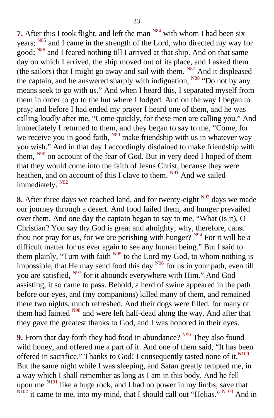**7.** After this I took flight, and left the man  $N<sup>84</sup>$  with whom I had been six years; <sup>[N85](#page--1-0)</sup> and I came in the strength of the Lord, who directed my way for good; <sup>N86</sup> and I feared nothing till I arrived at that ship. And on that same day on which I arrived, the ship moved out of its place, and I asked them (the sailors) that I might go away and sail with them.  $N87$  And it displeased the captain, and he answered sharply with indignation, <sup>[N88](#page--1-0)</sup> "Do not by any means seek to go with us." And when I heard this, I separated myself from them in order to go to the hut where I lodged. And on the way I began to pray; and before I had ended my prayer I heard one of them, and he was calling loudly after me, "Come quickly, for these men are calling you." And immediately I returned to them, and they began to say to me, "Come, for we receive you in good faith,  $^{N89}$  $^{N89}$  $^{N89}$  make friendship with us in whatever way you wish." And in that day I accordingly disdained to make friendship with them, <sup>[N90](#page--1-0)</sup> on account of the fear of God. But in very deed I hoped of them that they would come into the faith of Jesus Christ, because they were heathen, and on account of this I clave to them.  $N<sup>91</sup>$  And we sailed immediately. [N92](#page--1-0)

**8.** After three days we reached land, and for twenty-eight  $N<sup>93</sup>$  days we made our journey through a desert. And food failed them, and hunger prevailed over them. And one day the captain began to say to me, "What (is it), O Christian? You say thy God is great and almighty; why, therefore, canst thou not pray for us, for we are perishing with hunger?  $N<sup>94</sup>$  For it will be a difficult matter for us ever again to see any human being." But I said to them plainly, "Turn with faith  $N^{95}$  to the Lord my God, to whom nothing is impossible, that He may send food this day  $N<sup>96</sup>$  for us in your path, even till you are satisfied, [N97](#page--1-0) for it abounds everywhere with Him." And God assisting, it so came to pass. Behold, a herd of swine appeared in the path before our eyes, and (my companions) killed many of them, and remained there two nights, much refreshed. And their dogs were filled, for many of them had fainted <sup>[N98](#page--1-0)</sup> and were left half-dead along the way. And after that they gave the greatest thanks to God, and I was honored in their eyes.

**9.** From that day forth they had food in abundance? <sup>[N99](#page--1-0)</sup> They also found wild honey, and offered me a part of it. And one of them said, "It has been offered in sacrifice." Thanks to God! I consequently tasted none of it. $N100$ But the same night while I was sleeping, and Satan greatly tempted me, in a way which I shall remember as long as I am in this body. And he fell upon me  $N^{101}$  like a huge rock, and I had no power in my limbs, save that  $\frac{N_{102}}{N_{102}}$  it came to me, into my mind, that I should call out "Helias."  $\frac{N_{103}}{N_{103}}$  And in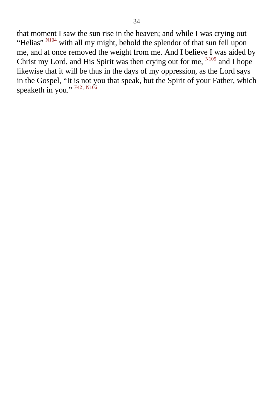that moment I saw the sun rise in the heaven; and while I was crying out "Helias" [N104](#page--1-0) with all my might, behold the splendor of that sun fell upon me, and at once removed the weight from me. And I believe I was aided by Christ my Lord, and His Spirit was then crying out for me,  $N105$  and I hope likewise that it will be thus in the days of my oppression, as the Lord says in the Gospel, "It is not you that speak, but the Spirit of your Father, which speaketh in you."  $F42, N106$  $F42, N106$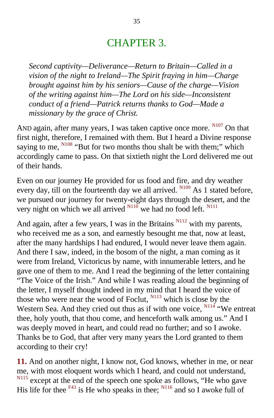# CHAPTER 3.

*Second captivity—Deliverance—Return to Britain—Called in a vision of the night to Ireland—The Spirit fraying in him—Charge brought against him by his seniors—Cause of the charge—Vision of the writing against him—The Lord on his side—Inconsistent conduct of a friend—Patrick returns thanks to God—Made a missionary by the grace of Christ.*

AND again, after many years, I was taken captive once more.  $N107$  On that first night, therefore, I remained with them. But I heard a Divine response saying to me,  $\frac{N108}{N}$  $\frac{N108}{N}$  $\frac{N108}{N}$  "But for two months thou shalt be with them;" which accordingly came to pass. On that sixtieth night the Lord delivered me out of their hands.

Even on our journey He provided for us food and fire, and dry weather every day, till on the fourteenth day we all arrived.  $N109$  As 1 stated before, we pursued our journey for twenty-eight days through the desert, and the very night on which we all arrived [N110](#page--1-0) we had no food left. [N111](#page--1-0)

And again, after a few years, I was in the Britains  $N112$  with my parents, who received me as a son, and earnestly besought me that, now at least, after the many hardships I had endured, I would never leave them again. And there I saw, indeed, in the bosom of the night, a man coming as it were from Ireland, Victoricus by name, with innumerable letters, and he gave one of them to me. And I read the beginning of the letter containing "The Voice of the Irish." And while I was reading aloud the beginning of the letter, I myself thought indeed in my mind that I heard the voice of those who were near the wood of Foclut,  $N113$  which is close by the Western Sea. And they cried out thus as if with one voice, [N114](#page--1-0) "We entreat thee, holy youth, that thou come, and henceforth walk among us." And I was deeply moved in heart, and could read no further; and so I awoke. Thanks be to God, that after very many years the Lord granted to them according to their cry!

**11.** And on another night, I know not, God knows, whether in me, or near me, with most eloquent words which I heard, and could not understand,  $N115$  except at the end of the speech one spoke as follows, "He who gave His life for thee  $F^{43}$  is He who speaks in thee;  $^{N116}$  $^{N116}$  $^{N116}$  and so I awoke full of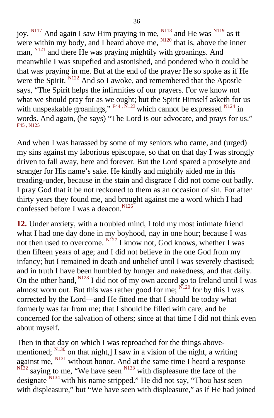joy.  $^{N117}$  $^{N117}$  $^{N117}$  And again I saw Him praying in me,  $^{N118}$  $^{N118}$  $^{N118}$  and He was  $^{N119}$  $^{N119}$  $^{N119}$  as it were within my body, and I heard above me,  $^{N120}$  $^{N120}$  $^{N120}$  that is, above the inner man, <sup>[N121](#page--1-0)</sup> and there He was praying mightily with groanings. And meanwhile I was stupefied and astonished, and pondered who it could be that was praying in me. But at the end of the prayer He so spoke as if He were the Spirit. <sup>[N122](#page--1-0)</sup> And so I awoke, and remembered that the Apostle says, "The Spirit helps the infirmities of our prayers. For we know not what we should pray for as we ought; but the Spirit Himself asketh for us with unspeakable groanings,"  $F^{44}$ ,  $\overline{N123}$  which cannot be expressed  $\overline{N124}$  $\overline{N124}$  $\overline{N124}$  in words. And again, (he says) "The Lord is our advocate, and prays for us." [F45](#page--1-0) , [N125](#page--1-0)

And when I was harassed by some of my seniors who came, and (urged) my sins against my laborious episcopate, so that on that day I was strongly driven to fall away, here and forever. But the Lord spared a proselyte and stranger for His name's sake. He kindly and mightily aided me in this treading-under, because in the stain and disgrace I did not come out badly. I pray God that it be not reckoned to them as an occasion of sin. For after thirty years they found me, and brought against me a word which I had confessed before I was a deacon. $N126$ 

**12.** Under anxiety, with a troubled mind, I told my most intimate friend what I had one day done in my boyhood, nay in one hour; because I was not then used to overcome. N<sup>127</sup> I know not, God knows, whether I was then fifteen years of age; and I did not believe in the one God from my infancy; but I remained in death and unbelief until I was severely chastised; and in truth I have been humbled by hunger and nakedness, and that daily. On the other hand,  $N128$  I did not of my own accord go to Ireland until I was almost worn out. But this was rather good for me;  $\frac{\overline{N}129}{\overline{N}129}$  for by this I was corrected by the Lord—and He fitted me that I should be today what formerly was far from me; that I should be filled with care, and be concerned for the salvation of others; since at that time I did not think even about myself.

Then in that day on which I was reproached for the things abovementioned;  $N130$  on that night, I saw in a vision of the night, a writing against me,  $^{N131}$  $^{N131}$  $^{N131}$  without honor. And at the same time I heard a response  $\frac{N132}{N132}$  $\frac{N132}{N132}$  $\frac{N132}{N132}$  saying to me, "We have seen  $\frac{N133}{N132}$  $\frac{N133}{N132}$  $\frac{N133}{N132}$  with displeasure the face of the designate  $N134$  with his name stripped." He did not say, "Thou hast seen with displeasure," but "We have seen with displeasure," as if He had joined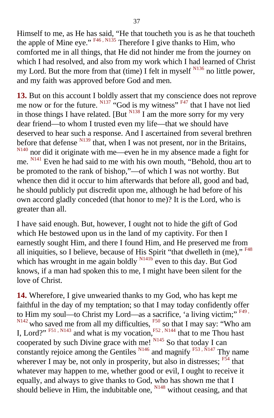Himself to me, as He has said, "He that toucheth you is as he that toucheth the apple of Mine eye."  $F^{46}$ ,  $N135$  Therefore I give thanks to Him, who comforted me in all things, that He did not hinder me from the journey on which I had resolved, and also from my work which I had learned of Christ my Lord. But the more from that (time) I felt in myself  $N136$  no little power, and my faith was approved before God and men.

**13.** But on this account I boldly assert that my conscience does not reprove me now or for the future.  $N137$  "God is my witness"  $F47$  that I have not lied in those things I have related. [But  $N138$  I am the more sorry for my very dear friend—to whom I trusted even my life—that we should have deserved to hear such a response. And I ascertained from several brethren before that defense  $N139$  that, when I was not present, nor in the Britains,  $N<sup>140</sup>$  nor did it originate with me—even he in my absence made a fight for me. <sup>[N141](#page--1-0)</sup> Even he had said to me with his own mouth, "Behold, thou art to be promoted to the rank of bishop,"—of which I was not worthy. But whence then did it occur to him afterwards that before all, good and bad, he should publicly put discredit upon me, although he had before of his own accord gladly conceded (that honor to me)? It is the Lord, who is greater than all.

I have said enough. But, however, I ought not to hide the gift of God which He bestowed upon us in the land of my captivity. For then I earnestly sought Him, and there I found Him, and He preserved me from all iniquities, so I believe, because of His Spirit "that dwelleth in (me)," <sup>[F48](#page--1-0)</sup> which has wrought in me again boldly  $N141b$  even to this day. But God knows, if a man had spoken this to me, I might have been silent for the love of Christ.

**14.** Wherefore, I give unwearied thanks to my God, who has kept me faithful in the day of my temptation; so that I may today confidently offer to Him my soul—to Christ my Lord—as a sacrifice, 'a living victim;" F49,  $N^{142}$  who saved me from all my difficulties,  $^{F50}$  $^{F50}$  $^{F50}$  so that I may say: "Who am I, Lord?"  $F^{51}$ , [N143](#page--1-0) and what is my vocation,  $F^{52}$ , [N144](#page--1-0) that to me Thou hast cooperated by such Divine grace with me! [N145](#page--1-0) So that today I can constantly rejoice among the Gentiles  $N146$  and magnify  $F53, N147$  $F53, N147$  Thy name wherever I may be, not only in prosperity, but also in distresses;  $F<sup>54</sup>$  that whatever may happen to me, whether good or evil, I ought to receive it equally, and always to give thanks to God, who has shown me that I should believe in Him, the indubitable one,  $N148$  without ceasing, and that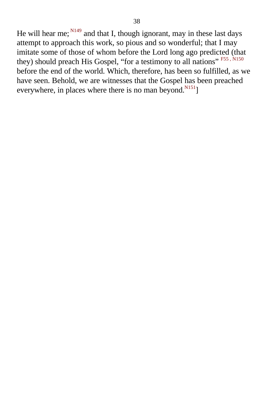He will hear me;  $N149$  and that I, though ignorant, may in these last days attempt to approach this work, so pious and so wonderful; that I may imitate some of those of whom before the Lord long ago predicted (that they) should preach His Gospel, "for a testimony to all nations" F55, [N150](#page--1-0) before the end of the world. Which, therefore, has been so fulfilled, as we have seen. Behold, we are witnesses that the Gospel has been preached everywhere, in places where there is no man beyond. $N151$ ]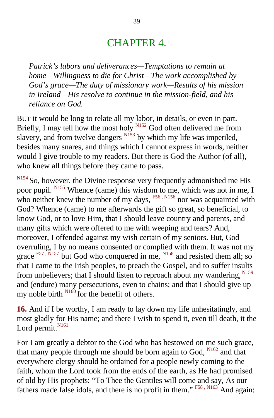# CHAPTER 4.

*Patrick's labors and deliverances—Temptations to remain at home—Willingness to die for Christ—The work accomplished by God's grace—The duty of missionary work—Results of his mission in Ireland—His resolve to continue in the mission-field, and his reliance on God.*

BUT it would be long to relate all my labor, in details, or even in part. Briefly, I may tell how the most holy  $N152$  God often delivered me from slavery, and from twelve dangers  $N153$  by which my life was imperiled, besides many snares, and things which I cannot express in words, neither would I give trouble to my readers. But there is God the Author (of all), who knew all things before they came to pass.

N<sub>154</sub> So, however, the Divine response very frequently admonished me His poor pupil. <sup>[N155](#page--1-0)</sup> Whence (came) this wisdom to me, which was not in me, I who neither knew the number of my days,  $F56, N156$  $F56, N156$  nor was acquainted with God? Whence (came) to me afterwards the gift so great, so beneficial, to know God, or to love Him, that I should leave country and parents, and many gifts which were offered to me with weeping and tears? And, moreover, I offended against my wish certain of my seniors. But, God overruling, I by no means consented or complied with them. It was not my grace  $F57, N157$  $F57, N157$  but God who conquered in me,  $N158$  and resisted them all; so that I came to the Irish peoples, to preach the Gospel, and to suffer insults from unbelievers; that I should listen to reproach about my wandering, [N159](#page--1-0) and (endure) many persecutions, even to chains; and that I should give up my noble birth  $N160$  for the benefit of others.

**16.** And if I be worthy, I am ready to lay down my life unhesitatingly, and most gladly for His name; and there I wish to spend it, even till death, it the Lord permit. $N161$ 

For I am greatly a debtor to the God who has bestowed on me such grace, that many people through me should be born again to God, [N162](#page--1-0) and that everywhere clergy should be ordained for a people newly coming to the faith, whom the Lord took from the ends of the earth, as He had promised of old by His prophets: "To Thee the Gentiles will come and say, As our fathers made false idols, and there is no profit in them."  $F^{58}$ ,  $N163$  And again: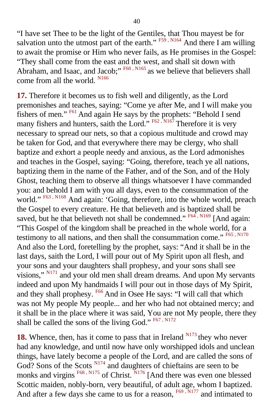"I have set Thee to be the light of the Gentiles, that Thou mayest be for salvation unto the utmost part of the earth."  $F59$ , [N164](#page--1-0) And there I am willing to await the promise or Him who never fails, as He promises in the Gospel: "They shall come from the east and the west, and shall sit down with Abraham, and Isaac, and Jacob;"  $F^{60}$ , N<sub>165</sub> as we believe that believers shall come from all the world. [N166](#page--1-0)

**17.** Therefore it becomes us to fish well and diligently, as the Lord premonishes and teaches, saying: "Come ye after Me, and I will make you fishers of men." <sup>F61</sup> And again He says by the prophets: "Behold I send many fishers and hunters, saith the Lord." F<sup>62, N167</sup> Therefore it is very necessary to spread our nets, so that a copious multitude and crowd may be taken for God, and that everywhere there may be clergy, who shall baptize and exhort a people needy and anxious, as the Lord admonishes and teaches in the Gospel, saying: "Going, therefore, teach ye all nations, baptizing them in the name of the Father, and of the Son, and of the Holy Ghost, teaching them to observe all things whatsoever I have commanded you: and behold I am with you all days, even to the consummation of the world." F63, [N168](#page--1-0) And again: 'Going, therefore, into the whole world, preach the Gospel to every creature. He that believeth and is baptized shall be saved, but he that believeth not shall be condemned."  $F<sup>64</sup>$ , N<sub>169</sub> [And again: "This Gospel of the kingdom shall be preached in the whole world, for a testimony to all nations, and then shall the consummation come."  $F65, N170$  $F65, N170$ And also the Lord, foretelling by the prophet, says: "And it shall be in the last days, saith the Lord, I will pour out of My Spirit upon all flesh, and your sons and your daughters shall prophesy, and your sons shall see visions," <sup>[N171](#page--1-0)</sup> and your old men shall dream dreams. And upon My servants indeed and upon My handmaids I will pour out in those days of My Spirit, and they shall prophesy. <sup>F66</sup> And in Osee He says: "I will call that which was not My people My people... and her who had not obtained mercy; and it shall be in the place where it was said, You are not My people, there they shall be called the sons of the living God." F67, [N172](#page--1-0)

**18.** Whence, then, has it come to pass that in Ireland  $N173$  they who never had any knowledge, and until now have only worshipped idols and unclean things, have lately become a people of the Lord, and are called the sons of God? Sons of the Scots N<sub>174</sub> and daughters of chieftains are seen to be monks and virgins <sup>F68</sup>, N<sub>175</sub> of Christ. N<sub>176</sub> [And there was even one blessed Scottic maiden, nobly-born, very beautiful, of adult age, whom I baptized. And after a few days she came to us for a reason,  $F<sup>69</sup>$ ,  $N177$  and intimated to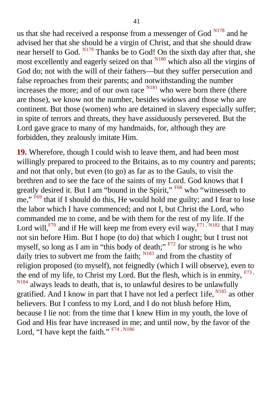us that she had received a response from a messenger of God  $N178$  and he advised her that she should be a virgin of Christ, and that she should draw near herself to God. [N179](#page--1-0) Thanks be to God! On the sixth day after that, she most excellently and eagerly seized on that <sup>[N180](#page--1-0)</sup> which also all the virgins of God do; not with the will of their fathers—but they suffer persecution and false reproaches from their parents; and notwithstanding the number increases the more; and of our own race  $N181$  who were born there (there are those), we know not the number, besides widows and those who are continent. But those (women) who are detained in slavery especially suffer; in spite of terrors and threats, they have assiduously persevered. But the Lord gave grace to many of my handmaids, for, although they are forbidden, they zealously imitate Him.

**19.** Wherefore, though I could wish to leave them, and had been most willingly prepared to proceed to the Britains, as to my country and parents; and not that only, but even (to go) as far as to the Gauls, to visit the brethren and to see the face of the saints of my Lord. God knows that I greatly desired it. But I am "bound in the Spirit," <sup>[F68](#page--1-0)</sup> who "witnesseth to me," F<sub>69</sub> that if I should do this, He would hold me guilty; and I fear to lose the labor which I have commenced; and not I, but Christ the Lord, who commanded me to come, and be with them for the rest of my life. If the Lord will,  $F^{70}$  and if He will keep me from every evil way,  $F^{71}$ ,  $N182$  that I may not sin before Him. But I hope (to do) that which I ought; but I trust not myself, so long as I am in "this body of death;"  $F<sup>72</sup>$  for strong is he who daily tries to subvert me from the faith; [N183](#page--1-0) and from the chastity of religion proposed (to myself), not feignedly (which I will observe), even to the end of my life, to Christ my Lord. But the flesh, which is in enmity,  $F^{73}$ ,  $F^{184}$  always leads to death, that is to unlawful desires to be unlawfully always leads to death, that is, to unlawful desires to be unlawfully gratified. And I know in part that I have not led a perfect 1ife, [N185](#page--1-0) as other believers. But I confess to my Lord, and I do not blush before Him, because I lie not: from the time that I knew Him in my youth, the love of God and His fear have increased in me; and until now, by the favor of the Lord, "I have kept the faith." F74, [N186](#page--1-0)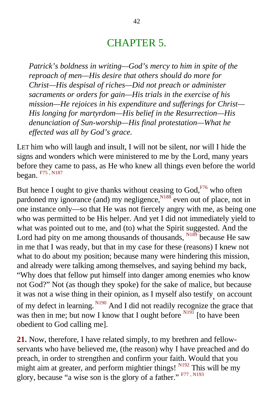# CHAPTER 5.

*Patrick's boldness in writing—God's mercy to him in spite of the reproach of men—His desire that others should do more for Christ—His despisal of riches—Did not preach or administer sacraments or orders for gain—His trials in the exercise of his mission—He rejoices in his expenditure and sufferings for Christ— His longing for martyrdom—His belief in the Resurrection—His denunciation of Sun-worship—His final protestation—What he effected was all by God's grace.*

LET him who will laugh and insult, I will not be silent, nor will I hide the signs and wonders which were ministered to me by the Lord, many years before they came to pass, as He who knew all things even before the world began. [F75](#page--1-0) , [N187](#page--1-0)

But hence I ought to give thanks without ceasing to  $God<sub>1</sub><sup>F76</sup>$  $God<sub>1</sub><sup>F76</sup>$  $God<sub>1</sub><sup>F76</sup>$  who often pardoned my ignorance (and) my negligence,<sup>[N188](#page--1-0)</sup> even out of place, not in one instance only—so that He was not fiercely angry with me, as being one who was permitted to be His helper. And yet I did not immediately yield to what was pointed out to me, and (to) what the Spirit suggested. And the Lord had pity on me among thousands of thousands,  $N189$  because He saw in me that I was ready, but that in my case for these (reasons) I knew not what to do about my position; because many were hindering this mission, and already were talking among themselves, and saying behind my back, "Why does that fellow put himself into danger among enemies who know not God?" Not (as though they spoke) for the sake of malice, but because it was not a wise thing in their opinion, as I myself also testify, on account of my defect in learning. [N190](#page--1-0) And I did not readily recognize the grace that was then in me; but now I know that I ought before  $N191$  [to have been obedient to God calling me].

**21.** Now, therefore, I have related simply, to my brethren and fellowservants who have believed me, (the reason) why I have preached and do preach, in order to strengthen and confirm your faith. Would that you might aim at greater, and perform mightier things!  $N192$  This will be my glory, because "a wise son is the glory of a father." F77, [N193](#page--1-0)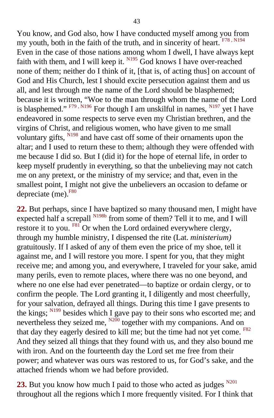You know, and God also, how I have conducted myself among you from my youth, both in the faith of the truth, and in sincerity of heart. [F78](#page--1-0) , [N194](#page--1-0) Even in the case of those nations among whom I dwell, I have always kept faith with them, and I will keep it.  $N195$  God knows I have over-reached none of them; neither do I think of it, [that is, of acting thus] on account of God and His Church, lest I should excite persecution against them and us all, and lest through me the name of the Lord should be blasphemed; because it is written, "Woe to the man through whom the name of the Lord is blasphemed."  $F^{79}$ ,  $^{N196}$  For though I am unskilful in names,  $^{N197}$  $^{N197}$  $^{N197}$  yet I have endeavored in some respects to serve even my Christian brethren, and the virgins of Christ, and religious women, who have given to me small voluntary gifts,  $N198$  and have cast off some of their ornaments upon the altar; and I used to return these to them; although they were offended with me because I did so. But I (did it) for the hope of eternal life, in order to keep myself prudently in everything, so that the unbelieving may not catch me on any pretext, or the ministry of my service; and that, even in the smallest point, I might not give the unbelievers an occasion to defame or depreciate (me). $F80$ 

**22.** But perhaps, since I have baptized so many thousand men, I might have expected half a screpall <sup>N198b</sup> from some of them? Tell it to me, and I will restore it to you.  $F^{81}$  Or when the Lord ordained everywhere clergy, through my humble ministry, I dispensed the rite (Lat. *ministerium)* gratuitously. If I asked of any of them even the price of my shoe, tell it against me, and I will restore you more. I spent for you, that they might receive me; and among you, and everywhere, I traveled for your sake, amid many perils, even to remote places, where there was no one beyond, and where no one else had ever penetrated—to baptize or ordain clergy, or to confirm the people. The Lord granting it, I diligently and most cheerfully, for your salvation, defrayed all things. During this time I gave presents to the kings;  $N^{199}$  besides which I gave pay to their sons who escorted me; and nevertheless they seized me,  $N200$  together with my companions. And on that day they eagerly desired to kill me; but the time had not yet come. <sup>[F82](#page--1-0)</sup> And they seized all things that they found with us, and they also bound me with iron. And on the fourteenth day the Lord set me free from their power; and whatever was ours was restored to us, for God's sake, and the attached friends whom we had before provided.

**23.** But you know how much I paid to those who acted as judges  $N^{201}$ throughout all the regions which I more frequently visited. For I think that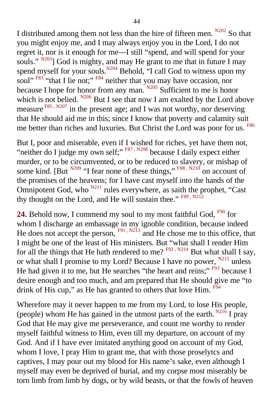I distributed among them not less than the hire of fifteen men.  $N202$  So that you might enjoy me, and I may always enjoy you in the Lord, I do not regret it, nor is it enough for me—I still "spend, and will spend for your souls."  $N^{203}$ ] God is mighty, and may He grant to me that in future I may spend myself for your souls. $N^{204}$  Behold, "I call God to witness upon my soul" [F83](#page--1-0) "that I lie not;" [F84](#page--1-0) neither that you may have occasion, nor because I hope for honor from any man.  $N205$  Sufficient to me is honor which is not belied. <sup>[N206](#page--1-0)</sup> But I see that now I am exalted by the Lord above measure  $F^{85, N207}$  $F^{85, N207}$  $F^{85, N207}$  in the present age; and I was not worthy, nor deserving that He should aid me in this; since I know that poverty and calamity suit me better than riches and luxuries. But Christ the Lord was poor for us. [F86](#page--1-0)

But I, poor and miserable, even if I wished for riches, yet have them not, "neither do I judge my own self;"  $F^{87}$ ,  $N208$  because I daily expect either murder, or to be circumvented, or to be reduced to slavery, or mishap of some kind. [But  $N^{209}$  "I fear none of these things,"  $F^{88}$ ,  $N^{210}$  on account of the promises of the heavens; for I have cast myself into the hands of the Omnipotent God, who  $^{N211}$  $^{N211}$  $^{N211}$  rules everywhere, as saith the prophet, "Cast thy thought on the Lord, and He will sustain thee." F89, [N212](#page--1-0)

**24.** Behold now, I commend my soul to my most faithful God,  $\frac{F90}{F90}$  $\frac{F90}{F90}$  $\frac{F90}{F90}$  for whom I discharge an embassage in my ignoble condition, because indeed He does not accept the person,  $F91, N213$  $F91, N213$  and He chose me to this office, that I might be one of the least of His ministers. But "what shall I render Him for all the things that He hath rendered to me?  $F^{92}$ ,  $N214$  But what shall I say, or what shall I promise to my Lord? Because I have no power,  $N215$  unless He had given it to me, but He searches "the heart and reins;" [F93](#page--1-0) because I desire enough and too much, and am prepared that He should give me "to drink of His cup," as He has granted to others that love Him.  $F<sup>94</sup>$ 

Wherefore may it never happen to me from my Lord, to lose His people, (people) whom He has gained in the utmost parts of the earth.  $N21\overline{6}$  I pray God that He may give me perseverance, and count me worthy to render myself faithful witness to Him, even till my departure, on account of my God. And if I have ever imitated anything good on account of my God, whom I love, I pray Him to grant me, that with those proselytes and captives, I may pour out my blood for His name's sake, even although I myself may even be deprived of burial, and my corpse most miserably be torn limb from limb by dogs, or by wild beasts, or that the fowls of heaven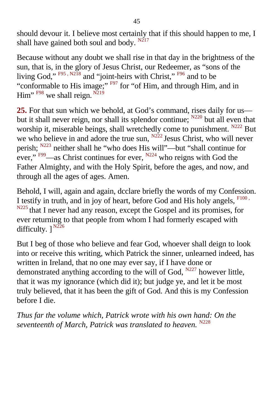should devour it. I believe most certainly that if this should happen to me, I shall have gained both soul and body. [N217](#page--1-0)

Because without any doubt we shall rise in that day in the brightness of the sun, that is, in the glory of Jesus Christ, our Redeemer, as "sons of the living God,"  $F^{95}$ ,  $N2\overline{18}$  and "joint-heirs with Christ,"  $F^{96}$  and to be "conformable to His image;" [F97](#page--1-0) for "of Him, and through Him, and in Him"  $F^{98}$  we shall reign.  $N219$ 

**25.** For that sun which we behold, at God's command, rises daily for us but it shall never reign, nor shall its splendor continue;  $N220$  but all even that worship it, miserable beings, shall wretchedly come to punishment.  $N222$  But we who believe in and adore the true sun,  $N222$  Jesus Christ, who will never perish; [N223](#page--1-0) neither shall he "who does His will"—but "shall continue for ever,"  $F99$ —as Christ continues for ever,  $N224$  who reigns with God the Father Almighty, and with the Holy Spirit, before the ages, and now, and through all the ages of ages. Amen.

Behold, I will, again and again, dcclare briefly the words of my Confession. I testify in truth, and in joy of heart, before God and His holy angels,  $F100$ ,  $N<sup>225</sup>$  that I never had any reason, except the Gospel and its promises, for ever returning to that people from whom I had formerly escaped with difficulty.  $1^{N226}$ 

But I beg of those who believe and fear God, whoever shall deign to look into or receive this writing, which Patrick the sinner, unlearned indeed, has written in Ireland, that no one may ever say, if I have done or demonstrated anything according to the will of God,  $N227$  however little, that it was my ignorance (which did it); but judge ye, and let it be most truly believed, that it has been the gift of God. And this is my Confession before I die.

*Thus far the volume which, Patrick wrote with his own hand: On the* seventeenth of March, Patrick was translated to heaven. [N228](#page--1-0)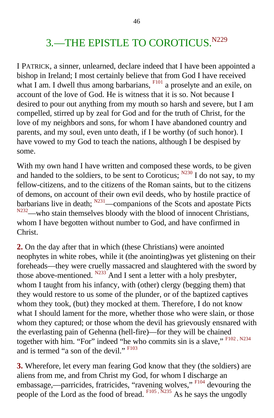# 3. THE EPISTLE TO COROTICUS. [N229](#page--1-0)

I PATRICK, a sinner, unlearned, declare indeed that I have been appointed a bishop in Ireland; I most certainly believe that from God I have received what I am. I dwell thus among barbarians,  $F101}$  $F101}$  a proselyte and an exile, on account of the love of God. He is witness that it is so. Not because I desired to pour out anything from my mouth so harsh and severe, but I am compelled, stirred up by zeal for God and for the truth of Christ, for the love of my neighbors and sons, for whom I have abandoned country and parents, and my soul, even unto death, if I be worthy (of such honor). I have vowed to my God to teach the nations, although I be despised by some.

With my own hand I have written and composed these words, to be given and handed to the soldiers, to be sent to Coroticus;  $N^{230}$  I do not say, to my fellow-citizens, and to the citizens of the Roman saints, but to the citizens of demons, on account of their own evil deeds, who by hostile practice of barbarians live in death;  $N^{231}$ —companions of the Scots and apostate Picts  $N<sup>232</sup>$ —who stain themselves bloody with the blood of innocent Christians, whom I have begotten without number to God, and have confirmed in Christ.

**2.** On the day after that in which (these Christians) were anointed neophytes in white robes, while it (the anointing)was yet glistening on their foreheads—they were cruelly massacred and slaughtered with the sword by those above-mentioned.  $N233$  And I sent a letter with a holy presbyter, whom I taught from his infancy, with (other) clergy (begging them) that they would restore to us some of the plunder, or of the baptized captives whom they took, (but) they mocked at them. Therefore, I do not know what I should lament for the more, whether those who were slain, or those whom they captured; or those whom the devil has grievously ensnared with the everlasting pain of Gehenna (hell-fire)—for they will be chained together with him. "For" indeed "he who commits sin is a slave," F102, [N234](#page--1-0) and is termed "a son of the devil." [F103](#page--1-0)

**3.** Wherefore, let every man fearing God know that they (the soldiers) are aliens from me, and from Christ my God, for whom I discharge an embassage,—parricides, fratricides, "ravening wolves," [F104](#page--1-0) devouring the people of the Lord as the food of bread. [F105](#page--1-0) , [N235](#page--1-0) As he says the ungodly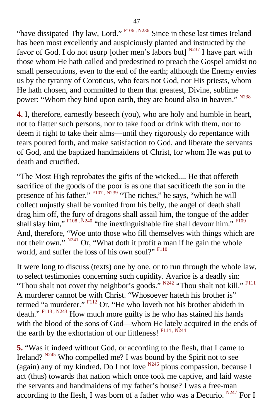"have dissipated Thy law, Lord." F106, [N236](#page--1-0) Since in these last times Ireland has been most excellently and auspiciously planted and instructed by the favor of God. I do not usurp [other men's labors but]  $N237$  I have part with those whom He hath called and predestined to preach the Gospel amidst no small persecutions, even to the end of the earth; although the Enemy envies us by the tyranny of Coroticus, who fears not God, nor His priests, whom He hath chosen, and committed to them that greatest, Divine, sublime power: "Whom they bind upon earth, they are bound also in heaven." <sup>[N238](#page--1-0)</sup>

**4.** I, therefore, earnestly beseech (you), who are holy and humble in heart, not to flatter such persons, nor to take food or drink with them, nor to deem it right to take their alms—until they rigorously do repentance with tears poured forth, and make satisfaction to God, and liberate the servants of God, and the baptized handmaidens of Christ, for whom He was put to death and crucified.

"The Most High reprobates the gifts of the wicked.... He that offereth sacrifice of the goods of the poor is as one that sacrificeth the son in the presence of his father." F<sup>107, [N239](#page--1-0)</sup> "The riches," he says, "which he will collect unjustly shall be vomited from his belly, the angel of death shall drag him off, the fury of dragons shall assail him, the tongue of the adder shall slay him,"  $F108, N240$  $F108, N240$  "the inextinguishable fire shall devour him."  $F109$ And, therefore, "Woe unto those who fill themselves with things which are not their own." <sup>[N241](#page--1-0)</sup> Or, "What doth it profit a man if he gain the whole world, and suffer the loss of his own soul?" [F110](#page--1-0)

It were long to discuss (texts) one by one, or to run through the whole law, to select testimonies concerning such cupidity. Avarice is a deadly sin: "Thou shalt not covet thy neighbor's goods." <sup>[N242](#page--1-0)</sup> "Thou shalt not kill." F<sup>111</sup> A murderer cannot be with Christ. "Whosoever hateth his brother is" termed "a murderer." [F112](#page--1-0) Or, "He who loveth not his brother abideth in death."  $F113, N243$  $F113, N243$  How much more guilty is he who has stained his hands with the blood of the sons of God—whom He lately acquired in the ends of the earth by the exhortation of our littleness!  $F114, N244$  $F114, N244$ 

**5.** "Was it indeed without God, or according to the flesh, that I came to Ireland?  $N^{245}$  Who compelled me? I was bound by the Spirit not to see (again) any of my kindred. Do I not love  $N^{246}$  pious compassion, because I act (thus) towards that nation which once took me captive, and laid waste the servants and handmaidens of my father's house? I was a free-man according to the flesh, I was born of a father who was a Decurio.  $^{N247}$  $^{N247}$  $^{N247}$  For I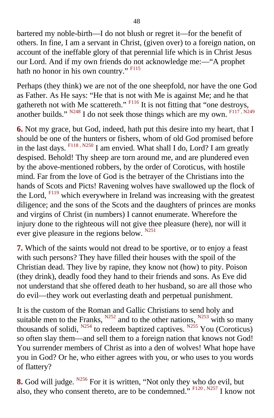bartered my noble-birth—I do not blush or regret it—for the benefit of others. In fine, I am a servant in Christ, (given over) to a foreign nation, on account of the ineffable glory of that perennial life which is in Christ Jesus our Lord. And if my own friends do not acknowledge me:—"A prophet hath no honor in his own country." [F115](#page--1-0)

Perhaps (they think) we are not of the one sheepfold, nor have the one God as Father. As He says: "He that is not with Me is against Me; and he that gathereth not with Me scattereth." [F116](#page--1-0) It is not fitting that "one destroys, another builds."  $N^{248}$  I do not seek those things which are my own.  $F^{117}$ ,  $N^{249}$ 

**6.** Not my grace, but God, indeed, hath put this desire into my heart, that I should be one of the hunters or fishers, whom of old God promised before in the last days.  $F^{118}$ ,  $N250$  I am envied. What shall I do, Lord? I am greatly despised. Behold! Thy sheep are torn around me, and are plundered even by the above-mentioned robbers, by the order of Coroticus, with hostile mind. Far from the love of God is the betrayer of the Christians into the hands of Scots and Picts! Ravening wolves have swallowed up the flock of the Lord, [F119](#page--1-0) which everywhere in Ireland was increasing with the greatest diligence; and the sons of the Scots and the daughters of princes are monks and virgins of Christ (in numbers) I cannot enumerate. Wherefore the injury done to the righteous will not give thee pleasure (here), nor will it ever give pleasure in the regions below.  $N251$ 

**7.** Which of the saints would not dread to be sportive, or to enjoy a feast with such persons? They have filled their houses with the spoil of the Christian dead. They live by rapine, they know not (how) to pity. Poison (they drink), deadly food they hand to their friends and sons. As Eve did not understand that she offered death to her husband, so are all those who do evil—they work out everlasting death and perpetual punishment.

It is the custom of the Roman and Gallic Christians to send holy and suitable men to the Franks,  $N252$  and to the other nations,  $N253$  with so many thousands of solidi,  $N254$  to redeem baptized captives.  $N255$  You (Coroticus) so often slay them—and sell them to a foreign nation that knows not God! You surrender members of Christ as into a den of wolves! What hope have you in God? Or he, who either agrees with you, or who uses to you words of flattery?

**8.** God will judge. <sup>[N256](#page--1-0)</sup> For it is written, "Not only they who do evil, but also, they who consent thereto, are to be condemned." F120, [N257](#page--1-0) I know not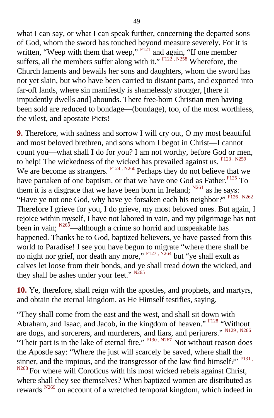what I can say, or what I can speak further, concerning the departed sons of God, whom the sword has touched beyond measure severely. For it is written, "Weep with them that weep,"  $F^{121}$  and again, "If one member suffers, all the members suffer along with it."  $F122, N258$  $F122, N258$  Wherefore, the Church laments and bewails her sons and daughters, whom the sword has not yet slain, but who have been carried to distant parts, and exported into far-off lands, where sin manifestly is shamelessly stronger, [there it impudently dwells and] abounds. There free-born Christian men having been sold are reduced to bondage—(bondage), too, of the most worthless, the vilest, and apostate Picts!

**9.** Therefore, with sadness and sorrow I will cry out, O my most beautiful and most beloved brethren, and sons whom I begot in Christ—I cannot count you—what shall I do for you? I am not worthy, before God or men, to help! The wickedness of the wicked has prevailed against us. F123, [N259](#page--1-0) We are become as strangers.  $F124, N260$  Perhaps they do not believe that we have partaken of one baptism, or that we have one God as Father. $F^{125}$  To them it is a disgrace that we have been born in Ireland;  $N^{261}$  as he says: "Have ye not one God, why have ye forsaken each his neighbor?" F126, [N262](#page--1-0) Therefore I grieve for you, I do grieve, my most beloved ones. But again, I rejoice within myself, I have not labored in vain, and my pilgrimage has not been in vain;  $N263$ —although a crime so horrid and unspeakable has happened. Thanks be to God, baptized believers, ye have passed from this world to Paradise! I see you have begun to migrate "where there shall be no night nor grief, nor death any more,"  $F127, N264$  $F127, N264$  but "ye shall exult as calves let loose from their bonds, and ye shall tread down the wicked, and they shall be ashes under your feet."  $N265$ 

**10.** Ye, therefore, shall reign with the apostles, and prophets, and martyrs, and obtain the eternal kingdom, as He Himself testifies, saying,

"They shall come from the east and the west, and shall sit down with Abraham, and Isaac, and Jacob, in the kingdom of heaven." F<sup>128</sup> "Without are dogs, and sorcerers, and murderers, and liars, and perjurers." N129, [N266](#page--1-0) "Their part is in the lake of eternal fire."  $F130, N267$  $F130, N267$  Not without reason does the Apostle say: "Where the just will scarcely be saved, where shall the sinner, and the impious, and the transgressor of the law find himself?" F131,  $N^{268}$  For where will Coroticus with his most wicked rebels against Christ, where shall they see themselves? When baptized women are distributed as rewards [N269](#page--1-0) on account of a wretched temporal kingdom, which indeed in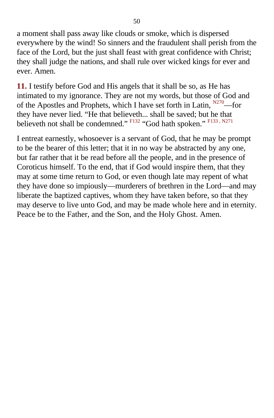a moment shall pass away like clouds or smoke, which is dispersed everywhere by the wind! So sinners and the fraudulent shall perish from the face of the Lord, but the just shall feast with great confidence with Christ; they shall judge the nations, and shall rule over wicked kings for ever and ever. Amen.

**11.** I testify before God and His angels that it shall be so, as He has intimated to my ignorance. They are not my words, but those of God and of the Apostles and Prophets, which I have set forth in Latin,  $N270$ —for they have never lied. "He that believeth... shall be saved; but he that believeth not shall be condemned." [F132](#page--1-0) "God hath spoken." F133, [N271](#page--1-0)

I entreat earnestly, whosoever is a servant of God, that he may be prompt to be the bearer of this letter; that it in no way be abstracted by any one, but far rather that it be read before all the people, and in the presence of Coroticus himself. To the end, that if God would inspire them, that they may at some time return to God, or even though late may repent of what they have done so impiously—murderers of brethren in the Lord—and may liberate the baptized captives, whom they have taken before, so that they may deserve to live unto God, and may be made whole here and in eternity. Peace be to the Father, and the Son, and the Holy Ghost. Amen.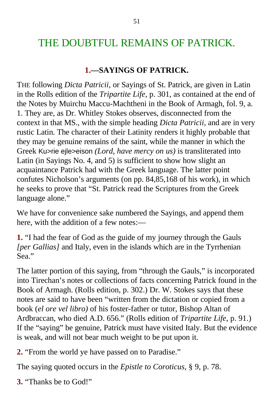# THE DOUBTFUL REMAINS OF PATRICK.

## **1.—SAYINGS OF PATRICK.**

THE following *Dicta Patricii,* or Sayings of St. Patrick, are given in Latin in the Rolls edition of the *Tripartite Life,* p. 301, as contained at the end of the Notes by Muirchu Maccu-Machtheni in the Book of Armagh, fol. 9, a. 1. They are, as Dr. Whitley Stokes observes, disconnected from the context in that MS., with the simple heading *Dicta Patricii,* and are in very rustic Latin. The character of their Latinity renders it highly probable that they may be genuine remains of the saint, while the manner in which the Greek Ku>rie ejle>eison *(Lord, have mercy on us)* is transliterated into Latin (in Sayings No. 4, and 5) is sufficient to show how slight an acquaintance Patrick had with the Greek language. The latter point confutes Nicholson's arguments (on pp. 84,85,168 of his work), in which he seeks to prove that "St. Patrick read the Scriptures from the Greek language alone."

We have for convenience sake numbered the Sayings, and append them here, with the addition of a few notes:—

**1.** "I had the fear of God as the guide of my journey through the Gauls *[per Gallias]* and Italy, even in the islands which are in the Tyrrhenian Sea."

The latter portion of this saying, from "through the Gauls," is incorporated into Tirechan's notes or collections of facts concerning Patrick found in the Book of Armagh. (Rolls edition, p. 302.) Dr. W. Stokes says that these notes are said to have been "written from the dictation or copied from a book (*el ore vel libro)* of his foster-father or tutor, Bishop Altan of Ardbraccan, who died A.D. 656." (Rolls edition of *Tripartite Life,* p. 91.) If the "saying" be genuine, Patrick must have visited Italy. But the evidence is weak, and will not bear much weight to be put upon it.

**2.** "From the world ye have passed on to Paradise."

The saying quoted occurs in the *Epistle to Coroticus,* § 9, p. 78.

**3.** "Thanks be to God!"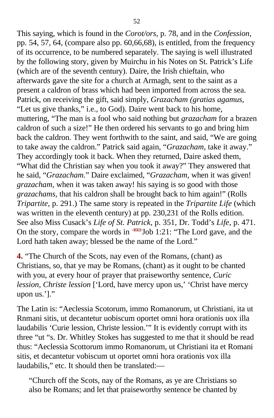This saying, which is found in the *Corot/ors,* p. 78, and in the *Confession,* pp. 54, 57, 64, (compare also pp. 60,66,68), is entitled, from the frequency of its occurrence, to be numbered separately. The saying is well illustrated by the following story, given by Muirchu in his Notes on St. Patrick's Life (which are of the seventh century). Daire, the Irish chieftain, who afterwards gave the site for a church at Armagh, sent to the saint as a present a caldron of brass which had been imported from across the sea. Patrick, on receiving the gift, said simply, *Grazacham (gratias agamus,* "Let us give thanks," i.e., to God). Daire went back to his home, muttering, "The man is a fool who said nothing but *grazacham* for a brazen caldron of such a size!" He then ordered his servants to go and bring him back the caldron. They went forthwith to the saint, and said, "We are going to take away the caldron." Patrick said again, "*Grazacham,* take it away." They accordingly took it back. When they returned, Daire asked them, "What did the Christian say when you took it away?" They answered that he said, "*Grazacham.*" Daire exclaimed, "*Grazacham,* when it was given! *grazacham,* when it was taken away! his saying is so good with those *grazachams,* that his caldron shall be brought back to him again!" (Rolls *Tripartite*, p. 291.) The same story is repeated in the *Tripartite Life* (which was written in the eleventh century) at pp. 230,231 of the Rolls edition. See also Miss Cusack's *Life of St. Patrick,* p. 351*,* Dr. Todd's *Life,* p. 471. On the story, compare the words in  $\frac{18025}{100}$  1:21: "The Lord gave, and the Lord hath taken away; blessed be the name of the Lord."

**4.** "The Church of the Scots, nay even of the Romans, (chant) as Christians, so, that ye may be Romans, (chant) as it ought to be chanted with you, at every hour of prayer that praiseworthy sentence, *Curic lession, Christe lession* ['Lord, have mercy upon us,' 'Christ have mercy upon us.']."

The Latin is: "Aeclessia Scotorum, immo Romanorum, ut Christiani, ita ut Rnmani sitis, ut decantetur uobiscum oportet omni hora orationis uox illa laudabilis 'Curie lession, Christe lession.'" It is evidently corrupt with its three "ut "s. Dr. Whitley Stokes has suggested to me that it should be read thus: "Aeclessia Scottorum immo Romanorum, ut Christiani ita et Romani sitis, et decantetur vobiscum ut oportet omni hora orationis vox illa laudabilis," etc. It should then be translated:—

"Church off the Scots, nay of the Romans, as ye are Christians so also be Romans; and let that praiseworthy sentence be chanted by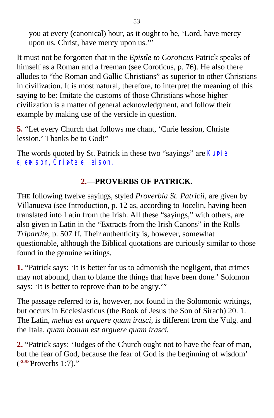you at every (canonical) hour, as it ought to be, 'Lord, have mercy upon us, Christ, have mercy upon us.'"

It must not be forgotten that in the *Epistle to Coroticus* Patrick speaks of himself as a Roman and a freeman (see Coroticus, p. 76). He also there alludes to "the Roman and Gallic Christians" as superior to other Christians in civilization. It is most natural, therefore, to interpret the meaning of this saying to be: Imitate the customs of those Christians whose higher civilization is a matter of general acknowledgment, and follow their example by making use of the versicle in question.

**5.** "Let every Church that follows me chant, 'Curie lession, Christe lession.' Thanks be to God!"

The words quoted by St. Patrick in these two "sayings" are **Kupie** ej eeison, Criste ej eison.

### **2.—PROVERBS OF PATRICK.**

THE following twelve sayings, styled *Proverbia St. Patricii,* are given by Villanueva (see Introduction, p. 12 as, according to Jocelin, having been translated into Latin from the Irish. All these "sayings," with others, are also given in Latin in the "Extracts from the Irish Canons" in the Rolls *Tripartite,* p. 507 ff. Their authenticity is, however, somewhat questionable, although the Biblical quotations are curiously similar to those found in the genuine writings.

**1.** "Patrick says: 'It is better for us to admonish the negligent, that crimes may not abound, than to blame the things that have been done.' Solomon says: 'It is better to reprove than to be angry.'"

The passage referred to is, however, not found in the Solomonic writings, but occurs in Ecclesiasticus (the Book of Jesus the Son of Sirach) 20. 1. The Latin, *melius est arguere quam irasci,* is different from the Vulg. and the Itala, *quam bonum est arguere quam irasci.*

**2.** "Patrick says: 'Judges of the Church ought not to have the fear of man, but the fear of God, because the fear of God is the beginning of wisdom'  $\left( \sqrt[2000]{\text{Proverbs}} 1:7 \right)$ ."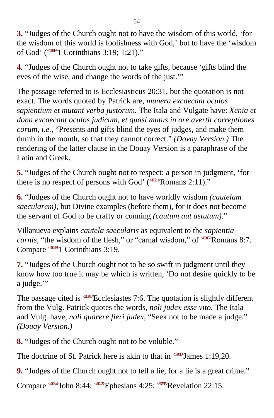**3.** "Judges of the Church ought not to have the wisdom of this world, 'for the wisdom of this world is foolishness with God,' but to have the 'wisdom of God' (<4609) Corinthians 3:19; 1:21)."

**4.** "Judges of the Church ought not to take gifts, because 'gifts blind the eves of the wise, and change the words of the just.'"

The passage referred to is Ecclesiasticus 20:31, but the quotation is not exact. The words quoted by Patrick are, *munera excaecant oculos sapientium et mutant verba justorum.* The Itala and Vulgate have: *Xenia et dona excaecant oculos judicum, et quasi mutus in ore avertit correptiones corum, i.e.,* "Presents and gifts blind the eyes of judges, and make them dumb in the mouth, so that they cannot correct." *(Dovay Version.)* The rendering of the latter clause in the Douay Version is a paraphrase of the Latin and Greek.

**5.** "Judges of the Church ought not to respect: a person in judgment, 'for there is no respect of persons with God' ( $\text{FMD}$ Romans 2:11)."

**6.** "Judges of the Church ought not to have worldly wisdom *(cautelam saecularem),* but Divine examples (before them), for it does not become the servant of God to be crafty or cunning *(cautum aut astutum).*"

Villanueva explains *cautela saecularis* as equivalent to the *sapientia carnis,* "the wisdom of the flesh," or "carnal wisdom," of  $\frac{4500}{100}$ Romans 8:7. Compare <4689>1 Corinthians 3:19.

**7.** "Judges of the Church ought not to be so swift in judgment until they know how too true it may be which is written, 'Do not desire quickly to be a judge."

The passage cited is  $\frac{2006}{2006}$ Ecclesiastes 7:6. The quotation is slightly different from the Vulg. Patrick quotes the words, *noli judex esse vito.* The Itala and Vulg. have, *noli quarere fieri judex,* "Seek not to be made a judge." *(Douay Version.)*

**8.** "Judges of the Church ought not to be voluble."

The doctrine of St. Patrick here is akin to that in  $\frac{3019}{2}$ James 1:19,20.

**9.** "Judges of the Church ought not to tell a lie, for a lie is a great crime."

Compare  $4884 \text{J}$ Ohn 8:44;  $4925$  Ephesians 4:25;  $4825 \text{J}$  Revelation 22:15.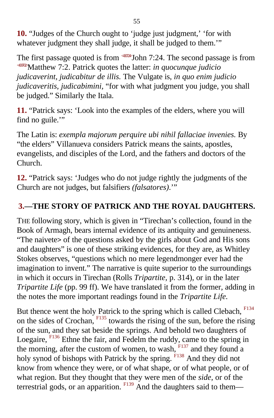**10.** "Judges of the Church ought to 'judge just judgment,' 'for with whatever judgment they shall judge, it shall be judged to them.""

The first passage quoted is from  $\frac{4026}{2}$ John 7:24. The second passage is from <400702>Matthew 7:2. Patrick quotes the latter: *in quocunque judicio judicaverint, judicabitur de illis.* The Vulgate is, *in quo enim judicio judicaveritis, judicabimini,* "for with what judgment you judge, you shall be judged." Similarly the Itala.

**11.** "Patrick says: 'Look into the examples of the elders, where you will find no guile."

The Latin is: *exempla majorum perquire ubi nihil fallaciae invenies.* By "the elders" Villanueva considers Patrick means the saints, apostles, evangelists, and disciples of the Lord, and the fathers and doctors of the Church.

**12.** "Patrick says: 'Judges who do not judge rightly the judgments of the Church are not judges, but falsifiers *(falsatores)*.'"

# **3.—THE STORY OF PATRICK AND THE ROYAL DAUGHTERS.**

THE following story, which is given in "Tirechan's collection, found in the Book of Armagh, bears internal evidence of its antiquity and genuineness. "The naivete> of the questions asked by the girls about God and His sons and daughters" is one of these striking evidences, for they are, as Whitley Stokes observes, "questions which no mere legendmonger ever had the imagination to invent." The narrative is quite superior to the surroundings in which it occurs in Tirechan (Rolls *Tripartite,* p. 314), or in the later *Tripartite Life* (pp. 99 ff). We have translated it from the former, adding in the notes the more important readings found in the *Tripartite Life.*

But thence went the holy Patrick to the spring which is called Clebach. [F134](#page--1-0) on the sides of Crochan, [F135](#page--1-0) towards the rising of the sun, before the rising of the sun, and they sat beside the springs. And behold two daughters of Loegaire, [F136](#page--1-0) Ethne the fair, and Fedelm the ruddy, came to the spring in the morning, after the custom of women, to wash,  $F137$  and they found a holy synod of bishops with Patrick by the spring. F<sup>138</sup> And they did not know from whence they were, or of what shape, or of what people, or of what region. But they thought that they were men of the *side,* or of the terrestrial gods, or an apparition.  $F^{139}$  And the daughters said to them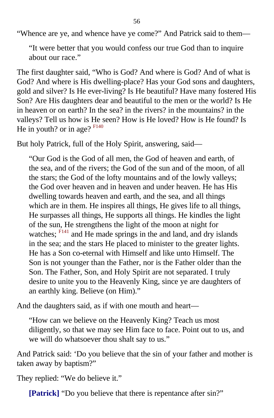"Whence are ye, and whence have ye come?" And Patrick said to them—

"It were better that you would confess our true God than to inquire about our race."

The first daughter said, "Who is God? And where is God? And of what is God? And where is His dwelling-place? Has your God sons and daughters, gold and silver? Is He ever-living? Is He beautiful? Have many fostered His Son? Are His daughters dear and beautiful to the men or the world? Is He in heaven or on earth? In the sea? in the rivers? in the mountains? in the valleys? Tell us how is He seen? How is He loved? How is He found? Is He in youth? or in age?  $F140$ 

But holy Patrick, full of the Holy Spirit, answering, said—

"Our God is the God of all men, the God of heaven and earth, of the sea, and of the rivers; the God of the sun and of the moon, of all the stars; the God of the lofty mountains and of the lowly valleys; the God over heaven and in heaven and under heaven. He has His dwelling towards heaven and earth, and the sea, and all things which are in them. He inspires all things, He gives life to all things, He surpasses all things, He supports all things. He kindles the light of the sun, He strengthens the light of the moon at night for watches;  $F<sup>141</sup>$  and He made springs in the and land, and dry islands in the sea; and the stars He placed to minister to the greater lights. He has a Son co-eternal with Himself and like unto Himself. The Son is not younger than the Father, nor is the Father older than the Son. The Father, Son, and Holy Spirit are not separated. I truly desire to unite you to the Heavenly King, since ye are daughters of an earthly king. Believe (on Him)."

And the daughters said, as if with one mouth and heart—

"How can we believe on the Heavenly King? Teach us most diligently, so that we may see Him face to face. Point out to us, and we will do whatsoever thou shalt say to us."

And Patrick said: 'Do you believe that the sin of your father and mother is taken away by baptism?"

They replied: "We do believe it."

**[Patrick]** "Do you believe that there is repentance after sin?"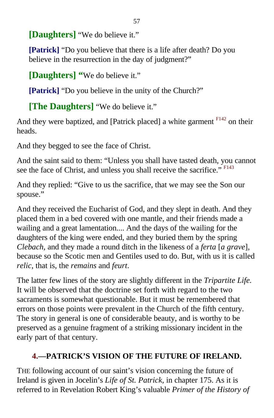**[Daughters]** "We do believe it."

**[Patrick]** "Do you believe that there is a life after death? Do you believe in the resurrection in the day of judgment?"

**[Daughters] "**We do believe it."

**[Patrick]** "Do you believe in the unity of the Church?"

**[The Daughters]** "We do believe it."

And they were baptized, and [Patrick placed] a white garment  $F^{142}$  on their heads.

And they begged to see the face of Christ.

And the saint said to them: "Unless you shall have tasted death, you cannot see the face of Christ, and unless you shall receive the sacrifice." [F143](#page--1-0)

And they replied: "Give to us the sacrifice, that we may see the Son our spouse."

And they received the Eucharist of God, and they slept in death. And they placed them in a bed covered with one mantle, and their friends made a wailing and a great lamentation.... And the days of the wailing for the daughters of the king were ended, and they buried them by the spring *Clebach,* and they made a round ditch in the likeness of a *ferta* [*a grave*], because so the Scotic men and Gentiles used to do. But, with us it is called *relic,* that is, the *remains* and *feurt*.

The latter few lines of the story are slightly different in the *Tripartite Life.* It will be observed that the doctrine set forth with regard to the two sacraments is somewhat questionable. But it must be remembered that errors on those points were prevalent in the Church of the fifth century. The story in general is one of considerable beauty, and is worthy to be preserved as a genuine fragment of a striking missionary incident in the early part of that century.

# **4.—PATRICK'S VISION OF THE FUTURE OF IRELAND.**

THE following account of our saint's vision concerning the future of Ireland is given in Jocelin's *Life of St. Patrick,* in chapter 175. As it is referred to in Revelation Robert King's valuable *Primer of the History of*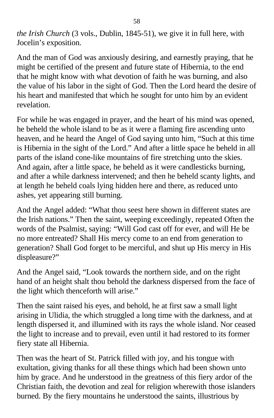*the Irish Church* (3 vols., Dublin, 1845-51), we give it in full here, with Jocelin's exposition.

And the man of God was anxiously desiring, and earnestly praying, that he might be certified of the present and future state of Hibernia, to the end that he might know with what devotion of faith he was burning, and also the value of his labor in the sight of God. Then the Lord heard the desire of his heart and manifested that which he sought for unto him by an evident revelation.

For while he was engaged in prayer, and the heart of his mind was opened, he beheld the whole island to be as it were a flaming fire ascending unto heaven, and he heard the Angel of God saying unto him, "Such at this time is Hibernia in the sight of the Lord." And after a little space he beheld in all parts of the island cone-like mountains of fire stretching unto the skies. And again, after a little space, he beheld as it were candlesticks burning, and after a while darkness intervened; and then he beheld scanty lights, and at length he beheld coals lying hidden here and there, as reduced unto ashes, yet appearing still burning.

And the Angel added: "What thou seest here shown in different states are the Irish nations." Then the saint, weeping exceedingly, repeated Often the words of the Psalmist, saying: "Will God cast off for ever, and will He be no more entreated? Shall His mercy come to an end from generation to generation? Shall God forget to be merciful, and shut up His mercy in His displeasure?"

And the Angel said, "Look towards the northern side, and on the right hand of an height shalt thou behold the darkness dispersed from the face of the light which thenceforth will arise."

Then the saint raised his eyes, and behold, he at first saw a small light arising in Ulidia, the which struggled a long time with the darkness, and at length dispersed it, and illumined with its rays the whole island. Nor ceased the light to increase and to prevail, even until it had restored to its former fiery state all Hibernia.

Then was the heart of St. Patrick filled with joy, and his tongue with exultation, giving thanks for all these things which had been shown unto him by grace. And he understood in the greatness of this fiery ardor of the Christian faith, the devotion and zeal for religion wherewith those islanders burned. By the fiery mountains he understood the saints, illustrious by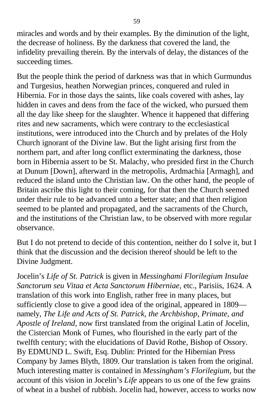miracles and words and by their examples. By the diminution of the light, the decrease of holiness. By the darkness that covered the land, the infidelity prevailing therein. By the intervals of delay, the distances of the succeeding times.

But the people think the period of darkness was that in which Gurmundus and Turgesius, heathen Norwegian princes, conquered and ruled in Hibernia. For in those days the saints, like coals covered with ashes, lay hidden in caves and dens from the face of the wicked, who pursued them all the day like sheep for the slaughter. Whence it happened that differing rites and new sacraments, which were contrary to the ecclesiastical institutions, were introduced into the Church and by prelates of the Holy Church ignorant of the Divine law. But the light arising first from the northern part, and after long conflict exterminating the darkness, those born in Hibernia assert to be St. Malachy, who presided first in the Church at Dunum [Down], afterward in the metropolis, Ardmachia [Armagh], and reduced the island unto the Christian law. On the other hand, the people of Britain ascribe this light to their coming, for that then the Church seemed under their rule to be advanced unto a better state; and that then religion seemed to be planted and propagated, and the sacraments of the Church, and the institutions of the Christian law, to be observed with more regular observance.

But I do not pretend to decide of this contention, neither do I solve it, but I think that the discussion and the decision thereof should be left to the Divine Judgment.

Jocelin's *Life of St. Patrick* is given in *Messinghami Florilegium Insulae Sanctorum seu Vitaa et Acta Sanctorum Hiberniae,* etc., Parisiis, 1624. A translation of this work into English, rather free in many places, but sufficiently close to give a good idea of the original, appeared in 1809 namely, *The Life and Acts of St. Patrick, the Archbishop, Primate, and Apostle of Ireland,* now first translated from the original Latin of Jocelin, the Cistercian Monk of Fumes, who flourished in the early part of the twelfth century; with the elucidations of David Rothe, Bishop of Ossory. By EDMUND L. Swift, Esq. Dublin: Printed for the Hibernian Press Company by James Blyth, 1809. Our translation is taken from the original. Much interesting matter is contained in *Messingham's Florilegium,* but the account of this vision in Jocelin's *Life* appears to us one of the few grains of wheat in a bushel of rubbish. Jocelin had, however, access to works now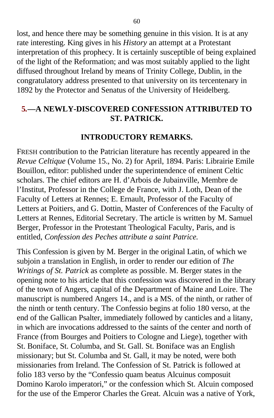lost, and hence there may be something genuine in this vision. It is at any rate interesting. King gives in his *History* an attempt at a Protestant interpretation of this prophecy. It is certainly susceptible of being explained of the light of the Reformation; and was most suitably applied to the light diffused throughout Ireland by means of Trinity College, Dublin, in the congratulatory address presented to that university on its tercentenary in 1892 by the Protector and Senatus of the University of Heidelberg.

### **5***.***—A NEWLY-DISCOVERED CONFESSION ATTRIBUTED TO ST. PATRICK.**

### **INTRODUCTORY REMARKS.**

FRESH contribution to the Patrician literature has recently appeared in the *Revue Celtique* (Volume 15., No. 2) for April, 1894. Paris: Librairie Emile Bouillon, editor: published under the superintendence of eminent Celtic scholars. The chief editors are H. d'Arbois de Jubainville, Membre de l'Institut, Professor in the College de France, with J. Loth, Dean of the Faculty of Letters at Rennes; E. Ernault, Professor of the Faculty of Letters at Poitiers, and G. Dottin, Master of Conferences of the Faculty of Letters at Rennes, Editorial Secretary. The article is written by M. Samuel Berger, Professor in the Protestant Theological Faculty, Paris, and is entitled, *Confession des Peches attribute a saint Patrice.*

This Confession is given by M. Berger in the original Latin, of which we subjoin a translation in English, in order to render our edition of *The Writings of St. Patrick* as complete as possible. M. Berger states in the opening note to his article that this confession was discovered in the library of the town of Angers, capital of the Department of Maine and Loire. The manuscript is numbered Angers 14., and is a MS. of the ninth, or rather of the ninth or tenth century. The Confessio begins at folio 180 verso, at the end of the Gallican Psalter, immediately followed by canticles and a litany, in which are invocations addressed to the saints of the center and north of France (from Bourges and Poitiers to Cologne and Liege), together with St. Boniface, St. Columba, and St. Gall. St. Boniface was an English missionary; but St. Columba and St. Gall, it may be noted, were both missionaries from Ireland. The Confession of St. Patrick is followed at folio 183 verso by the "Confessio quam beatus Alcuinus composuit Domino Karolo imperatori," or the confession which St. Alcuin composed for the use of the Emperor Charles the Great. Alcuin was a native of York,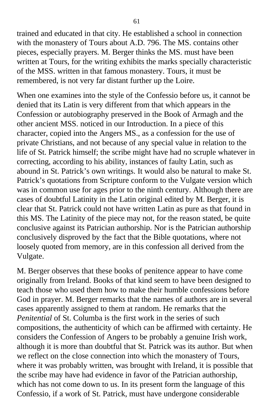trained and educated in that city. He established a school in connection with the monastery of Tours about A.D. 796. The MS. contains other pieces, especially prayers. M. Berger thinks the MS. must have been written at Tours, for the writing exhibits the marks specially characteristic of the MSS. written in that famous monastery. Tours, it must be remembered, is not very far distant further up the Loire.

When one examines into the style of the Confessio before us, it cannot be denied that its Latin is very different from that which appears in the Confession or autobiography preserved in the Book of Armagh and the other ancient MSS. noticed in our Introduction. In a piece of this character, copied into the Angers MS., as a confession for the use of private Christians, and not because of any special value in relation to the life of St. Patrick himself; the scribe might have had no scruple whatever in correcting, according to his ability, instances of faulty Latin, such as abound in St. Patrick's own writings. It would also be natural to make St. Patrick's quotations from Scripture conform to the Vulgate version which was in common use for ages prior to the ninth century. Although there are cases of doubtful Latinity in the Latin original edited by M. Berger, it is clear that St. Patrick could not have written Latin as pure as that found in this MS. The Latinity of the piece may not, for the reason stated, be quite conclusive against its Patrician authorship. Nor is the Patrician authorship conclusively disproved by the fact that the Bible quotations, where not loosely quoted from memory, are in this confession all derived from the Vulgate.

M. Berger observes that these books of penitence appear to have come originally from Ireland. Books of that kind seem to have been designed to teach those who used them how to make their humble confessions before God in prayer. M. Berger remarks that the names of authors are in several cases apparently assigned to them at random. He remarks that the *Penitential* of St. Columba is the first work in the series of such compositions, the authenticity of which can be affirmed with certainty. He considers the Confession of Angers to be probably a genuine Irish work, although it is more than doubtful that St. Patrick was its author. But when we reflect on the close connection into which the monastery of Tours, where it was probably written, was brought with Ireland, it is possible that the scribe may have had evidence in favor of the Patrician authorship, which has not come down to us. In its present form the language of this Confessio, if a work of St. Patrick, must have undergone considerable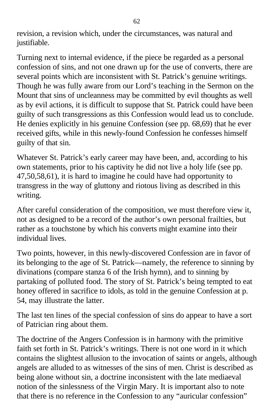revision, a revision which, under the circumstances, was natural and justifiable.

Turning next to internal evidence, if the piece be regarded as a personal confession of sins, and not one drawn up for the use of converts, there are several points which are inconsistent with St. Patrick's genuine writings. Though he was fully aware from our Lord's teaching in the Sermon on the Mount that sins of uncleanness may be committed by evil thoughts as well as by evil actions, it is difficult to suppose that St. Patrick could have been guilty of such transgressions as this Confession would lead us to conclude. He denies explicitly in his genuine Confession (see pp. 68,69) that he ever received gifts, while in this newly-found Confession he confesses himself guilty of that sin.

Whatever St. Patrick's early career may have been, and, according to his own statements, prior to his captivity he did not live a holy life (see pp. 47,50,58,61), it is hard to imagine he could have had opportunity to transgress in the way of gluttony and riotous living as described in this writing.

After careful consideration of the composition, we must therefore view it, not as designed to be a record of the author's own personal frailties, but rather as a touchstone by which his converts might examine into their individual lives.

Two points, however, in this newly-discovered Confession are in favor of its belonging to the age of St. Patrick—namely, the reference to sinning by divinations (compare stanza 6 of the Irish hymn), and to sinning by partaking of polluted food. The story of St. Patrick's being tempted to eat honey offered in sacrifice to idols, as told in the genuine Confession at p. 54, may illustrate the latter.

The last ten lines of the special confession of sins do appear to have a sort of Patrician ring about them.

The doctrine of the Angers Confession is in harmony with the primitive faith set forth in St. Patrick's writings. There is not one word in it which contains the slightest allusion to the invocation of saints or angels, although angels are alluded to as witnesses of the sins of men. Christ is described as being alone without sin, a doctrine inconsistent with the late mediaeval notion of the sinlessness of the Virgin Mary. It is important also to note that there is no reference in the Confession to any "auricular confession"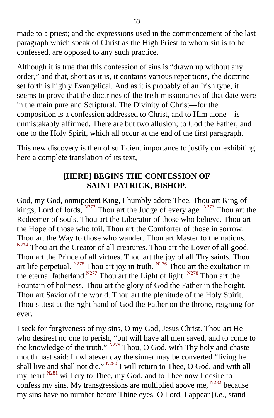made to a priest; and the expressions used in the commencement of the last paragraph which speak of Christ as the High Priest to whom sin is to be confessed, are opposed to any such practice.

Although it is true that this confession of sins is "drawn up without any order," and that, short as it is, it contains various repetitions, the doctrine set forth is highly Evangelical. And as it is probably of an Irish type, it seems to prove that the doctrines of the Irish missionaries of that date were in the main pure and Scriptural. The Divinity of Christ—for the composition is a confession addressed to Christ, and to Him alone—is unmistakably affirmed. There are but two allusion; to God the Father, and one to the Holy Spirit, which all occur at the end of the first paragraph.

This new discovery is then of sufficient importance to justify our exhibiting here a complete translation of its text,

### **[HERE] BEGINS THE CONFESSION OF SAINT PATRICK, BISHOP.**

God, my God, onmipotent King, I humbly adore Thee. Thou art King of kings, Lord of lords,  $N272$  Thou art the Judge of every age.  $N273$  Thou art the Redeemer of souls. Thou art the Liberator of those who believe. Thou art the Hope of those who toil. Thou art the Comforter of those in sorrow. Thou art the Way to those who wander. Thou art Master to the nations.  $N<sup>274</sup>$  Thou art the Creator of all creatures. Thou art the Lover of all good. Thou art the Prince of all virtues. Thou art the joy of all Thy saints. Thou art life perpetual. <sup>[N275](#page--1-0)</sup> Thou art joy in truth. <sup>[N276](#page--1-0)</sup> Thou art the exultation in the eternal fatherland.<sup>[N277](#page--1-0)</sup> Thou art the Light of light. N<sup>278</sup> Thou art the Fountain of holiness. Thou art the glory of God the Father in the height. Thou art Savior of the world. Thou art the plenitude of the Holy Spirit. Thou sittest at the right hand of God the Father on the throne, reigning for ever.

I seek for forgiveness of my sins, O my God, Jesus Christ. Thou art He who desirest no one to perish, "but will have all men saved, and to come to the knowledge of the truth." <sup>[N279](#page--1-0)</sup> Thou, O God, with Thy holy and chaste mouth hast said: In whatever day the sinner may be converted "living he shall live and shall not die." <sup>[N280](#page--1-0)</sup> I will return to Thee, O God, and with all my heart  $^{N281}$  $^{N281}$  $^{N281}$  will cry to Thee, my God, and to Thee now I desire to confess my sins. My transgressions are multiplied above me,  $N^{282}$  because my sins have no number before Thine eyes. O Lord, I appear [*i.e.,* stand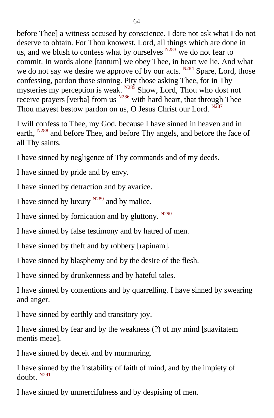before Thee] a witness accused by conscience. I dare not ask what I do not deserve to obtain. For Thou knowest, Lord, all things which are done in us, and we blush to confess what by ourselves  $N^{283}$  we do not fear to commit. In words alone [tantum] we obey Thee, in heart we lie. And what we do not say we desire we approve of by our acts.  $N284$  Spare, Lord, those confessing, pardon those sinning. Pity those asking Thee, for in Thy mysteries my perception is weak. <sup>[N285](#page--1-0)</sup> Show, Lord, Thou who dost not receive prayers [verba] from us <sup>[N286](#page--1-0)</sup> with hard heart, that through Thee Thou mayest bestow pardon on us, O Jesus Christ our Lord. [N287](#page--1-0)

I will confess to Thee, my God, because I have sinned in heaven and in earth. N<sub>288</sub> and before Thee, and before Thy angels, and before the face of all Thy saints.

I have sinned by negligence of Thy commands and of my deeds.

I have sinned by pride and by envy.

I have sinned by detraction and by avarice.

I have sinned by luxury  $N289$  and by malice.

I have sinned by fornication and by gluttony.  $N290$ 

I have sinned by false testimony and by hatred of men.

I have sinned by theft and by robbery [rapinam].

I have sinned by blasphemy and by the desire of the flesh.

I have sinned by drunkenness and by hateful tales.

I have sinned by contentions and by quarrelling. I have sinned by swearing and anger.

I have sinned by earthly and transitory joy.

I have sinned by fear and by the weakness (?) of my mind [suavitatem mentis meae].

I have sinned by deceit and by murmuring.

I have sinned by the instability of faith of mind, and by the impiety of doubt. [N291](#page--1-0)

I have sinned by unmercifulness and by despising of men.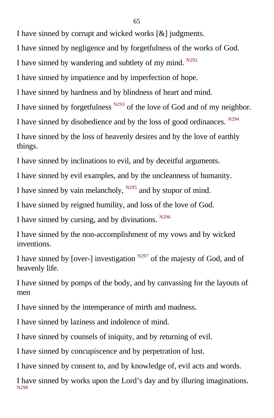I have sinned by corrupt and wicked works [&] judgments.

I have sinned by negligence and by forgetfulness of the works of God.

I have sinned by wandering and subtlety of my mind.  $N292$ 

I have sinned by impatience and by imperfection of hope.

I have sinned by hardness and by blindness of heart and mind.

I have sinned by forgetfulness  $N293$  of the love of God and of my neighbor.

I have sinned by disobedience and by the loss of good ordinances.  $N^{294}$ 

I have sinned by the loss of heavenly desires and by the love of earthly things.

I have sinned by inclinations to evil, and by deceitful arguments.

I have sinned by evil examples, and by the uncleanness of humanity.

I have sinned by vain melancholy,  $N295$  and by stupor of mind.

I have sinned by reigned humility, and loss of the love of God.

I have sinned by cursing, and by divinations.  $N296$ 

I have sinned by the non-accomplishment of my vows and by wicked inventions.

I have sinned by [over-] investigation  $N^{297}$  of the majesty of God, and of heavenly life.

I have sinned by pomps of the body, and by canvassing for the layouts of men

I have sinned by the intemperance of mirth and madness.

I have sinned by laziness and indolence of mind.

I have sinned by counsels of iniquity, and by returning of evil.

I have sinned by concupiscence and by perpetration of lust.

I have sinned by consent to, and by knowledge of, evil acts and words.

I have sinned by works upon the Lord's day and by illuring imaginations. [N298](#page--1-0)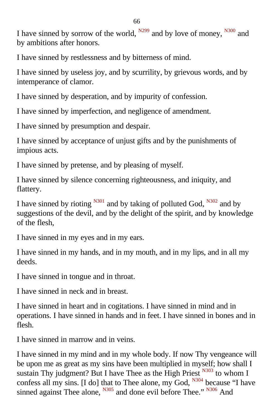I have sinned by sorrow of the world,  $N299$  and by love of money,  $N300$  and by ambitions after honors.

I have sinned by restlessness and by bitterness of mind.

I have sinned by useless joy, and by scurrility, by grievous words, and by intemperance of clamor.

I have sinned by desperation, and by impurity of confession.

I have sinned by imperfection, and negligence of amendment.

I have sinned by presumption and despair.

I have sinned by acceptance of unjust gifts and by the punishments of impious acts.

I have sinned by pretense, and by pleasing of myself.

I have sinned by silence concerning righteousness, and iniquity, and flattery.

I have sinned by rioting  $^{N301}$  $^{N301}$  $^{N301}$  and by taking of polluted God,  $^{N302}$  $^{N302}$  $^{N302}$  and by suggestions of the devil, and by the delight of the spirit, and by knowledge of the flesh,

I have sinned in my eyes and in my ears.

I have sinned in my hands, and in my mouth, and in my lips, and in all my deeds.

I have sinned in tongue and in throat.

I have sinned in neck and in breast.

I have sinned in heart and in cogitations. I have sinned in mind and in operations. I have sinned in hands and in feet. I have sinned in bones and in flesh.

I have sinned in marrow and in veins.

I have sinned in my mind and in my whole body. If now Thy vengeance will be upon me as great as my sins have been multiplied in myself; how shall I sustain Thy judgment? But I have Thee as the High Priest  $N^{303}$  to whom I confess all my sins. [I do] that to Thee alone, my God,  $^{N304}$  $^{N304}$  $^{N304}$  because "I have sinned against Thee alone, N<sub>305</sub> and done evil before Thee." N<sub>306</sub> And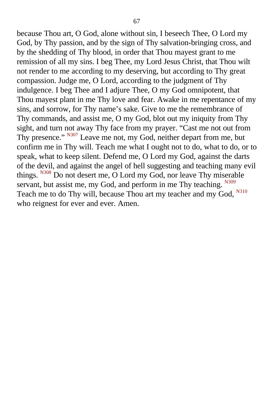because Thou art, O God, alone without sin, I beseech Thee, O Lord my God, by Thy passion, and by the sign of Thy salvation-bringing cross, and by the shedding of Thy blood, in order that Thou mayest grant to me remission of all my sins. I beg Thee, my Lord Jesus Christ, that Thou wilt not render to me according to my deserving, but according to Thy great compassion. Judge me, O Lord, according to the judgment of Thy indulgence. I beg Thee and I adjure Thee, O my God omnipotent, that Thou mayest plant in me Thy love and fear. Awake in me repentance of my sins, and sorrow, for Thy name's sake. Give to me the remembrance of Thy commands, and assist me, O my God, blot out my iniquity from Thy sight, and turn not away Thy face from my prayer. "Cast me not out from Thy presence." <sup>[N307](#page--1-0)</sup> Leave me not, my God, neither depart from me, but confirm me in Thy will. Teach me what I ought not to do, what to do, or to speak, what to keep silent. Defend me, O Lord my God, against the darts of the devil, and against the angel of hell suggesting and teaching many evil things. N<sub>308</sub> Do not desert me, O Lord my God, nor leave Thy miserable servant, but assist me, my God, and perform in me Thy teaching. N<sub>309</sub> Teach me to do Thy will, because Thou art my teacher and my God, N310 who reignest for ever and ever. Amen.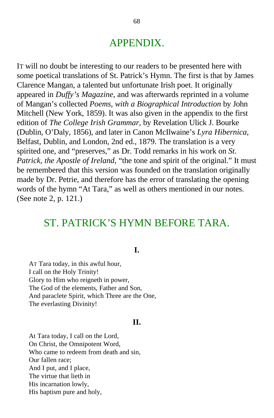# APPENDIX.

IT will no doubt be interesting to our readers to be presented here with some poetical translations of St. Patrick's Hymn. The first is that by James Clarence Mangan, a talented but unfortunate Irish poet. It originally appeared in *Duffy's Magazine,* and was afterwards reprinted in a volume of Mangan's collected *Poems, with a Biographical Introduction* by John Mitchell (New York, 1859). It was also given in the appendix to the first edition of *The College Irish Grammar,* by Revelation Ulick J. Bourke (Dublin, O'Daly, 1856), and later in Canon McIlwaine's *Lyra Hibernica,* Belfast, Dublin, and London, 2nd ed., 1879. The translation is a very spirited one, and "preserves," as Dr. Todd remarks in his work on *St. Patrick, the Apostle of Ireland,* "the tone and spirit of the original." It must be remembered that this version was founded on the translation originally made by Dr. Petrie, and therefore has the error of translating the opening words of the hymn "At Tara," as well as others mentioned in our notes. (See note 2, p. 121.)

# ST. PATRICK'S HYMN BEFORE TARA.

#### **I.**

AT Tara today, in this awful hour, I call on the Holy Trinity! Glory to Him who reigneth in power, The God of the elements, Father and Son, And paraclete Spirit, which Three are the One, The everlasting Divinity!

#### **II.**

At Tara today, I call on the Lord, On Christ, the Omnipotent Word, Who came to redeem from death and sin, Our fallen race; And I put, and I place, The virtue that lieth in His incarnation lowly, His baptism pure and holy,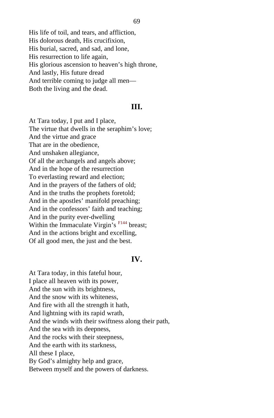His life of toil, and tears, and affliction, His dolorous death, His crucifixion, His burial, sacred, and sad, and lone, His resurrection to life again, His glorious ascension to heaven's high throne, And lastly, His future dread And terrible coming to judge all men— Both the living and the dead.

#### **III.**

At Tara today, I put and I place, The virtue that dwells in the seraphim's love; And the virtue and grace That are in the obedience, And unshaken allegiance, Of all the archangels and angels above; And in the hope of the resurrection To everlasting reward and election; And in the prayers of the fathers of old; And in the truths the prophets foretold; And in the apostles' manifold preaching; And in the confessors' faith and teaching; And in the purity ever-dwelling Within the Immaculate Virgin's [F144](#page--1-0) breast; And in the actions bright and excelling, Of all good men, the just and the best.

#### **IV.**

At Tara today, in this fateful hour, I place all heaven with its power, And the sun with its brightness, And the snow with its whiteness, And fire with all the strength it hath, And lightning with its rapid wrath, And the winds with their swiftness along their path, And the sea with its deepness, And the rocks with their steepness, And the earth with its starkness, All these I place, By God's almighty help and grace, Between myself and the powers of darkness.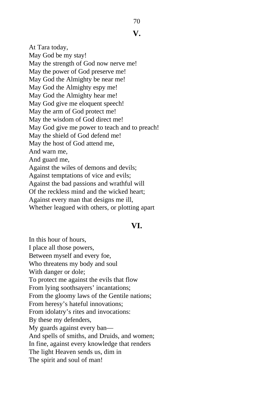#### 70

At Tara today, May God be my stay! May the strength of God now nerve me! May the power of God preserve me! May God the Almighty be near me! May God the Almighty espy me! May God the Almighty hear me! May God give me eloquent speech! May the arm of God protect me! May the wisdom of God direct me! May God give me power to teach and to preach! May the shield of God defend me! May the host of God attend me, And warn me, And guard me, Against the wiles of demons and devils; Against temptations of vice and evils; Against the bad passions and wrathful will Of the reckless mind and the wicked heart; Against every man that designs me ill, Whether leagued with others, or plotting apart

#### **VI.**

In this hour of hours, I place all those powers, Between myself and every foe, Who threatens my body and soul With danger or dole; To protect me against the evils that flow From lying soothsayers' incantations; From the gloomy laws of the Gentile nations; From heresy's hateful innovations; From idolatry's rites and invocations: By these my defenders, My guards against every ban— And spells of smiths, and Druids, and women; In fine, against every knowledge that renders The light Heaven sends us, dim in The spirit and soul of man!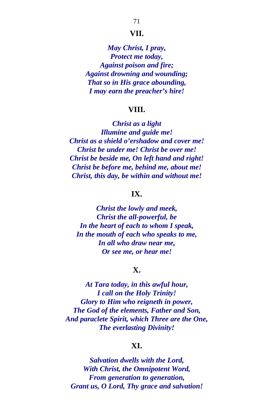### 71 **VII.**

*May Christ, I pray, Protect me today, Against poison and fire; Against drowning and wounding; That so in His grace abounding, I may earn the preacher's hire!*

#### **VIII.**

*Christ as a light Illumine and guide me! Christ as a shield o'ershadow and cover me! Christ be under me! Christ be over me! Christ be beside me, On left hand and right! Christ be before me, behind me, about me! Christ, this day, be within and without me!*

#### **IX.**

*Christ the lowly and meek, Christ the all-powerful, be In the heart of each to whom I speak, In the mouth of each who speaks to me, In all who draw near me, Or see me, or hear me!*

### **X.**

*At Tara today, in this awful hour, I call on the Holy Trinity! Glory to Him who reigneth in power, The God of the elements, Father and Son, And paraclete Spirit, which Three are the One, The everlasting Divinity!*

#### **XI.**

*Salvation dwells with the Lord, With Christ, the Omnipotent Word, From generation to generation, Grant us, O Lord, Thy grace and salvation!*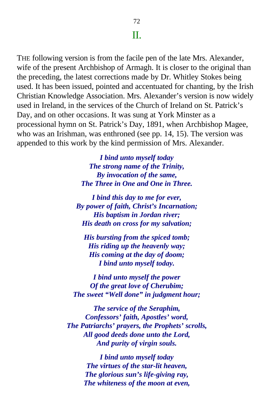## II.

THE following version is from the facile pen of the late Mrs. Alexander, wife of the present Archbishop of Armagh. It is closer to the original than the preceding, the latest corrections made by Dr. Whitley Stokes being used. It has been issued, pointed and accentuated for chanting, by the Irish Christian Knowledge Association. Mrs. Alexander's version is now widely used in Ireland, in the services of the Church of Ireland on St. Patrick's Day, and on other occasions. It was sung at York Minster as a processional hymn on St. Patrick's Day, 1891, when Archbishop Magee, who was an Irishman, was enthroned (see pp. 14, 15). The version was appended to this work by the kind permission of Mrs. Alexander.

> *I bind unto myself today The strong name of the Trinity, By invocation of the same, The Three in One and One in Three.*

*I bind this day to me for ever, By power of faith, Christ's Incarnation; His baptism in Jordan river; His death on cross for my salvation;*

*His bursting from the spiced tomb; His riding up the heavenly way; His coming at the day of doom; I bind unto myself today.*

*I bind unto myself the power Of the great love of Cherubim; The sweet "Well done" in judgment hour;*

*The service of the Seraphim, Confessors' faith, Apostles' word, The Patriarchs' prayers, the Prophets' scrolls, All good deeds done unto the Lord, And purity of virgin souls.*

> *I bind unto myself today The virtues of the star-lit heaven, The glorious sun's life-giving ray, The whiteness of the moon at even,*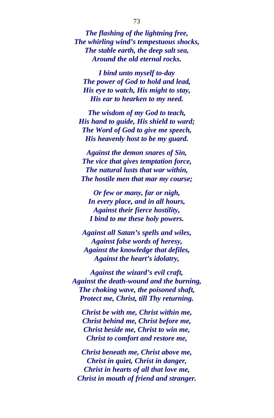*The flashing of the lightning free, The whirling wind's tempestuous shocks, The stable earth, the deep salt sea, Around the old eternal rocks.*

*I bind unto myself to-day The power of God to hold and lead, His eye to watch, His might to stay, His ear to hearken to my need.*

*The wisdom of my God to teach, His hand to guide, His shield to ward; The Word of God to give me speech, His heavenly host to be my guard.*

*Against the demon snares of Sin, The vice that gives temptation force, The natural lusts that war within, The hostile men that mar my course;*

*Or few or many, far or nigh, In every place, and in all hours, Against their fierce hostility, I bind to me these holy powers.*

*Against all Satan's spells and wiles, Against false words of heresy, Against the knowledge that defiles, Against the heart's idolatry,*

*Against the wizard's evil craft, Against the death-wound and the burning, The choking wave, the poisoned shaft, Protect me, Christ, till Thy returning.*

*Christ be with me, Christ within me, Christ behind me, Christ before me, Christ beside me, Christ to win me, Christ to comfort and restore me,*

*Christ beneath me, Christ above me, Christ in quiet, Christ in danger, Christ in hearts of all that love me, Christ in mouth of friend and stranger.*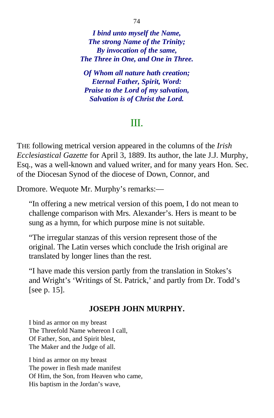*I bind unto myself the Name, The strong Name of the Trinity; By invocation of the same, The Three in One, and One in Three.*

*Of Whom all nature hath creation; Eternal Father, Spirit, Word: Praise to the Lord of my salvation, Salvation is of Christ the Lord.*

## III.

THE following metrical version appeared in the columns of the *Irish Ecclesiastical Gazette* for April 3, 1889. Its author, the late J.J. Murphy, Esq., was a well-known and valued writer, and for many years Hon. Sec. of the Diocesan Synod of the diocese of Down, Connor, and

Dromore. Wequote Mr. Murphy's remarks:—

"In offering a new metrical version of this poem, I do not mean to challenge comparison with Mrs. Alexander's. Hers is meant to be sung as a hymn, for which purpose mine is not suitable.

"The irregular stanzas of this version represent those of the original. The Latin verses which conclude the Irish original are translated by longer lines than the rest.

"I have made this version partly from the translation in Stokes's and Wright's 'Writings of St. Patrick,' and partly from Dr. Todd's [see p. 15].

## **JOSEPH JOHN MURPHY.**

I bind as armor on my breast The Threefold Name whereon I call, Of Father, Son, and Spirit blest, The Maker and the Judge of all.

I bind as armor on my breast The power in flesh made manifest Of Him, the Son, from Heaven who came, His baptism in the Jordan's wave,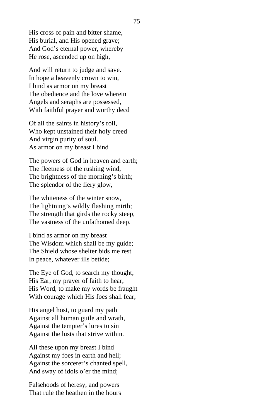His cross of pain and bitter shame, His burial, and His opened grave; And God's eternal power, whereby He rose, ascended up on high,

And will return to judge and save. In hope a heavenly crown to win, I bind as armor on my breast The obedience and the love wherein Angels and seraphs are possessed, With faithful prayer and worthy decd

Of all the saints in history's roll, Who kept unstained their holy creed And virgin purity of soul. As armor on my breast I bind

The powers of God in heaven and earth; The fleetness of the rushing wind, The brightness of the morning's birth; The splendor of the fiery glow,

The whiteness of the winter snow, The lightning's wildly flashing mirth; The strength that girds the rocky steep, The vastness of the unfathomed deep.

I bind as armor on my breast The Wisdom which shall be my guide; The Shield whose shelter bids me rest In peace, whatever ills betide;

The Eye of God, to search my thought; His Ear, my prayer of faith to hear; His Word, to make my words be fraught With courage which His foes shall fear;

His angel host, to guard my path Against all human guile and wrath, Against the tempter's lures to sin Against the lusts that strive within.

All these upon my breast I bind Against my foes in earth and hell; Against the sorcerer's chanted spell, And sway of idols o'er the mind;

Falsehoods of heresy, and powers That rule the heathen in the hours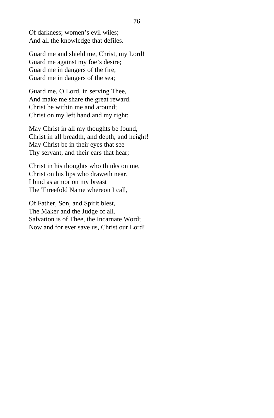Of darkness; women's evil wiles; And all the knowledge that defiles.

Guard me and shield me, Christ, my Lord! Guard me against my foe's desire; Guard me in dangers of the fire, Guard me in dangers of the sea;

Guard me, O Lord, in serving Thee, And make me share the great reward. Christ be within me and around; Christ on my left hand and my right;

May Christ in all my thoughts be found, Christ in all breadth, and depth, and height! May Christ be in their eyes that see Thy servant, and their ears that hear;

Christ in his thoughts who thinks on me, Christ on his lips who draweth near. I bind as armor on my breast The Threefold Name whereon I call,

Of Father, Son, and Spirit blest, The Maker and the Judge of all. Salvation is of Thee, the Incarnate Word; Now and for ever save us, Christ our Lord!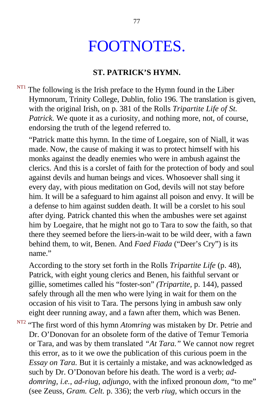## FOOTNOTES.

## **ST. PATRICK'S HYMN.**

 $N<sup>T1</sup>$  The following is the Irish preface to the Hymn found in the Liber Hymnorum, Trinity College, Dublin, folio 196. The translation is given, with the original Irish, on p. 381 of the Rolls *Tripartite Life of St. Patrick.* We quote it as a curiosity, and nothing more, not, of course, endorsing the truth of the legend referred to.

"Patrick matte this hymn. In the time of Loegaire, son of Niall, it was made. Now, the cause of making it was to protect himself with his monks against the deadly enemies who were in ambush against the clerics. And this is a corslet of faith for the protection of body and soul against devils and human beings and vices. Whosoever shall sing it every day, with pious meditation on God, devils will not stay before him. It will be a safeguard to him against all poison and envy. It will be a defense to him against sudden death. It will be a corslet to his soul after dying. Patrick chanted this when the ambushes were set against him by Loegaire, that he might not go to Tara to sow the faith, so that there they seemed before the liers-in-wait to be wild deer, with a fawn behind them, to wit, Benen. And *Faed Fiada* ("Deer's Cry") is its name."

According to the story set forth in the Rolls *Tripartite Life* (p. 48), Patrick, with eight young clerics and Benen, his faithful servant or gillie, sometimes called his "foster-son" *(Tripartite,* p. 144), passed safely through all the men who were lying in wait for them on the occasion of his visit to Tara. The persons lying in ambush saw only eight deer running away, and a fawn after them, which was Benen.

[NT2](#page--1-0) "The first word of this hymn *Atomring* was mistaken by Dr. Petrie and Dr. O'Donovan for an obsolete form of the dative of Temur Temoria or Tara, and was by them translated *"At Tara."* We cannot now regret this error, as to it we owe the publication of this curious poem in the *Essay on Tara.* But it is certainly a mistake, and was acknowledged as such by Dr. O'Donovan before his death. The word is a verb; *addomring, i.e., ad-riug, adjungo,* with the infixed pronoun *dom,* "to me" (see Zeuss, *Gram. Celt.* p. 336); the verb *riug,* which occurs in the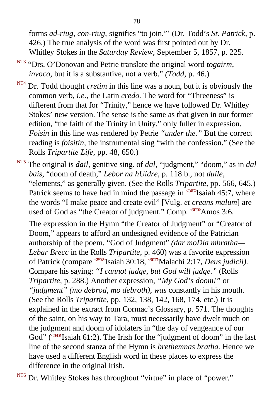forms *ad-riug, con-riug,* signifies "to join."' (Dr. Todd's *St. Patrick,* p. 426.) The true analysis of the word was first pointed out by Dr. Whitley Stokes in the *Saturday Review,* September 5, 1857, p. 225.

- [NT3](#page--1-0) "Drs. O'Donovan and Petrie translate the original word *togairm, invoco,* but it is a substantive, not a verb." *(Todd,* p. 46.)
- <sup>[NT4](#page--1-0)</sup> Dr. Todd thought *cretim* in this line was a noun, but it is obviously the common verb, *i.e.,* the Latin *credo.* The word for "Threeness" is different from that for "Trinity," hence we have followed Dr. Whitley Stokes' new version. The sense is the same as that given in our former edition, "the faith of the Trinity in Unity," only fuller in expression. *Foisin* in this line was rendered by Petrie *"under the."* But the correct reading is *foisitin,* the instrumental sing "with the confession." (See the Rolls *Tripartite Life,* pp. 48, 650.)
- [NT5](#page--1-0) The original is *dail,* genitive sing. of *dal,* "judgment," "doom," as in *dal bais,* "doom of death," *Lebor na hUidre,* p. 118 b., not *duile,* "elements," as generally given. (See the Rolls *Tripartite,* pp. 566, 645.) Patrick seems to have had in mind the passage in  $\frac{\text{exp}}{\text{sigma}}$  Isaiah 45:7, where the words "I make peace and create evil" [Vulg. *et creans malum*] are used of God as "the Creator of judgment." Comp. **IDE** Amos 3:6.

The expression in the Hymn "the Creator of Judgment" or "Creator of Doom," appears to afford an undesigned evidence of the Patrician authorship of the poem. "God of Judgment" *(dar moDla mbratha— Lebar Brecc* in the Rolls *Tripartite,* p. 460) was a favorite expression of Patrick (compare <sup>23308</sup>Isaiah 30:18, <sup>39217</sup>Malachi 2:17, *Deus judicii*). Compare his saying: *"I cannot judge, but God will judge."* (Rolls *Tripartite,* p. 288.) Another expression, *"My God's doom!"* or *"judgment" (mo debrod, mo debroth), was* constantly in his mouth. (See the Rolls *Tripartite,* pp. 132, 138, 142, 168, 174, etc.) It is explained in the extract from Cormac's Glossary, p. 571. The thoughts of the saint, on his way to Tara, must necessarily have dwelt much on the judgment and doom of idolaters in "the day of vengeance of our God" ( $^{\text{2802}}$ Isaiah 61:2). The Irish for the "judgment of doom" in the last line of the second stanza of the Hymn is *brethemnas bratha.* Hence we have used a different English word in these places to express the difference in the original Irish.

[NT6](#page--1-0) Dr. Whitley Stokes has throughout "virtue" in place of "power."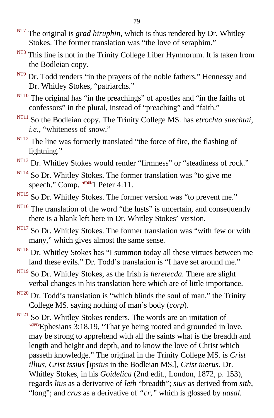- [NT7](#page--1-0) The original is *grad hiruphin,* which is thus rendered by Dr. Whitley Stokes. The former translation was "the love of seraphim."
- [NT8](#page--1-0) This line is not in the Trinity College Liber Hymnorum. It is taken from the Bodleian copy.
- [NT9](#page--1-0) Dr. Todd renders "in the prayers of the noble fathers." Hennessy and Dr. Whitley Stokes, "patriarchs."
- [NT10](#page--1-0) The original has "in the preachings" of apostles and "in the faiths of confessors" in the plural, instead of "preaching" and "faith."
- [NT11](#page--1-0) So the Bodleian copy. The Trinity College MS. has *etrochta snechtai, i.e.*, "whiteness of snow."
- [NT12](#page--1-0) The line was formerly translated "the force of fire, the flashing of lightning."
- [NT13](#page--1-0) Dr. Whitley Stokes would render "firmness" or "steadiness of rock."
- $N<sup>T14</sup>$  So Dr. Whitley Stokes. The former translation was "to give me speech." Comp.  $\omega$ <sup>1</sup> Peter 4:11.
- [NT15](#page--1-0) So Dr. Whitley Stokes. The former version was "to prevent me."
- $N<sup>T16</sup>$  The translation of the word "the lusts" is uncertain, and consequently there is a blank left here in Dr. Whitley Stokes' version.
- [NT17](#page--1-0) So Dr. Whitley Stokes. The former translation was "with few or with many," which gives almost the same sense.
- <sup>[NT18](#page--1-0)</sup> Dr. Whitley Stokes has "I summon today all these virtues between me land these evils." Dr. Todd's translation is "I have set around me."
- [NT19](#page--1-0) So Dr. Whitley Stokes, as the Irish is *heretecda.* There are slight verbal changes in his translation here which are of little importance.
- $N<sup>T20</sup>$  Dr. Todd's translation is "which blinds the soul of man," the Trinity College MS. saying nothing of man's body (*corp*).
- [NT21](#page--1-0) So Dr. Whitley Stokes renders. The words are an imitation of  $\triangle$ <sup>EDB8</sup>Ephesians 3:18,19, "That ye being rooted and grounded in love, may be strong to apprehend with all the saints what is the breadth and length and height and depth, and to know the love of Christ which passeth knowledge." The original in the Trinity College MS. is *Crist illius, Crist issius* [*ipsius* in the Bodleian MS.], *Crist inerus.* Dr. Whitley Stokes, in his *Goidelica* (2nd edit., London, 1872, p. 153), regards *lius* as a derivative of *leth* "breadth"; *sius* as derived from *sith*, "long"; and *crus* as a derivative of *"cr,"* which is glossed by *uasal.*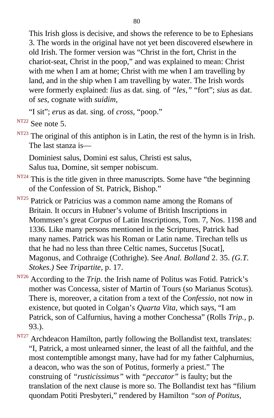This Irish gloss is decisive, and shows the reference to be to Ephesians 3. The words in the original have not yet been discovered elsewhere in old Irish. The former version was "Christ in the fort, Christ in the chariot-seat, Christ in the poop," and was explained to mean: Christ with me when I am at home; Christ with me when I am travelling by land, and in the ship when I am travelling by water. The Irish words were formerly explained: *lius* as dat. sing. of *"les,"* "fort"; *sius* as dat. of *ses,* cognate with *suidim,*

"I sit"; *erus* as dat. sing. of *cross,* "poop."

NT<sub>22</sub> See note 5.

 $N<sup>T23</sup>$  The original of this antiphon is in Latin, the rest of the hymn is in Irish. The last stanza is—

Dominiest salus, Domini est salus, Christi est salus,

Salus tua, Domine, sit semper nobiscum.

- $N<sup>T24</sup>$  This is the title given in three manuscripts. Some have "the beginning" of the Confession of St. Patrick, Bishop."
- [NT25](#page--1-0) Patrick or Patricius was a common name among the Romans of Britain. It occurs in Hubner's volume of British Inscriptions in Mommsen's great *Corpus* of Latin Inscriptions, Tom. 7, Nos. 1198 and 1336. Like many persons mentioned in the Scriptures, Patrick had many names. Patrick was his Roman or Latin name. Tirechan tells us that he had no less than three Celtic names, Succetus [Sucat], Magonus, and Cothraige (Cothrighe). See *Anal. Bolland* 2. 35. *(G.T. Stokes.)* See *Tripartite,* p. 17.
- [NT26](#page--1-0) According to the *Trip*. the Irish name of Politus was Fotid. Patrick's mother was Concessa, sister of Martin of Tours (so Marianus Scotus). There is, moreover, a citation from a text of the *Confessio,* not now in existence, but quoted in Colgan's *Quarta Vita,* which says, "I am Patrick, son of Calfurnius, having a mother Conchessa" (Rolls *Trip.,* p. 93.).
- [NT27](#page--1-0) Archdeacon Hamilton, partly following the Bollandist text, translates: "I, Patrick, a most unlearned sinner, the least of all the faithful, and the most contemptible amongst many, have had for my father Calphurnius, a deacon, who was the son of Potitus, formerly a priest." The construing of *"rusticissimus"* with *"peccator"* is faulty; but the translation of the next clause is more so. The Bollandist text has "filium quondam Potiti Presbyteri," rendered by Hamilton *"son of Potitus,*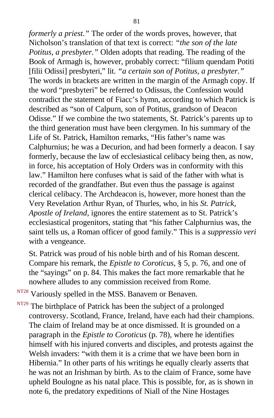*formerly a priest."* The order of the words proves, however, that Nicholson's translation of that text is correct: *"the son of the late Potitus, a presbyter."* Olden adopts that reading. The reading of the Book of Armagh is, however, probably correct: "filium quendam Potiti [filii Odissi] presbyteri," lit. *"a certain son of Potitus, a presbyter."* The words in brackets are written in the margin of the Armagh copy. If the word "presbyteri" be referred to Odissus, the Confession would contradict the statement of Fiacc's hymn, according to which Patrick is described as "son of Calpurn, son of Potitus, grandson of Deacon Odisse." If we combine the two statements, St. Patrick's parents up to the third generation must have been clergymen. In his summary of the Life of St. Patrick, Hamilton remarks, "His father's name was Calphurnius; he was a Decurion, and had been formerly a deacon. I say formerly, because the law of ecclesiastical celibacy being then, as now, in force, his acceptation of Holy Orders was in conformity with this law." Hamilton here confuses what is said of the father with what is recorded of the grandfather. But even thus the passage is against clerical celibacy. The Archdeacon is, however, more honest than the Very Revelation Arthur Ryan, of Thurles, who, in his *St. Patrick, Apostle of Ireland,* ignores the entire statement as to St. Patrick's ecclesiastical progenitors, stating that "his father Calphurnius was, the saint tells us, a Roman officer of good family." This is a *suppressio veri* with a vengeance.

St. Patrick was proud of his noble birth and of his Roman descent. Compare his remark, the *Epistle to Coroticus,* § 5, p. 76, and one of the "sayings" on p. 84. This makes the fact more remarkable that he nowhere alludes to any commission received from Rome.

[NT28](#page--1-0) Variously spelled in the MSS. Banavem or Benaven.

[NT29](#page--1-0) The birthplace of Patrick has been the subject of a prolonged controversy. Scotland, France, Ireland, have each had their champions. The claim of Ireland may be at once dismissed. It is grounded on a paragraph in the *Epistle to Coroticus* (p. 78), where he identifies himself with his injured converts and disciples, and protests against the Welsh invaders: "with them it is a crime that we have been born in Hibernia." In other parts of his writings he equally clearly asserts that he was not an Irishman by birth. As to the claim of France, some have upheld Boulogne as his natal place. This is possible, for, as is shown in note 6, the predatory expeditions of Niall of the Nine Hostages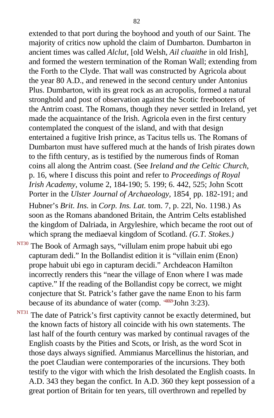extended to that port during the boyhood and youth of our Saint. The majority of critics now uphold the claim of Dumbarton. Dumbarton in ancient times was called *Alclut,* [old Welsh, *Ail cluaithe* in old Irish], and formed the western termination of the Roman Wall; extending from the Forth to the Clyde. That wall was constructed by Agricola about the year 80 A.D., and renewed in the second century under Antonius Plus. Dumbarton, with its great rock as an acropolis, formed a natural stronghold and post of observation against the Scotic freebooters of the Antrim coast. The Romans, though they never settled in Ireland, yet made the acquaintance of the Irish. Agricola even in the first century contemplated the conquest of the island, and with that design entertained a fugitive Irish prince, as Tacitus tells us. The Romans of Dumbarton must have suffered much at the hands of Irish pirates down to the fifth century, as is testified by the numerous finds of Roman coins all along the Antrim coast. (See *Ireland and the Celtic Church,* p. 16, where I discuss this point and refer to *Proceedings of Royal Irish Academy,* volume 2, 184-190; 5. 199; 6. 442, 525; John Scott Porter in the *Ulster Journal of Archaeology,* 1854, pp. 182-191; and Hubner's *Brit. Ins.* in *Corp. Ins. Lat.* tom. 7, p. 22l, No. 1198.) As soon as the Romans abandoned Britain, the Antrim Celts established the kingdom of Dalriada, in Argyleshire, which became the root out of which sprang the mediaeval kingdom of Scotland. *(G.T. Stokes.)*

- [NT30](#page--1-0) The Book of Armagh says, "villulam enim prope habuit ubi ego capturam dedi." In the Bollandist edition it is "villain enim (Enon) prope habuit ubi ego in capturam decidi." Archdeacon Hamilton incorrectly renders this "near the village of Enon where I was made captive." If the reading of the Bollandist copy be correct, we might conjecture that St. Patrick's father gave the name Enon to his farm because of its abundance of water (comp.  $\frac{4000}{1000}$ John 3:23).
- [NT31](#page--1-0) The date of Patrick's first captivity cannot be exactly determined, but the known facts of history all coincide with his own statements. The last half of the fourth century was marked by continual ravages of the English coasts by the Pities and Scots, or Irish, as the word Scot in those days always signified. Ammianus Marcellinus the historian, and the poet Claudian were contemporaries of the incursions. They both testify to the vigor with which the Irish desolated the English coasts. In A.D. 343 they began the confict. In A.D. 360 they kept possession of a great portion of Britain for ten years, till overthrown and repelled by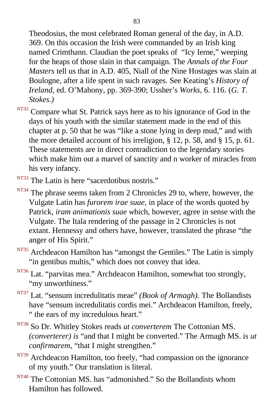Theodosius, the most celebrated Roman general of the day, in A.D. 369. On this occasion the Irish were commanded by an Irish king named Crimthann. Claudian the poet speaks of "Icy Ierne," weeping for the heaps of those slain in that campaign. The *Annals of the Four Masters* tell us that in A.D. 405, Niall of the Nine Hostages was slain at Boulogne, after a life spent in such ravages. See Keating's *History of Ireland,* ed. O'Mahony, pp. 369-390; Ussher's *Works,* 6. 116. (*G. T. Stokes.)*

- [NT32](#page--1-0) Compare what St. Patrick says here as to his ignorance of God in the days of his youth with the similar statement made in the end of this chapter at p. 50 that he was "like a stone lying in deep mud," and with the more detailed account of his irreligion, § 12, p. 58, and § 15, p. 61. These statements are in direct contradiction to the legendary stories which make him out a marvel of sanctity and n worker of miracles from his very infancy.
- [NT33](#page--1-0) The Latin is here "sacerdotibus nostris."
- $N<sub>T34</sub>$  The phrase seems taken from 2 Chronicles 29 to, where, however, the Vulgate Latin has *furorem irae suae,* in place of the words quoted by Patrick, *iram animationis suae w*hich, however, agree in sense with the Vulgate. The Itala rendering of the passage in 2 Chronicles is not extant. Hennessy and others have, however, translated the phrase "the anger of His Spirit."
- [NT35](#page--1-0) Archdeacon Hamilton has "amongst the Gentiles." The Latin is simply "in gentibus multis," which does not convey that idea.
- [NT36](#page--1-0) Lat. "parvitas mea." Archdeacon Hamilton, somewhat too strongly, "my unworthiness."
- <sup>[NT37](#page--1-0)</sup> Lat. "sensum incredulitatis meae" *(Book of Armagh)*. The Bollandists have "sensum incredulitatis cordis mei." Archdeacon Hamilton, freely, " the ears of my incredulous heart."
- [NT38](#page--1-0) So Dr. Whitley Stokes reads *ut converterem* The Cottonian MS. *(converterer) is* "and that I might be converted." The Armagh MS. is *ut confirmarem,* "that I might strengthen."
- [NT39](#page--1-0) Archdeacon Hamilton, too freely, "had compassion on the ignorance of my youth." Our translation is literal.
- [NT40](#page--1-0) The Cottonian MS. has "admonished." So the Bollandists whom Hamilton has followed.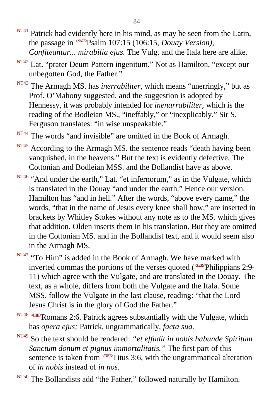- $N<sup>T41</sup>$  Patrick had evidently here in his mind, as may be seen from the Latin, the passage in  $\frac{4975}{5}$ Psalm 107:15 (106:15, *Douay Version*), *Confiteantur... mirabilia ejus.* The Vulg. and the Itala here are alike.
- [NT42](#page--1-0) Lat. "prater Deum Pattern ingenitum." Not as Hamilton, "except our unbegotten God, the Father."
- <sup>[NT43](#page--1-0)</sup> The Armagh MS. has *inerrabiliter*, which means "unerringly," but as Prof. O'Mahony suggested, and the suggestion is adopted by Hennessy, it was probably intended for *inenarrabiliter,* which is the reading of the Bodleian MS., "ineffably," or "inexplicably." Sir S. Ferguson translates: "in wise unspeakable."
- [NT44](#page--1-0) The words "and invisible" are omitted in the Book of Armagh.
- [NT45](#page--1-0) According to the Armagh MS. the sentence reads "death having been vanquished, in the heavens." But the text is evidently defective. The Cottonian and Bodleian MSS. and the Bollandist have as above.
- <sup>[NT46](#page--1-0)</sup> "And under the earth," Lat. "et infernorum," as in the Vulgate, which is translated in the Douay "and under the earth." Hence our version. Hamilton has "and in hell." After the words, "above every name," the words, "that in the name of Jesus every knee shall bow," are inserted in brackets by Whitley Stokes without any note as to the MS. which gives that addition. Olden inserts them in his translation. But they are omitted in the Cottonian MS. and in the Bollandist text, and it would seem also in the Armagh MS.
- [NT47](#page--1-0) "To Him" is added in the Book of Armagh. We have marked with inverted commas the portions of the verses quoted  $(300)$ Philippians 2:9-11) which agree with the Vulgate, and are translated in the Douay. The text, as a whole, differs from both the Vulgate and the Itala. Some MSS. follow the Vulgate in the last clause, reading: "that the Lord Jesus Christ is in the glory of God the Father."
- $NTA8 \ll m$ <sup>6</sup>Romans 2:6. Patrick agrees substantially with the Vulgate, which has *opera ejus;* Patrick, ungrammatically, *facta sua.*
- [NT49](#page--1-0) So the text should be rendered: *"et effudit in nobis habunde Spiritum Sanctum donum et pignus immortalitatis."* The first part of this sentence is taken from  $\frac{3606}{11}$ Titus 3:6, with the ungrammatical alteration of *in nobis* instead of *in nos.*

[NT50](#page--1-0) The Bollandists add "the Father," followed naturally by Hamilton.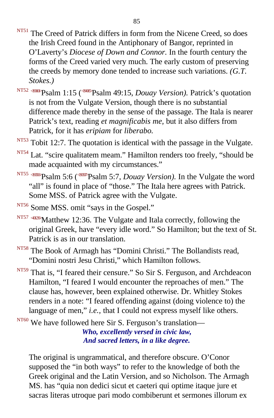- [NT51](#page--1-0) The Creed of Patrick differs in form from the Nicene Creed, so does the Irish Creed found in the Antiphonary of Bangor, reprinted in O'Laverty's *Diocese of Down and Connor.* In the fourth century the forms of the Creed varied very much. The early custom of preserving the creeds by memory done tended to increase such variations. *(G.T. Stokes.)*
- [NT52](#page--1-0) <br/>  $\triangleleft$  Psalm 1:15 (  $\triangleleft$  Psalm 49:15, *Douay Version*). Patrick's quotation is not from the Vulgate Version, though there is no substantial difference made thereby in the sense of the passage. The Itala is nearer Patrick's text, reading *et magnificabis me,* but it also differs from Patrick, for it has *eripiam* for *liberabo.*
- [NT53](#page--1-0) Tobit 12:7. The quotation is identical with the passage in the Vulgate.
- [NT54](#page--1-0) Lat. "scire qualitatem meam." Hamilton renders too freely, "should be made acquainted with my circumstances."
- [NT55](#page--1-0) <br/> <0006Psalm 5:6 (<000FPsalm 5:7*, Douay Version*). In the Vulgate the word "all" is found in place of "those." The Itala here agrees with Patrick. Some MSS. of Patrick agree with the Vulgate.
- [NT56](#page--1-0) Some MSS. omit "says in the Gospel."
- $NTS7 \ll 12:36$ . The Vulgate and Itala correctly, following the original Greek, have "every idle word." So Hamilton; but the text of St. Patrick is as in our translation.
- [NT58](#page--1-0) The Book of Armagh has "Domini Christi." The Bollandists read, "Domini nostri Jesu Christi," which Hamilton follows.
- [NT59](#page--1-0) That is, "I feared their censure." So Sir S. Ferguson, and Archdeacon Hamilton, "I feared I would encounter the reproaches of men." The clause has, however, been explained otherwise. Dr. Whitley Stokes renders in a note: "I feared offending against (doing violence to) the language of men," *i.e.*, that I could not express myself like others.
- [NT60](#page--1-0) We have followed here Sir S. Ferguson's translation-*Who, excellently versed in civic law, And sacred letters, in a like degree.*

The original is ungrammatical, and therefore obscure. O'Conor supposed the "in both ways" to refer to the knowledge of both the Greek original and the Latin Version, and so Nicholson. The Armagh MS. has "quia non dedici sicut et caeteri qui optime itaque jure et sacras literas utroque pari modo combiberunt et sermones illorum ex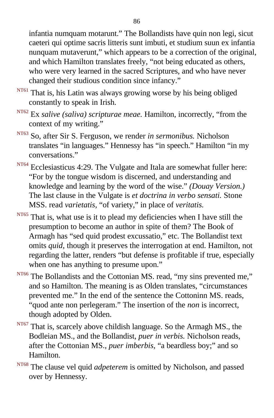infantia numquam motarunt." The Bollandists have quin non legi, sicut caeteri qui optime sacris litteris sunt imbuti, et studium suun ex infantia nunquam mutaverunt," which appears to be a correction of the original, and which Hamilton translates freely, "not being educated as others, who were very learned in the sacred Scriptures, and who have never changed their studious condition since infancy."

- [NT61](#page--1-0) That is, his Latin was always growing worse by his being obliged constantly to speak in Irish.
- [NT62](#page--1-0) Ex *salive (saliva) scripturae meae.* Hamilton, incorrectly, "from the context of my writing."
- [NT63](#page--1-0) So, after Sir S. Ferguson, we render *in sermonibus.* Nicholson translates "in languages." Hennessy has "in speech." Hamilton "in my conversations."
- [NT64](#page--1-0) Ecclesiasticus 4:29. The Vulgate and Itala are somewhat fuller here: "For by the tongue wisdom is discerned, and understanding and knowledge and learning by the word of the wise." *(Douay Version.)* The last clause in the Vulgate is *et doctrina in verbo sensati.* Stone MSS. read *varietatis,* "of variety," in place of *veritatis.*
- [NT65](#page--1-0) That is, what use is it to plead my deficiencies when I have still the presumption to become an author in spite of them? The Book of Armagh has "sed quid prodest excussatio," etc. The Bollandist text omits *quid,* though it preserves the interrogation at end. Hamilton, not regarding the latter, renders "but defense is profitable if true, especially when one has anything to presume upon."
- [NT66](#page--1-0) The Bollandists and the Cottonian MS. read, "my sins prevented me," and so Hamilton. The meaning is as Olden translates, "circumstances prevented me." In the end of the sentence the Cottoninn MS. reads, "quod ante non perlegeram." The insertion of the *non* is incorrect, though adopted by Olden.
- [NT67](#page--1-0) That is, scarcely above childish language. So the Armagh MS., the Bodleian MS., and the Bollandist, *puer in verbis.* Nicholson reads, after the Cottonian MS., *puer imberbis,* "a beardless boy;" and so Hamilton.
- <sup>[NT68](#page--1-0)</sup> The clause vel quid *adpeterem* is omitted by Nicholson, and passed over by Hennessy.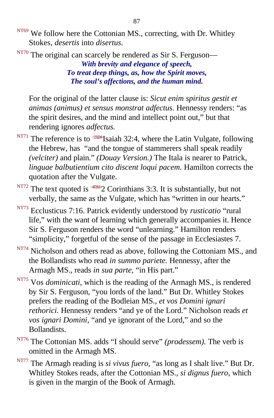[NT69](#page--1-0) We follow here the Cottonian MS., correcting, with Dr. Whitley Stokes, *desertis* into *disertus.*

[NT70](#page--1-0) The original can scarcely be rendered as Sir S. Ferguson—

*With brevity and elegance of speech, To treat deep things, as, how the Spirit moves, The soul's affections, and the human mind.*

For the original of the latter clause is: *Sicut enim spiritus gestit et animas (animus) et sensus monstrat adfectus.* Hennessy renders: "as the spirit desires, and the mind and intellect point out," but that rendering ignores *adfectus.*

- [NT71](#page--1-0) The reference is to  $\frac{23304}{15}$  Isaiah 32:4, where the Latin Vulgate, following the Hebrew, has "and the tongue of stammerers shall speak readily *(velciter)* and plain." *(Douay Version.)* The Itala is nearer to Patrick, *linguae balbutientium cito discent loqui pacem.* Hamilton corrects the quotation after the Vulgate.
- $NTT2$  The text quoted is  $40082$  Corinthians 3:3. It is substantially, but not verbally, the same as the Vulgate, which has "written in our hearts."
- [NT73](#page--1-0) Ecclusticus 7:16. Patrick evidently understood by *rusticatio* "rural life," with the want of learning which generally accompanies it. Hence Sir S. Ferguson renders the word "unlearning." Hamilton renders "simplicity," forgetful of the sense of the passage in Ecclesiastes 7.
- [NT74](#page--1-0) Nicholson and others read as above, following the Cottoniam MS., and the Bollandists who read *in summo pariete.* Hennessy, after the Armagh MS., reads *in sua parte,* "in His part."
- <sup>[NT75](#page--1-0)</sup> Vos *dominicati*, which is the reading of the Armagh MS., is rendered by Sir S. Ferguson, "you lords of the land." But Dr. Whitley Stokes prefers the reading of the Bodleian MS., *et vos Domini ignari rethorici.* Hennessy renders "and ye of the Lord." Nicholson reads *et vos ignari Domini,* "and ye ignorant of the Lord," and so the Bollandists.
- [NT76](#page--1-0) The Cottonian MS. adds "I should serve" *(prodessem).* The verb is omitted in the Armagh MS.
- [NT77](#page--1-0) The Armagh reading is *si vivus fuero,* "as long as I shalt live." But Dr. Whitley Stokes reads, after the Cottonian MS., *si dignus fuero,* which is given in the margin of the Book of Armagh.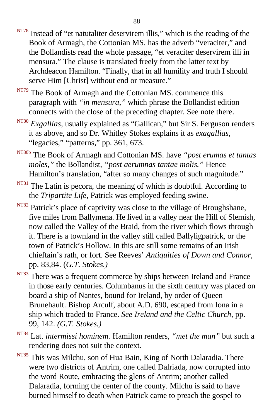- [NT78](#page--1-0) Instead of "et natutaliter deservirem illis," which is the reading of the Book of Armagh, the Cottonian MS. has the adverb "veraciter," and the Bollandists read the whole passage, "et veraciter deservirem illi in mensura." The clause is translated freely from the latter text by Archdeacon Hamilton. "Finally, that in all humility and truth I should serve Him [Christ] without end or measure."
- [NT79](#page--1-0) The Book of Armagh and the Cottonian MS. commence this paragraph with *"in mensura,"* which phrase the Bollandist edition connects with the close of the preceding chapter. See note there.
- [NT80](#page--1-0) *Exgallias,* usually explained as "Gallican," but Sir S. Ferguson renders it as above, and so Dr. Whitley Stokes explains it as *exagallias,* "legacies," "patterns," pp. 361, 673.
- NT80b The Book of Armagh and Cottonian MS. have *"post erumas et tantas moles,"* the Bollandist, *"post aerumnas tantae molis."* Hence Hamilton's translation, "after so many changes of such magnitude."
- [NT81](#page--1-0) The Latin is pecora, the meaning of which is doubtful. According to the *Tripartite Life*, Patrick was employed feeding swine.
- [NT82](#page--1-0) Patrick's place of captivity was close to the village of Broughshane, five miles from Ballymena. He lived in a valley near the Hill of Slemish, now called the Valley of the Braid, from the river which flows through it. There is a townland in the valley still called Ballyligpatrick, or the town of Patrick's Hollow. In this are still some remains of an Irish chieftain's rath, or fort. See Reeves' *Antiquities of Down and Connor,* pp. 83,84. (*G.T. Stokes.)*
- [NT83](#page--1-0) There was a frequent commerce by ships between Ireland and France in those early centuries. Columbanus in the sixth century was placed on board a ship of Nantes, bound for Ireland, by order of Queen Brunehault. Bishop Arculf, about A.D. 690, escaped from Iona in a ship which traded to France. *See Ireland and the Celtic Church,* pp. 99, 142. *(G.T. Stokes.)*
- [NT84](#page--1-0) Lat. *intermissi hominem.* Hamilton renders, *"met the man"* but such a rendering does not suit the context.
- [NT85](#page--1-0) This was Milchu, son of Hua Bain, King of North Dalaradia. There were two districts of Antrim, one called Dalriada, now corrupted into the word Route, embracing the glens of Antrim; another called Dalaradia, forming the center of the county. Milchu is said to have burned himself to death when Patrick came to preach the gospel to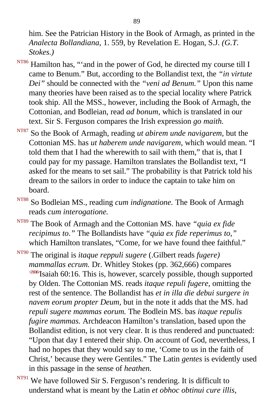him. See the Patrician History in the Book of Armagh, as printed in the *Analecta Bollandiana,* 1. 559, by Revelation E. Hogan, S.J. *(G.T. Stokes.)*

- [NT86](#page--1-0) Hamilton has, "'and in the power of God, he directed my course till I came to Benum." But, according to the Bollandist text, the *"in virtute Dei"* should be connected with the *"veni ad Benum."* Upon this name many theories have been raised as to the special locality where Patrick took ship. All the MSS., however, including the Book of Armagh, the Cottonian, and Bodleian, read *ad bonum,* which is translated in our text. Sir S. Ferguson compares the Irish expression *go maith.*
- [NT87](#page--1-0) So the Book of Armagh, reading *ut abirem unde navigarem,* but the Cottonian MS. has *ut haberem unde navigarem,* which would mean. "I told them that I had the wherewith to sail with them," that is, that I could pay for my passage. Hamilton translates the Bollandist text, "I asked for the means to set sail." The probability is that Patrick told his dream to the sailors in order to induce the captain to take him on board.
- [NT88](#page--1-0) So Bodleian MS., reading *cum indignatione.* The Book of Armagh reads *cum interogatione.*
- [NT89](#page--1-0) The Book of Armagh and the Cottonian MS. have *"quia ex fide recipimus to*.*"* The Bollandists have *"qu*i*a ex fide reperimus to,"* which Hamilton translates, "Come, for we have found thee faithful."
- [NT90](#page--1-0) The original is *itaque reppuli sugere* (.Gilbert reads *fugere) mammallas ecrum.* Dr. Whitley Stokes (pp. 362,666) compares  $\frac{2806}{15}$ Isaiah 60:16. This is, however, scarcely possible, though supported by Olden. The Cottonian MS. reads *itaque repuli fugere,* omitting the rest of the sentence. The Bollandist has *et in illa die debui surgere in navem eorum propter Deum,* but in the note it adds that the MS. had *repuli sugere mammas eorum.* The Bodlein MS. bas *itaque repulis fugire mammas.* Archdeacon Hamilton's translation, based upon the Bollandist edition, is not very clear. It is thus rendered and punctuated: "Upon that day I entered their ship. On account of God, nevertheless, I had no hopes that they would say to me, 'Come to us in the faith of Christ,' because they were Gentiles." The Latin *gentes* is evidently used in this passage in the sense of *heathen.*
- [NT91](#page--1-0) We have followed Sir S. Ferguson's rendering. It is difficult to understand what is meant by the Latin *et obhoc obtinui cure illis,*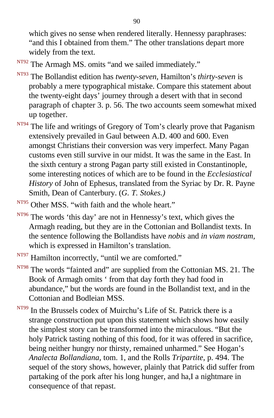which gives no sense when rendered literally. Hennessy paraphrases: "and this I obtained from them." The other translations depart more widely from the text.

- [NT92](#page--1-0) The Armagh MS. omits "and we sailed immediately."
- [NT93](#page--1-0) The Bollandist edition has *twenty-seven,* Hamilton's *thirty-seven* is probably a mere typographical mistake. Compare this statement about the twenty-eight days' journey through a desert with that in second paragraph of chapter 3. p. 56. The two accounts seem somewhat mixed up together.
- [NT94](#page--1-0) The life and writings of Gregory of Tom's clearly prove that Paganism extensively prevailed in Gaul between A.D. 400 and 600. Even amongst Christians their conversion was very imperfect. Many Pagan customs even still survive in our midst. It was the same in the East. In the sixth century a strong Pagan party still existed in Constantinople, some interesting notices of which are to be found in the *Ecclesiastical History* of John of Ephesus, translated from the Syriac by Dr. R. Payne Smith, Dean of Canterbury. (*G. T. Stokes.)*
- [NT95](#page--1-0) Other MSS. "with faith and the whole heart."
- <sup>[NT96](#page--1-0)</sup> The words 'this day' are not in Hennessy's text, which gives the Armagh reading, but they are in the Cottonian and Bollandist texts. In the sentence following the Bollandists have *nobis* and *in viam nostram,* which is expressed in Hamilton's translation.
- [NT97](#page--1-0) Hamilton incorrectly, "until we are comforted."
- [NT98](#page--1-0) The words "fainted and" are supplied from the Cottonian MS. 21. The Book of Armagh omits ' from that day forth they had food in abundance," but the words are found in the Bollandist text, and in the Cottonian and Bodleian MSS.
- [NT99](#page--1-0) In the Brussels codex of Muirchu's Life of St. Patrick there is a strange construction put upon this statement which shows how easily the simplest story can be transformed into the miraculous. "But the holy Patrick tasting nothing of this food, for it was offered in sacrifice, being neither hungry nor thirsty, remained unharmed." See Hogan's *Analecta Bollandiana,* tom. 1, and the Rolls *Tripartite,* p. 494. The sequel of the story shows, however, plainly that Patrick did suffer from partaking of the pork after his long hunger, and ha,I a nightmare in consequence of that repast.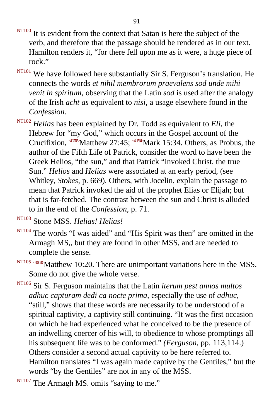- $N<sup>T100</sup>$  It is evident from the context that Satan is here the subject of the verb, and therefore that the passage should be rendered as in our text. Hamilton renders it, "for there fell upon me as it were, a huge piece of rock."
- [NT101](#page--1-0) We have followed here substantially Sir S. Ferguson's translation. He connects the words *et nihil membrorum praevalens sod unde mihi venit in spiritum,* observing that the Latin *sod* is used after the analogy of the Irish *acht as* equivalent to *nisi,* a usage elsewhere found in the *Confession.*
- [NT102](#page--1-0) *Helias* has been explained by Dr. Todd as equivalent to *Eli,* the Hebrew for "my God," which occurs in the Gospel account of the Crucifixion,  $40245$  Matthew 27:45;  $4154$  Mark 15:34. Others, as Probus, the author of the Fifth Life of Patrick, consider the word to have been the Greek Helios, "the sun," and that Patrick "invoked Christ, the true Sun." *Helios* and *Helias* were associated at an early period, (see Whitley*, Stokes,* p. 669). Others, with Jocelin, explain the passage to mean that Patrick invoked the aid of the prophet Elias or Elijah; but that is far-fetched. The contrast between the sun and Christ is alluded to in the end of the *Confession,* p. 71.
- [NT103](#page--1-0) Stone MSS. *Helias! Helias!*
- <sup>[NT104](#page--1-0)</sup> The words "I was aided" and "His Spirit was then" are omitted in the Armagh MS,, but they are found in other MSS, and are needed to complete the sense.
- $N T105$   $\ll 10020$  and  $N S$ . There are unimportant variations here in the MSS. Some do not give the whole verse.

[NT106](#page--1-0) Sir S. Ferguson maintains that the Latin *iterum pest annos multos adhuc capturam dedi ca nocte prima,* especially the use of *adhuc,* "still," shows that these words are necessarily to be understood of a spiritual captivity, a captivity still continuing. "It was the first occasion on which he had experienced what he conceived to be the presence of an indwelling coercer of his will, to obedience to whose promptings all his subsequent life was to be conformed." *(Ferguson,* pp. 113,114.) Others consider a second actual captivity to be here referred to. Hamilton translates "I was again made captive by the Gentiles," but the words "by the Gentiles" are not in any of the MSS.

[NT107](#page--1-0) The Armagh MS. omits "saying to me."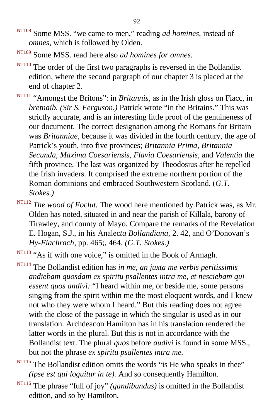- [NT108](#page--1-0) Some MSS. "we came to men," reading *ad homines,* instead of *omnes,* which is followed by Olden.
- [NT109](#page--1-0) Some MSS. read here also *ad homines for omnes.*
- [NT110](#page--1-0) The order of the first two paragraphs is reversed in the Bollandist edition, where the second pargraph of our chapter 3 is placed at the end of chapter 2.
- [NT111](#page--1-0) "Amongst the Britons": in *Britannis,* as in the Irish gloss on Fiacc, in *bretnaib. (Sir S. Ferguson.)* Patrick wrote "in the Britains." This was strictly accurate, and is an interesting little proof of the genuineness of our document. The correct designation among the Romans for Britain was *Britanniae,* because it was divided in the fourth century, the age of Patrick's youth, into five provinces; *Britannia Prima, Britannia Secunda, Maxima Coesariensis, Flavia Coesariensis,* and *Valentia* the fifth province. The last was organized by Theodosius after he repelled the Irish invaders. It comprised the extreme northern portion of the Roman dominions and embraced Southwestern Scotland. (*G.T. Stokes.)*
- [NT112](#page--1-0) *The wood of Foclut.* The wood here mentioned by Patrick was, as Mr. Olden has noted, situated in and near the parish of Killala, barony of Tirawley, and county of Mayo. Compare the remarks of the Revelation E. Hogan, S.J., in his Analec*ta Bollandiana,* 2. 42, and O'Donovan's *Hy-Fiachrach,* pp. 465;, 464. *(G.T. Stokes.)*
- [NT113](#page--1-0) "As if with one voice," is omitted in the Book of Armagh.
- [NT114](#page--1-0) The Bollandist edition has *in me, an juxta me verbis peritissimis andiebam quosdam ex spiritu psallentes intra me, et nesciebam qui essent quos andivi:* "I heard within me, or beside me, some persons singing from the spirit within me the most eloquent words, and I knew not who they were whom I heard." But this reading does not agree with the close of the passage in which the singular is used as in our translation. Archdeacon Hamilton has in his translation rendered the latter words in the plural. But this is not in accordance with the Bollandist text. The plural *quos* before *audivi* is found in some MSS., but not the phrase *ex spiritu psallentes intra me.*
- [NT115](#page--1-0) The Bollandist edition omits the words "is He who speaks in thee" *(ipse est qui loguitur in te).* And so consequently Hamilton.
- [NT116](#page--1-0) The phrase "full of joy" *(gandibundus)* is omitted in the Bollandist edition, and so by Hamilton.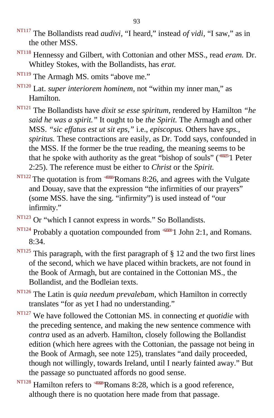- [NT117](#page--1-0) The Bollandists read *audivi,* "I heard," instead *of vidi,* "I saw," as in the other MSS.
- [NT118](#page--1-0) Hennessy and Gilbert, with Cottonian and other MSS., read *eram.* Dr. Whitley Stokes, with the Bollandists, has *erat.*
- [NT119](#page--1-0) The Armagh MS. omits "above me."
- [NT120](#page--1-0) Lat. *super interiorem hominem,* not "within my inner man," as Hamilton.
- [NT121](#page--1-0) The Bollandists have *dixit se esse spiritum,* rendered by Hamilton *"he said he was a spirit."* It ought to be *the Spirit.* The Armagh and other MSS. *"sic effatus est ut sit eps,"* i.e., *episcopus.* Others have *sps., spiritus.* These contractions are easily, as Dr. Todd says, confounded in the MSS. If the former be the true reading, the meaning seems to be that he spoke with authority as the great "bishop of souls" ( $\frac{1}{2}$ ] Peter 2:25). The reference must be either to *Christ* or the *Spirit.*
- $N T122$  The quotation is from  $4506$  Romans 8:26, and agrees with the Vulgate and Douay, save that the expression "the infirmities of our prayers" (some MSS. have the sing. "infirmity") is used instead of "our infirmity."
- [NT123](#page--1-0) Or "which I cannot express in words." So Bollandists.
- $N T 124$  Probably a quotation compounded from  $\frac{1}{2}$  John 2:1, and Romans. 8:34.
- $N T125$  This paragraph, with the first paragraph of § 12 and the two first lines of the second, which we have placed within brackets, are not found in the Book of Armagh, but are contained in the Cottonian MS., the Bollandist, and the Bodleian texts.
- [NT126](#page--1-0) The Latin is *quia needum prevalebam,* which Hamilton in correctly translates "for as yet I had no understanding."
- [NT127](#page--1-0) We have followed the Cottonian MS. in connecting *et quotidie* with the preceding sentence, and making the new sentence commence with *contra* used as an adverb. Hamilton, closely following the Bollandist edition (which here agrees with the Cottonian, the passage not being in the Book of Armagh, see note 125), translates "and daily proceeded, though not willingly, towards Ireland, until I nearly fainted away." But the passage so punctuated affords no good sense.
- $N T128$  Hamilton refers to  $4588$ Romans 8:28, which is a good reference, although there is no quotation here made from that passage.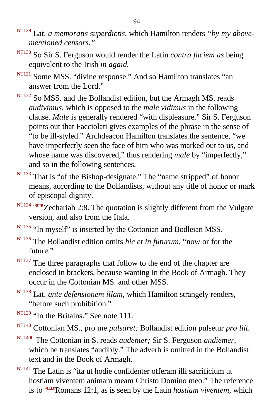- [NT129](#page--1-0) Lat. *a memoratis superdictis,* which Hamilton renders *"by my abovementioned censors."*
- [NT130](#page--1-0) So Sir S. Ferguson would render the Latin *contra faciem as* being equivalent to the Irish *in agaid.*
- [NT131](#page--1-0) Some MSS. "divine response." And so Hamilton translates "an answer from the Lord."
- [NT132](#page--1-0) So MSS. and the Bollandist edition, but the Armagh MS. reads *audivimus,* which is opposed to the *male vidimus* in the following clause. *Male* is generally rendered "with displeasure." Sir S. Ferguson points out that Facciolati gives examples of the phrase in the sense of "to be ill-styled." Archdeacon Hamilton translates the sentence, "we have imperfectly seen the face of him who was marked out to us, and whose name was discovered," thus rendering *male* by "imperfectly," and so in the following sentences.
- [NT133](#page--1-0) That is "of the Bishop-designate." The "name stripped" of honor means, according to the Bollandists, without any title of honor or mark of episcopal dignity.
- $N T 134 \times 2808$ Zechariah 2:8. The quotation is slightly different from the Vulgate version, and also from the Itala.
- [NT135](#page--1-0) "In myself" is inserted by the Cottonian and Bodleian MSS.
- [NT136](#page--1-0) The Bollandist edition omits *hic et in futurum,* "now or for the future."
- [NT137](#page--1-0) The three paragraphs that follow to the end of the chapter are enclosed in brackets, because wanting in the Book of Armagh. They occur in the Cottonian MS. and other MSS.
- [NT138](#page--1-0) Lat. *ante defensionem illam*, which Hamilton strangely renders, "before such prohibition."
- <sup>[NT139](#page--1-0)</sup> "In the Britains." See note 111.
- [NT140](#page--1-0) Cottonian MS., pro me *pulsaret;* Bollandist edition pulsetur *pro lilt.*
- NT140b The Cottonian in S. reads *audenter;* Sir S. Ferguson *andiemer,* which he translates "audibly." The adverb is omitted in the Bollandist text and in the Book of Armagh.
- [NT141](#page--1-0) The Latin is "ita ut hodie confidenter offeram illi sacrificium ut hostiam viventem animam meam Christo Domino meo." The reference is to <sup> $\text{max}$ </sup> Romans 12:1, as is seen by the Latin *hostiam viventem*, which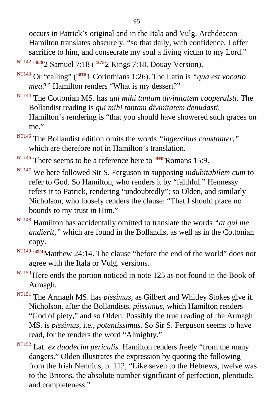occurs in Patrick's original and in the Itala and Vulg. Archdeacon Hamilton translates obscurely, "so that daily, with confidence, I offer sacrifice to him, and consecrate my soul a living victim to my Lord."

- [NT142](#page--1-0) <10782 Samuel 7:18 ( $40782$  Kings 7:18, Douay Version).
- <sup>[NT143](#page--1-0)</sup> Or "calling" (<sup>46026</sup>1 Corinthians 1:26). The Latin is *"qua est vocatio mea?*" Hamilton renders "What is my dessert?"
- [NT144](#page--1-0) The Cottonian MS. has *qui mihi tantam divinitatem cooperulsti.* The Bollandist reading is *qui mihi tantam divinitatem denudasti.* Hamilton's rendering is "that you should have showered such graces on me."
- [NT145](#page--1-0) The Bollandist edition omits the words *"ingentibus constanter,"* which are therefore not in Hamilton's translation.
- $N T146$  There seems to be a reference here to  $\sqrt{3519}$  Romans 15:9.
- [NT147](#page--1-0) We here followed Sir S. Ferguson in supposing *indubitabilem cum* to refer to God. So Hamilton, who renders it by "faithful." Hennessy refers it to Patrick, rendering "undoubtedly"; so Olden, and similarly Nicholson, who loosely renders the clause: "That I should place no bounds to my trust in Him."
- [NT148](#page--1-0) Hamilton has accidentally omitted to translate the words *"at qui me andierit,"* which are found in the Bollandist as well as in the Cottonian copy.
- [NT149](#page--1-0) <am<sup>44</sup>Matthew 24:14. The clause "before the end of the world" does not agree with the Itala or Vulg. versions.
- $N<sup>T150</sup>$  Here ends the portion noticed in note 125 as not found in the Book of Armagh.
- [NT151](#page--1-0) The Armagh MS. has *pissimus,* as Gilbert and Whitley Stokes give it. Nicholson, after the Bollandists, *piissimus,* which Hamilton renders "God of piety," and so Olden. Possibly the true reading of the Armagh MS. is *pissimus,* i.e., *potentissimus.* So Sir S. Ferguson seems to have read, for he renders the word "Almighty."
- [NT152](#page--1-0) Lat. *ex duodecim periculis.* Hamilton renders freely "from the many dangers." Olden illustrates the expression by quoting the following from the Irish Nennius, p. 112, "Like seven to the Hebrews, twelve was to the Britons, the absolute number significant of perfection, plenitude, and completeness."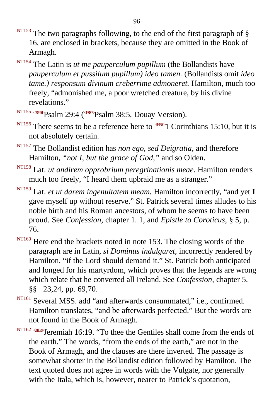- [NT153](#page--1-0) The two paragraphs following, to the end of the first paragraph of § 16, are enclosed in brackets, because they are omitted in the Book of Armagh.
- [NT154](#page--1-0) The Latin is *ut me pauperculum pupillum* (the Bollandists have *pauperculum et pussilum pupillum) ideo tamen.* (Bollandists omit *ideo tame.) responsum divinum creberrime admoneret.* Hamilton, much too freely, "admonished me, a poor wretched creature, by his divine revelations."
- [NT155](#page--1-0) <19204 Psalm 29:4 (<1986) Psalm 38:5, Douay Version).
- $N<sup>T156</sup>$  There seems to be a reference here to  $450$  Corinthians 15:10, but it is not absolutely certain.
- [NT157](#page--1-0) The Bollandist edition has *non ego, sed Deigratia,* and therefore Hamilton, *"not I, but the grace of God,"* and so Olden.
- [NT158](#page--1-0) Lat. *ut andirem opprobrium peregrinationis meae.* Hamilton renders much too freely, "I heard them upbraid me as a stranger."
- [NT159](#page--1-0) Lat. *et ut darem ingenultatem meam.* Hamilton incorrectly, "and yet **I** gave myself up without reserve." St. Patrick several times alludes to his noble birth and his Roman ancestors, of whom he seems to have been proud. See *Confession,* chapter 1. 1, and *Epistle to Coroticus,* § 5, p. 76.
- [NT160](#page--1-0) Here end the brackets noted in note 153. The closing words of the paragraph are in Latin, *si Dominus indulguret,* incorrectly rendered by Hamilton, "if the Lord should demand it." St. Patrick both anticipated and longed for his martyrdom, which proves that the legends are wrong which relate that he converted all Ireland. See *Confession,* chapter 5. §§ 23,24, pp. 69,70.
- [NT161](#page--1-0) Several MSS. add "and afterwards consummated," i.e., confirmed. Hamilton translates, "and be afterwards perfected." But the words are not found in the Book of Armagh.
- [NT162](#page--1-0) <241609 Jeremiah 16:19. "To thee the Gentiles shall come from the ends of the earth." The words, "from the ends of the earth," are not in the Book of Armagh, and the clauses are there inverted. The passage is somewhat shorter in the Bollandist edition followed by Hamilton. The text quoted does not agree in words with the Vulgate, nor generally with the Itala, which is, however, nearer to Patrick's quotation,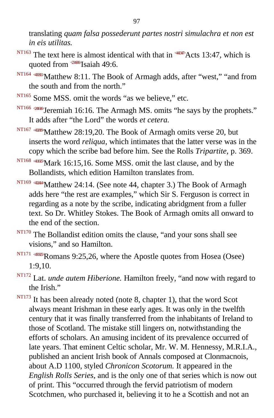translating *quam falsa possederunt partes nostri simulachra et non est in eis utilitas.*

- $N<sup>T163</sup>$  The text here is almost identical with that in  $444\%$ Acts 13:47, which is quoted from  $\frac{23406}{15}$ Isaiah 49:6.
- [NT164](#page--1-0) <a0081bMatthew 8:11. The Book of Armagh adds, after "west," "and from the south and from the north."
- [NT165](#page--1-0) Some MSS. omit the words "as we believe," etc.
- [NT166](#page--1-0) 2406 Jeremiah 16:16. The Armagh MS. omits "he says by the prophets." It adds after "the Lord" the words *et cetera.*
- [NT167](#page--1-0) <ax>Matthew 28:19,20. The Book of Armagh omits verse 20, but inserts the word *reliqua,* which intimates that the latter verse was in the copy which the scribe bad before him. See the Rolls *Tripartite,* p. 369.
- [NT168](#page--1-0) 4165 Mark 16:15,16. Some MSS. omit the last clause, and by the Bollandists, which edition Hamilton translates from.
- [NT169](#page--1-0) <apple 24:14. (See note 44, chapter 3.) The Book of Armagh adds here "the rest are examples," which Sir S. Ferguson is correct in regarding as a note by the scribe, indicating abridgment from a fuller text. So Dr. Whitley Stokes. The Book of Armagh omits all onward to the end of the section.
- [NT170](#page--1-0) The Bollandist edition omits the clause, "and your sons shall see visions," and so Hamilton.
- [NT171](#page--1-0) <assess Romans 9:25,26, where the Apostle quotes from Hosea (Osee) 1:9,10.
- [NT172](#page--1-0) Lat. *unde autem Hiberione*. Hamilton freely, "and now with regard to the Irish."
- [NT173](#page--1-0) It has been already noted (note 8, chapter 1), that the word Scot always meant Irishman in these early ages. It was only in the twelfth century that it was finally transferred from the inhabitants of Ireland to those of Scotland. The mistake still lingers on, notwithstanding the efforts of scholars. An amusing incident of its prevalence occurred of late years. That eminent Celtic scholar, Mr. W. M. Hennessy, M.R.I.A., published an ancient Irish book of Annals composed at Clonmacnois, about A.D 1100, styled *Chronicon Scotorum.* It appeared in the *English Rolls Series,* and is the only one of that series which is now out of print. This "occurred through the fervid patriotism of modern Scotchmen, who purchased it, believing it to he a Scottish and not an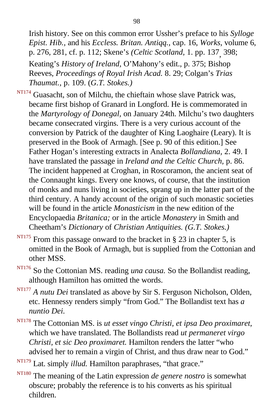Irish history. See on this common error Ussher's preface to his *Sylloge Epist. Hib.,* and his *Eccless. Britan. Antiqq.,* cap. 16, *Works,* volume 6, p. 276, 281, cf. p. 112; Skene's *(Celtic Scotland,* 1. pp. 137, 398; Keating's *History of Ireland,* O'Mahony's edit., p. 375; Bishop Reeves, *Proceedings of Royal Irish Acad.* 8. 29; Colgan's *Trias Thaumat.,* p. 109. (*G.T. Stokes.)*

- [NT174](#page--1-0) Guasacht, son of Milchu, the chieftain whose slave Patrick was, became first bishop of Granard in Longford. He is commemorated in the *Martyrology of Donegal,* on January 24th. Milchu's two daughters became consecrated virgins. There is a very curious account of the conversion by Patrick of the daughter of King Laoghaire (Leary). It is preserved in the Book of Armagh. [See p. 90 of this edition.] See Father Hogan's interesting extracts in Analecta *Bollandiana,* 2. 49. I have translated the passage in *Ireland and the Celtic Church,* p. 86. The incident happened at Croghan, in Roscoramon, the ancient seat of the Connaught kings. Every one knows, of course, that the institution of monks and nuns living in societies, sprang up in the latter part of the third century. A handy account of the origin of such monastic societies will be found in the article *Monasticism* in the new edition of the Encyclopaedia *Britanica;* or in the article *Monastery* in Smith and Cheetham's *Dictionary* of *Christian Antiquities. (G.T. Stokes.)*
- $NTI<sup>75</sup>$  From this passage onward to the bracket in § 23 in chapter 5, is omitted in the Book of Armagh, but is supplied from the Cottonian and other MSS.
- [NT176](#page--1-0) So the Cottonian MS. reading *una causa*. So the Bollandist reading, although Hamilton has omitted the words.
- [NT177](#page--1-0) *A nutu Dei* translated as above by Sir S. Ferguson Nicholson, Olden, etc. Hennessy renders simply "from God." The Bollandist text has *a nuntio Dei.*
- [NT178](#page--1-0) The Cottonian MS. is *ut esset vingo Christi, et ipsa Deo proximaret,* which we have translated. The Bollandists read *ut permaneret virgo Christi, et sic Deo proximaret.* Hamilton renders the latter "who advised her to remain a virgin of Christ, and thus draw near to God."
- [NT179](#page--1-0) Lat. simply *illud*. Hamilton paraphrases, "that grace."
- [NT180](#page--1-0) The meaning of the Latin expression *de genere nostro* is somewhat obscure; probably the reference is to his converts as his spiritual children.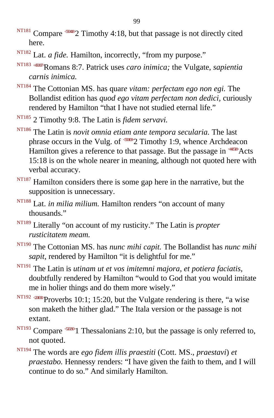- $N T 181$  Compare  $\sqrt{3048}$  2 Timothy 4:18, but that passage is not directly cited here.
- [NT182](#page--1-0) Lat. *a fide*. Hamilton, incorrectly, "from my purpose."
- [NT183](#page--1-0) <450807>Romans 8:7. Patrick uses *caro inimica;* the Vulgate, *sapientia carnis inimica.*
- [NT184](#page--1-0) The Cottonian MS. has quar*e vitam: perfectam ego non egi.* The Bollandist edition has *quod ego vitam perfectam non dedici,* curiously rendered by Hamilton "that I have not studied eternal life."
- [NT185](#page--1-0) 2 Timothy 9:8. The Latin is *fidem servavi.*
- [NT186](#page--1-0) The Latin is *novit omnia etiam ante tempora secularia.* The last phrase occurs in the Vulg. of  $\sqrt{5000}$  2 Timothy 1:9, whence Archdeacon Hamilton gives a reference to that passage. But the passage in  $445\%$  Acts 15:18 is on the whole nearer in meaning, although not quoted here with verbal accuracy.
- [NT187](#page--1-0) Hamilton considers there is some gap here in the narrative, but the supposition is unnecessary.
- [NT188](#page--1-0) Lat. *in milia milium.* Hamilton renders "on account of many thousands."
- [NT189](#page--1-0) Literally "on account of my rusticity." The Latin is *propter rusticitatem meam.*
- [NT190](#page--1-0) The Cottonian MS. has *nunc mihi capit.* The Bollandist has *nunc mihi* sapit, rendered by Hamilton "it is delightful for me."
- [NT191](#page--1-0) The Latin is *utinam ut et vos imitemni majora, et potiera faciatis,* doubtfully rendered by Hamilton "would to God that you would imitate me in holier things and do them more wisely."
- $N T192$   $\alpha$   $\alpha$  Proverbs 10:1; 15:20, but the Vulgate rendering is there, "a wise son maketh the hither glad." The Itala version or the passage is not extant.
- $N T 193$  Compare  $\alpha$ <sup>200</sup>1 Thessalonians 2:10, but the passage is only referred to, not quoted.
- [NT194](#page--1-0) The words are *ego fidem illis praestiti* (Cott. MS., *praestavi*) *et praestabo.* Hennessy renders: "I have given the faith to them, and I will continue to do so." And similarly Hamilton.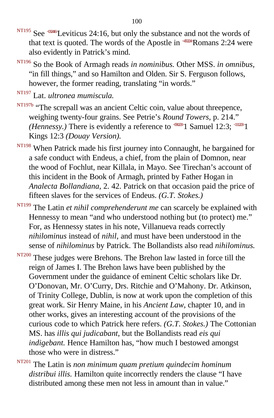- $N T195$  See  $\frac{4846}{N}$ Leviticus 24:16, but only the substance and not the words of that text is quoted. The words of the Apostle in  $\frac{4024}{\pi}$ Romans 2:24 were also evidently in Patrick's mind.
- [NT196](#page--1-0) So the Book of Armagh reads *in nominibus.* Other MSS. *in omnibus,* "in fill things," and so Hamilton and Olden. Sir S. Ferguson follows, however, the former reading, translating "in words."
- [NT197](#page--1-0) Lat. *ultronea mumiscula.*
- NT197b "The screpall was an ancient Celtic coin, value about threepence, weighing twenty-four grains. See Petrie's *Round Towers,* p. 214." *(Hennessy.)* There is evidently a reference to  $\frac{4000 \text{ m}}{2}$  Samuel 12:3;  $\frac{4100 \text{ m}}{2}$ Kings 12:3 *(Douay Version).*
- [NT198](#page--1-0) When Patrick made his first journey into Connaught, he bargained for a safe conduct with Endeus, a chief, from the plain of Domnon, near the wood of Fochlut, near Killala, in Mayo. See Tirechan's account of this incident in the Book of Armagh, printed by Father Hogan in *Analecta Bollandiana,* 2. 42. Patrick on that occasion paid the price of fifteen slaves for the services of Endeus. *(G.T. Stokes.)*
- [NT199](#page--1-0) The Latin *et nihil comprehenderunt me* can scarcely be explained with Hennessy to mean "and who understood nothing but (to protect) me." For, as Hennessy states in his note, Villanueva reads correctly *nihilominus* instead of *nihil,* and must have been understood in the sense of *nihilominus* by Patrick. The Bollandists also read *nihilominus.*
- [NT200](#page--1-0) These judges were Brehons. The Brehon law lasted in force till the reign of James I. The Brehon laws have been published by the Government under the guidance of eminent Celtic scholars like Dr. O'Donovan, Mr. O'Curry, Drs. Ritchie and O'Mahony. Dr. Atkinson, of Trinity College, Dublin, is now at work upon the completion of this great work. Sir Henry Maine, in his *Ancient Law,* chapter 10, and in other works, gives an interesting account of the provisions of the curious code to which Patrick here refers. *(G.T. Stokes.)* The Cottonian MS. has *illis qui judicabant,* but the Bollandists read *eis qui indigebant.* Hence Hamilton has, "how much I bestowed amongst those who were in distress."
- [NT201](#page--1-0) The Latin is *non minimum quam pretium quindecim hominum distribui illis.* Hamilton quite incorrectly renders the clause "I have distributed among these men not less in amount than in value."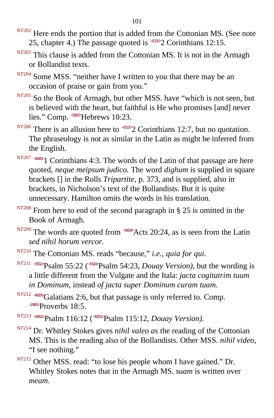- [NT202](#page--1-0) Here ends the portion that is added from the Cottonian MS. (See note 25, chapter 4.) The passage quoted is  $\frac{4725}{5}$  Corinthians 12:15.
- [NT203](#page--1-0) This clause is added from the Cottonian MS. It is not in the Armagh or Bollandist texts.
- [NT204](#page--1-0) Some MSS. "neither have I written to you that there may be an occasion of praise or gain from you."
- [NT205](#page--1-0) So the Book of Armagh, but other MSS. have "which is not seen, but is believed with the heart, but faithful is He who promises [and] never lies." Comp. **SIOB** Hebrews 10:23.
- [NT206](#page--1-0) There is an allusion here to  $\frac{4700}{2}$  Corinthians 12:7, but no quotation. The phraseology is not as similar in the Latin as might be inferred from the English.
- $N$ <sup>T207 <4608</sup>1 Corinthians 4:3. The words of the Latin of that passage are here quoted, *neque meipsum judico.* The word *dighum* is supplied in square brackets [] in the Rolls *Tripartite,* p. 373, and is supplied, also in brackets, in Nicholson's text of the Bollandists. But it is quite unnecessary. Hamilton omits the words in his translation.
- [NT208](#page--1-0) From here to end of the second paragraph in § 25 is omitted in the Book of Armagh.
- [NT209](#page--1-0) The words are quoted from  $\frac{400\text{ m}}{400}$ Acts 20:24, as is seen from the Latin *sed nihil horum vercor.*
- [NT210](#page--1-0) The Cottonian MS. reads "because," *i.e., quia for qui.*
- [NT211](#page--1-0) <br/>seem Psalm 55:22 (<abr/>memberships 13, *Douay Version*), but the wording is a little different from the Vulgate and the Itala: *jacta cogitatrim tuum in Dominum,* instead *of jacta super Dominum curam tuam.*
- [NT212](#page--1-0) <axx6 Galatians 2:6, but that passage is only referred to. Comp.  $\triangle$ <sup>201805</sup> Proverbs 18:5.
- [NT213](#page--1-0) <BB2 Psalm 116:12 (<br/>BB2 Psalm 115:12, *Douay Version*).
- [NT214](#page--1-0) Dr. Whitley Stokes gives *nihil valeo a*s the reading of the Cottonian MS. This is the reading also of the Bollandists. Other MSS. *nihil video,* "I see nothing."
- [NT215](#page--1-0) Other MSS. read: "to lose his people whom I have gained." Dr. Whitley Stokes notes that in the Armagh MS. *suam* is written over *meam*.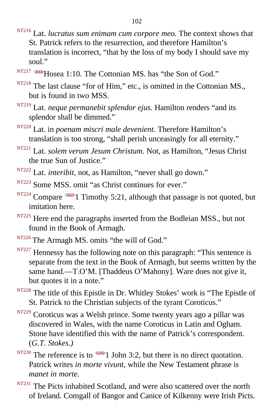- [NT216](#page--1-0) Lat. *lucratus sum enimam cum corpore meo.* The context shows that St. Patrick refers to the resurrection, and therefore Hamilton's translation is incorrect, "that by the loss of my body I should save my soul."
- [NT217](#page--1-0)  $\alpha$ 800<sup>B</sup>Hosea 1:10. The Cottonian MS. has "the Son of God."
- [NT218](#page--1-0) The last clause "for of Him," etc., is omitted in the Cottonian MS., but is found in two MSS.
- [NT219](#page--1-0) Lat. *neque permanebit splendor ejus.* Hamilton renders "and its splendor shall be dimmed."
- [NT220](#page--1-0) Lat. in *poenam miscri male devenient.* Therefore Hamilton's translation is too strong, "shall perish unceasingly for all eternity."
- [NT221](#page--1-0) Lat. *solem verum Jesum Christum.* Not, as Hamilton, "Jesus Christ the true Sun of Justice."
- [NT222](#page--1-0) Lat. *interibit,* not, as Hamilton, "never shall go down."
- [NT223](#page--1-0) Some MSS. omit "as Christ continues for ever."
- $N$ <sup>[NT224](#page--1-0)</sup> Compare  $\frac{1}{2}$  Timothy 5:21, although that passage is not quoted, but imitation here.
- [NT225](#page--1-0) Here end the paragraphs inserted from the Bodleian MSS., but not found in the Book of Armagh.
- [NT226](#page--1-0) The Armagh MS. omits "the will of God."
- $N<sub>T227</sub>$  Hennessy has the following note on this paragraph: "This sentence is separate from the text in the Book of Armagh, but seems written by the same hand.—T.O'M. [Thaddeus O'Mahony]. Ware does not give it, but quotes it in a note."
- [NT228](#page--1-0) The title of this Epistle in Dr. Whitley Stokes' work is "The Epistle of St. Patrick to the Christian subjects of the tyrant Coroticus."
- [NT229](#page--1-0) Coroticus was a Welsh prince. Some twenty years ago a pillar was discovered in Wales, with the name Coroticus in Latin and Ogham. Stone have identified this with the name of Patrick's correspondent. (*G.T. Stokes.)*
- [NT230](#page--1-0) The reference is to  $\frac{\text{MRD}}{2}1$  John 3:2, but there is no direct quotation. Patrick writes *in morte vivunt,* while the New Testament phrase is *manet in morte.*
- [NT231](#page--1-0) The Picts inhabited Scotland, and were also scattered over the north of Ireland. Comgall of Bangor and Canice of Kilkenny were Irish Picts.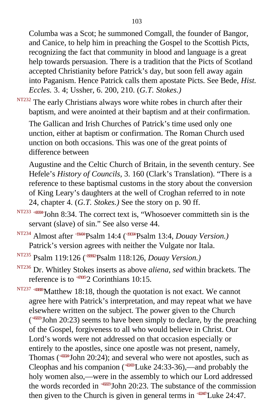Columba was a Scot; he summoned Comgall, the founder of Bangor, and Canice, to help him in preaching the Gospel to the Scottish Picts, recognizing the fact that community in blood and language is a great help towards persuasion. There is a tradition that the Picts of Scotland accepted Christianity before Patrick's day, but soon fell away again into Paganism. Hence Patrick calls them apostate Picts. See Bede, *Hist. Eccles.* 3. 4; Ussher, 6. 200, 210. (*G.T. Stokes.)*

[NT232](#page--1-0) The early Christians always wore white robes in church after their baptism, and were anointed at their baptism and at their confirmation.

The Gallican and Irish Churches of Patrick's time used only one unction, either at baptism or confirmation. The Roman Church used unction on both occasions. This was one of the great points of difference between

Augustine and the Celtic Church of Britain, in the seventh century. See Hefele's *History of Councils,* 3. 160 (Clark's Translation). "There is a reference to these baptismal customs in the story about the conversion of King Leary's daughters at the well of Croghan referred to in note 24, chapter 4. (*G.T. Stokes.)* See the story on p. 90 ff.

- $N$ <sup>T233 <4884</sup>John 8:34. The correct text is, "Whosoever committeth sin is the servant (slave) of sin." See also verse 44.
- [NT234](#page--1-0) Almost after <sup><9404</sup>Psalm 14:4 (<sup><9604</sup>Psalm 13:4, *Douay Version.*) Patrick's version agrees with neither the Vulgate nor Itala.
- [NT235](#page--1-0) Psalm 119:126 (<BB<sup>2</sup>Psalm 118:126, *Douay Version.*)
- [NT236](#page--1-0) Dr. Whitley Stokes inserts as above *aliena, sed* within brackets. The reference is to  $\sqrt{4705}$  2 Corinthians 10:15.
- [NT237](#page--1-0)  $\triangleleft$ M88<sup>M</sup>Matthew 18:18, though the quotation is not exact. We cannot agree here with Patrick's interpretation, and may repeat what we have elsewhere written on the subject. The power given to the Church  $(\sqrt{4428})$  John 20:23) seems to have been simply to declare, by the preaching of the Gospel, forgiveness to all who would believe in Christ. Our Lord's words were not addressed on that occasion especially or entirely to the apostles, since one apostle was not present, namely, Thomas ( $\sqrt{4324}$ John 20:24); and several who were not apostles, such as Cleophas and his companion ( $\frac{424}{4}$ Luke 24:33-36),—and probably the holy women also,—were in the assembly to which our Lord addressed the words recorded in  $\frac{4820}{20}$ John 20:23. The substance of the commission then given to the Church is given in general terms in  $\frac{d^{2}W}{dx^{2}}$ Luke 24:47.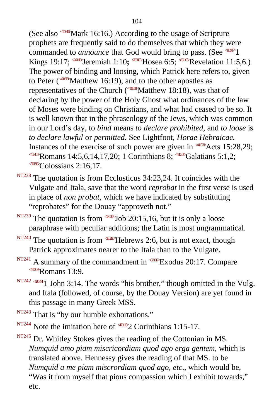(See also  $\frac{4166}{6}$  Mark 16:16.) According to the usage of Scripture prophets are frequently said to do themselves that which they were commanded to *announce* that God would bring to pass. (See  $\triangleleft1072$ ) Kings 19:17; <sup>2010</sup>Jeremiah 1:10; <sup>2006</sup>Hosea 6:5; <sup>4610</sup>Revelation 11:5,6.) The power of binding and loosing, which Patrick here refers to, given to Peter ( $4069$ Matthew 16:19), and to the other apostles as representatives of the Church ( $\frac{4088}{8}$ Matthew 18:18), was that of declaring by the power of the Holy Ghost what ordinances of the law of Moses were binding on Christians, and what had ceased to be so. It is well known that in the phraseology of the Jews, which was common in our Lord's day, to *bind* means *to declare prohibited,* and *to loose* is *to declare lawful* or *permitted.* See Lightfoot, *Horae Hebraicae.* Instances of the exercise of such power are given in  $448\%$ Acts 15:28,29;  $*$ <sub>445</sub> Romans 14:5,6,14,17,20; 1 Corinthians 8;  $*$ <sub>680</sub> Galatians 5:1,2;  $5026$ Colossians 2:16,17.

- $N$ <sup>[NT238](#page--1-0)</sup> The quotation is from Ecclusticus 34:23,24. It coincides with the Vulgate and Itala, save that the word *reprobat* in the first verse is used in place of *non probat,* which we have indicated by substituting "reprobates" for the Douay "approveth not."
- $N$ <sup>[NT239](#page--1-0)</sup> The quotation is from  $\frac{4806}{5}$ Job 20:15,16, but it is only a loose paraphrase with peculiar additions; the Latin is most ungrammatical.

 $N$ <sup>[NT240](#page--1-0)</sup> The quotation is from  $\sqrt{3806}$  Hebrews 2:6, but is not exact, though Patrick approximates nearer to the Itala than to the Vulgate.

- $N$ <sup>[NT241](#page--1-0)</sup> A summary of the commandment in  $\sqrt{227}$ Exodus 20:17. Compare  $\triangle$ <sub>5139</sub><sub>Romans</sub> 13:9.
- $N$ T242  $\alpha$ <sub>334</sub> 1 John 3:14. The words "his brother," though omitted in the Vulg. and Itala (followed, of course, by the Douay Version) are yet found in this passage in many Greek MSS.
- [NT243](#page--1-0) That is "by our humble exhortations."
- $N$ <sup>T244</sup> Note the imitation here of  $\frac{4005}{2}$  Corinthians 1:15-17.

[NT245](#page--1-0) Dr. Whitley Stokes gives the reading of the Cottonian in MS. *Numquid amo piam miscricordiam quod ago erga gentem,* which is translated above. Hennessy gives the reading of that MS. to be *Numquid a me piam miscrordiam quod ago, etc*., which would be, "Was it from myself that pious compassion which I exhibit towards," etc.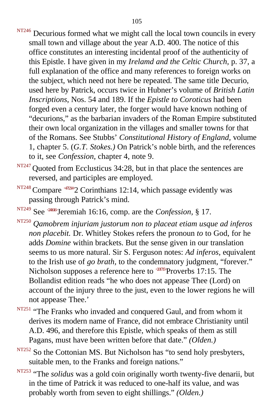- $N<sup>T1246</sup>$  Decurious formed what we might call the local town councils in every small town and village about the year A.D. 400. The notice of this office constitutes an interesting incidental proof of the authenticity of this Epistle. I have given in my *Irelamd and the Celtic Church,* p. 37, a full explanation of the office and many references to foreign works on the subject, which need not here be repeated. The same title Decurio, used here by Patrick, occurs twice in Hubner's volume of *British Latin Inscriptions,* Nos. 54 and 189. If the *Epistle to Coroticus* had been forged even a century later, the forger would have known nothing of "decurions," as the barbarian invaders of the Roman Empire substituted their own local organization in the villages and smaller towns for that of the Romans. See Stubbs' *Constitutional History of England,* volume 1, chapter 5. (*G.T. Stokes.)* On Patrick's noble birth, and the references to it, see *Confession,* chapter 4, note 9.
- [NT247](#page--1-0) Quoted from Ecclusticus 34:28, but in that place the sentences are reversed, and participles are employed.
- $N$ <sup>NT248</sup> Compare  $\omega$ <sup>2124</sup>2 Corinthians 12:14, which passage evidently was passing through Patrick's mind.
- [NT249](#page--1-0) See <sup>24166</sup>Jeremiah 16:16, comp. are the *Confession*, § 17.
- [NT250](#page--1-0) *Qamobrem injuriam justorum non to placeat etiam usque ad inferos non placebit.* Dr. Whitley Stokes refers the pronoun *to* to God, for he adds *Domine* within brackets. But the sense given in our translation seems to us more natural. Sir S. Ferguson notes: *Ad inferos,* equivalent to the Irish use of *go brath,* to the condemnatory judgment, "forever." Nicholson supposes a reference here to  $\frac{\text{AT15}}{2015}$  Proverbs 17:15. The Bollandist edition reads "he who does not appease Thee (Lord) on account of the injury three to the just, even to the lower regions he will not appease Thee.'
- [NT251](#page--1-0) "The Franks who invaded and conquered Gaul, and from whom it derives its modern name of France, did not embrace Christianity until A.D. 496, and therefore this Epistle, which speaks of them as still Pagans, must have been written before that date." *(Olden.)*
- [NT252](#page--1-0) So the Cottonian MS. But Nicholson has "to send holy presbyters, suitable men, to the Franks and foreign nations."
- [NT253](#page--1-0) "The *solidus* was a gold coin originally worth twenty-five denarii, but in the time of Patrick it was reduced to one-half its value, and was probably worth from seven to eight shillings." *(Olden.)*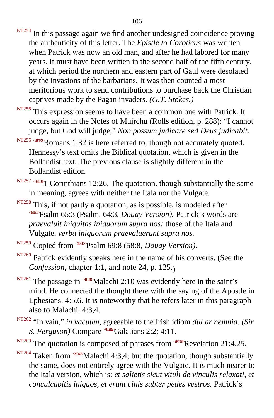- [NT254](#page--1-0) In this passage again we find another undesigned coincidence proving the authenticity of this letter. The *Epistle to Coroticus* was written when Patrick was now an old man, and after he had labored for many years. It must have been written in the second half of the fifth century, at which period the northern and eastern part of Gaul were desolated by the invasions of the barbarians. It was then counted a most meritorious work to send contributions to purchase back the Christian captives made by the Pagan invaders. *(G.T. Stokes.)*
- [NT255](#page--1-0) This expression seems to have been a common one with Patrick. It occurs again in the Notes of Muirchu (Rolls edition, p. 288): "I cannot judge, but God will judge," *Non possum judicare sed Deus judicabit.*
- [NT256](#page--1-0) <ax>Romans 1:32 is here referred to, though not accurately quoted. Hennessy's text omits the Biblical quotation, which is given in the Bollandist text. The previous clause is slightly different in the Bollandist edition.
- [NT257](#page--1-0)  $\leftarrow$ NT257  $\leftarrow$ 1 Corinthians 12:26. The quotation, though substantially the same in meaning, agrees with neither the Itala nor the Vulgate.
- [NT258](#page--1-0) This, if not partly a quotation, as is possible, is modeled after <196503>Psalm 65:3 (Psalm. 64:3, *Douay Version).* Patrick's words are *praevaluit iniquitas iniquorum supra nos;* those of the Itala and Vulgate, *verba iniquorum praevaluerunt supra nos.*
- [NT259](#page--1-0) Copied from <sup>49608</sup> Psalm 69:8 (58:8, *Douay Version*).
- [NT260](#page--1-0) Patrick evidently speaks here in the name of his converts. (See the *Confession,* chapter 1:1, and note 24, p. 125.)
- $N$ <sup>T261</sup> The passage in <sup>3920</sup>Malachi 2:10 was evidently here in the saint's mind. He connected the thought there with the saying of the Apostle in Ephesians. 4:5,6. It is noteworthy that he refers later in this paragraph also to Malachi. 4:3,4.
- [NT262](#page--1-0) "In vain," *in vacuum,* agreeable to the Irish idiom *dul ar nemnid. (Sir S. Ferguson*) Compare <sup>«KIII</sup> Galatians 2:2; 4:11.
- [NT263](#page--1-0) The quotation is composed of phrases from  $\omega$ Revelation 21:4,25.
- $N$ <sup>T264</sup> Taken from <sup>3908</sup>Malachi 4:3,4; but the quotation, though substantially the same, does not entirely agree with the Vulgate. It is much nearer to the Itala version, which is: *et salietis sicut vituli de vinculis relaxati, et conculcabitis iniquos, et erunt cinis subter pedes vestros.* Patrick's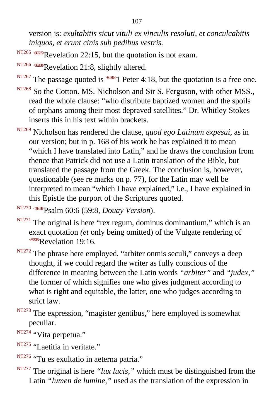version is: *exultabitis sicut vituli ex vinculis resoluti, et conculcabitis iniquos, et erunt cinis sub pedibus vestris.*

[NT265](#page--1-0)  $\textcircled{32:15}$ , but the quotation is not exam.

 $N<sub>T266</sub>$   $\lll$ Revelation 21:8, slightly altered.

- [NT267](#page--1-0) The passage quoted is  $\frac{4048}{1}$  Peter 4:18, but the quotation is a free one.
- [NT268](#page--1-0) So the Cotton. MS. Nicholson and Sir S. Ferguson, with other MSS., read the whole clause: "who distribute baptized women and the spoils of orphans among their most depraved satellites." Dr. Whitley Stokes inserts this in his text within brackets.
- [NT269](#page--1-0) Nicholson has rendered the clause, *quod ego Latinum expesui,* as in our version; but in p. 168 of his work he has explained it to mean "which I have translated into Latin," and he draws the conclusion from thence that Patrick did not use a Latin translation of the Bible, but translated the passage from the Greek. The conclusion is, however, questionable (see re marks on p. 77), for the Latin may well be interpreted to mean "which I have explained," i.e., I have explained in this Epistle the purport of the Scriptures quoted.
- [NT270](#page--1-0) <br/>  $\langle 4006P_{\mbox{S}}$  Psalm 60:6 (59:8, *Douay Version*).
- $N<sub>T271</sub>$  The original is here "rex regum, dominus dominantium," which is an exact quotation *(et* only being omitted) of the Vulgate rendering of <661916>Revelation 19:16.
- [NT272](#page--1-0) The phrase here employed, "arbiter onmis seculi," conveys a deep thought, if we could regard the writer as fully conscious of the difference in meaning between the Latin words *"arbiter"* and *"judex,"* the former of which signifies one who gives judgment according to what is right and equitable, the latter, one who judges according to strict law.
- [NT273](#page--1-0) The expression, "magister gentibus," here employed is somewhat peculiar.
- [NT274](#page--1-0) "Vita perpetua."
- [NT275](#page--1-0) "Laetitia in veritate."
- [NT276](#page--1-0) "Tu es exultatio in aeterna patria."
- [NT277](#page--1-0) The original is here *"lux lucis,"* which must be distinguished from the Latin *"lumen de lumine,"* used as the translation of the expression in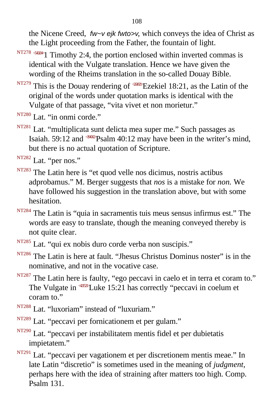the Nicene Creed, *fw~v ejk fwto>v,* which conveys the idea of Christ as the Light proceeding from the Father, the fountain of light.

- $N$ <sup>T278</sup>  $\langle$ <sup>5402</sup><sup>1</sup> Timothy 2:4, the portion enclosed within inverted commas is identical with the Vulgate translation. Hence we have given the wording of the Rheims translation in the so-called Douay Bible.
- [NT279](#page--1-0) This is the Douay rendering of  $\frac{4882}{2}$ Ezekiel 18:21, as the Latin of the original of the words under quotation marks is identical with the Vulgate of that passage, "vita vivet et non morietur."
- [NT280](#page--1-0) Lat. "in onmi corde."
- [NT281](#page--1-0) Lat. "multiplicata sunt delicta mea super me." Such passages as Isaiah. 59:12 and  $\Phi$ Psalm 40:12 may have been in the writer's mind, but there is no actual quotation of Scripture.

[NT282](#page--1-0) Lat. "per nos."

- [NT283](#page--1-0) The Latin here is "et quod velle nos dicimus, nostris actibus adprobamus." M. Berger suggests that *nos* is a mistake for *non.* We have followed his suggestion in the translation above, but with some hesitation.
- [NT284](#page--1-0) The Latin is "quia in sacramentis tuis meus sensus infirmus est." The words are easy to translate, though the meaning conveyed thereby is not quite clear.
- [NT285](#page--1-0) Lat. "qui ex nobis duro corde verba non suscipis."
- [NT286](#page--1-0) The Latin is here at fault. "Jhesus Christus Dominus noster" is in the nominative, and not in the vocative case.
- [NT287](#page--1-0) The Latin here is faulty, "ego peccavi in caelo et in terra et coram to." The Vulgate in  $\text{max}_L$  Luke 15:21 has correctly "peccavi in coelum et coram to."
- [NT288](#page--1-0) Lat. "luxoriam" instead of "luxuriam."
- [NT289](#page--1-0) Lat. "peccavi per fornicationem et per gulam."
- [NT290](#page--1-0) Lat. "peccavi per instabilitatem mentis fidel et per dubietatis impietatem."
- [NT291](#page--1-0) Lat. "peccavi per vagationem et per discretionem mentis meae." In late Latin "discretio" is sometimes used in the meaning of *judgment,* perhaps here with the idea of straining after matters too high. Comp. Psalm 131.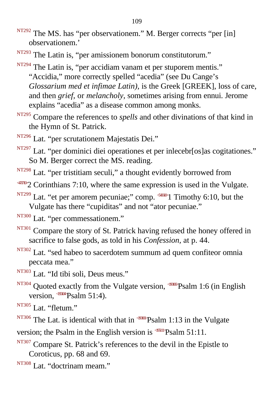- [NT292](#page--1-0) The MS. has "per observationem." M. Berger corrects "per [in] observationem.'
- [NT293](#page--1-0) The Latin is, "per amissionem bonorum constitutorum."
- [NT294](#page--1-0) The Latin is, "per accidiam vanam et per stuporem mentis." "Accidia," more correctly spelled "acedia" (see Du Cange's *Glossarium med et infimae Latin),* is the Greek [GREEK], loss of care, and then *grief,* or *melancholy,* sometimes arising from ennui. Jerome explains "acedia" as a disease common among monks.
- [NT295](#page--1-0) Compare the references to *spells* and other divinations of that kind in the Hymn of St. Patrick.
- [NT296](#page--1-0) Lat. "per scrutationem Majestatis Dei."
- [NT297](#page--1-0) Lat. "per dominici diei operationes et per inlecebr[os]as cogitationes." So M. Berger correct the MS. reading.
- $N<sup>T298</sup>$  Lat. "per tristitiam seculi," a thought evidently borrowed from
- $4002$  Corinthians 7:10, where the same expression is used in the Vulgate.
- $N$ <sup>[NT299](#page--1-0)</sup> Lat. "et per amorem pecuniae;" comp.  $\frac{3660}{1}$  Timothy 6:10, but the Vulgate has there "cupiditas" and not "ator pecuniae."
- [NT300](#page--1-0) Lat. "per commessationem."
- [NT301](#page--1-0) Compare the story of St. Patrick having refused the honey offered in sacrifice to false gods, as told in his *Confession,* at p. 44.
- [NT302](#page--1-0) Lat. "sed habeo to sacerdotem summum ad quem confiteor omnia peccata mea."
- [NT303](#page--1-0) Lat. "Id tibi soli, Deus meus."
- $N$ <sup>[NT304](#page--1-0)</sup> Quoted exactly from the Vulgate version,  $\frac{4006}{5}$ Psalm 1:6 (in English version,  $\sqrt[4504]{P}$ Salm 51:4).
- [NT305](#page--1-0) Lat. "fletum."
- $N<sup>T306</sup>$  The Lat. is identical with that in  $\sqrt{200}$ Psalm 1:13 in the Vulgate
- version; the Psalm in the English version is  $\text{LSE}$  Psalm 51:11.
- [NT307](#page--1-0) Compare St. Patrick's references to the devil in the Epistle to Coroticus, pp. 68 and 69.
- [NT308](#page--1-0) Lat. "doctrinam meam."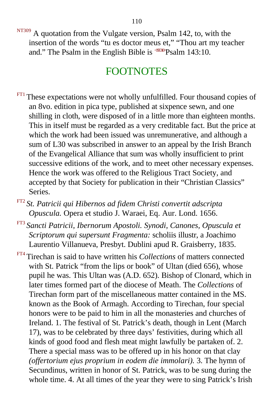[NT309](#page--1-0) A quotation from the Vulgate version, Psalm 142, to, with the insertion of the words "tu es doctor meus et," "Thou art my teacher and." The Psalm in the English Bible is  $\sqrt{180}$ Psalm 143:10.

# FOOTNOTES

- [FT1](#page-4-0) These expectations were not wholly unfulfilled. Four thousand copies of an 8vo. edition in pica type, published at sixpence sewn, and one shilling in cloth, were disposed of in a little more than eighteen months. This in itself must be regarded as a very creditable fact. But the price at which the work had been issued was unremunerative, and although a sum of L30 was subscribed in answer to an appeal by the Irish Branch of the Evangelical Alliance that sum was wholly insufficient to print successive editions of the work, and to meet other necessary expenses. Hence the work was offered to the Religious Tract Society, and accepted by that Society for publication in their "Christian Classics" Series.
- [FT2](#page--1-0) *St. Patricii qui Hibernos ad fidem Christi convertit adscripta Opuscula.* Opera et studio J. Waraei, Eq. Aur. Lond. 1656.
- [FT3](#page--1-0) *Sancti Patricii, Ibernorum Apostoli. Synodi, Canones, Opuscula et Scriptorum qui supersunt Fragmenta:* scholiis illustr, a Joachimo Laurentio Villanueva, Presbyt. Dublini apud R. Graisberry, 1835.

[FT4](#page--1-0) Tirechan is said to have written his *Collections* of matters connected with St. Patrick "from the lips or book" of Ultan (died 656), whose pupil he was. This Ultan was (A.D. 652). Bishop of Clonard, which in later times formed part of the diocese of Meath. The *Collections* of Tirechan form part of the miscellaneous matter contained in the MS. known as the Book of Armagh. According to Tirechan, four special honors were to be paid to him in all the monasteries and churches of Ireland. 1. The festival of St. Patrick's death, though in Lent (March 17), was to be celebrated by three days' festivities, during which all kinds of good food and flesh meat might lawfully be partaken of. 2. There a special mass was to be offered up in his honor on that clay *(offertorium ejus proprium in eodem die immolari).* 3. The hymn of Secundinus, written in honor of St. Patrick, was to be sung during the whole time. 4. At all times of the year they were to sing Patrick's Irish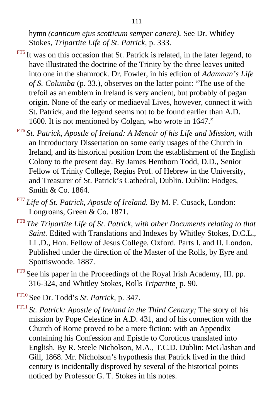hymn *(canticum ejus scotticum semper canere).* See Dr. Whitley Stokes, *Tripartite Life of St. Patrick,* p. 333.

- [FT5](#page--1-0) It was on this occasion that St. Patrick is related, in the later legend, to have illustrated the doctrine of the Trinity by the three leaves united into one in the shamrock. Dr. Fowler, in his edition of *Adamnan's Life of S. Columba* (p. 33.), observes on the latter point: "The use of the trefoil as an emblem in Ireland is very ancient, but probably of pagan origin. None of the early or mediaeval Lives, however, connect it with St. Patrick, and the legend seems not to be found earlier than A.D. 1600. It is not mentioned by Colgan, who wrote in 1647."
- [FT6](#page--1-0) *St. Patrick, Apostle of Ireland: A Menoir of his Life and Mission,* with an Introductory Dissertation on some early usages of the Church in Ireland, and its historical position from the establishment of the English Colony to the present day. By James Henthorn Todd, D.D., Senior Fellow of Trinity College, Regius Prof. of Hebrew in the University, and Treasurer of St. Patrick's Cathedral, Dublin. Dublin: Hodges, Smith & Co. 1864.
- [FT7](#page--1-0) *Life of St. Patrick, Apostle of Ireland.* By M. F. Cusack, London: Longroans, Green & Co. 1871.
- [FT8](#page--1-0) *The Tripartite Life of St. Patrick, with other Documents relating to that Saint.* Edited with Translations and Indexes by Whitley Stokes, D.C.L., LL.D., Hon. Fellow of Jesus College, Oxford. Parts I. and II. London. Published under the direction of the Master of the Rolls, by Eyre and Spottiswoode. 1887.
- [FT9](#page--1-0) See his paper in the Proceedings of the Royal Irish Academy, III. pp. 316-324, and Whitley Stokes, Rolls *Tripartite,*  p. 90.
- [FT10](#page--1-0) See Dr. Todd's *St. Patrick,* p. 347.
- [FT11](#page--1-0) *St. Patrick: Apostle of Ire/and in the Third Century;* The story of his mission by Pope Celestine in A.D. 431, and of his connection with the Church of Rome proved to be a mere fiction: with an Appendix containing his Confession and Epistle to Coroticus translated into English. By R. Steele Nicholson, M.A., T.C.D. Dublin: McGlashan and Gill, 1868. Mr. Nicholson's hypothesis that Patrick lived in the third century is incidentally disproved by several of the historical points noticed by Professor G. T. Stokes in his notes.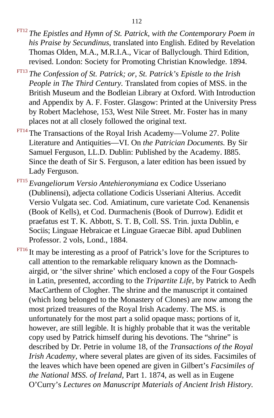[FT12](#page--1-0) *The Epistles and Hymn of St. Patrick, with the Contemporary Poem in his Praise by Secundinus,* translated into English. Edited by Revelation Thomas Olden, M.A., M.R.I.A., Vicar of Ballyclough. Third Edition, revised. London: Society for Promoting Christian Knowledge. 1894.

- [FT13](#page--1-0) *The Confession of St. Patrick; or, St. Patrick's Epistle to the Irish People in The Third Century.* Translated from copies of MSS. in the British Museum and the Bodleian Library at Oxford. With Introduction and Appendix by A. F. Foster. Glasgow: Printed at the University Press by Robert Maclehose, 153, West Nile Street. Mr. Foster has in many places not at all closely followed the original text.
- [FT14](#page--1-0) The Transactions of the Royal Irish Academy—Volume 27. Polite Literature and Antiquities—VI. On *the Patrician Documents.* By Sir Samuel Ferguson, LL.D. Dublin: Published by the Academy. I885. Since the death of Sir S. Ferguson, a later edition has been issued by Lady Ferguson.
- [FT15](#page--1-0) *Evangeliorum Versio Antehieronymiana* ex Codice Usseriano (Dublinensi), adjecta collatione Codicis Usseriani Alterius. Accedit Versio Vulgata sec. Cod. Amiatinum, cure varietate Cod. Kenanensis (Book of Kells), et Cod. Durmachenis (Book of Durrow). Edidit et praefatus est T. K. Abbott, S. T. B, Coll. SS. Trin. juxta Dublin, e Sociis; Linguae Hebraicae et Linguae Graecae Bibl. apud Dublinen Professor. 2 vols, Lond., 1884.
- [FT16](#page--1-0) It may be interesting as a proof of Patrick's love for the Scriptures to call attention to the remarkable reliquary known as the Domnachairgid, or 'the silver shrine' which enclosed a copy of the Four Gospels in Latin, presented, according to the *Tripartite Life,* by Patrick to Aedh MacCarthenn of Clogher. The shrine and the manuscript it contained (which long belonged to the Monastery of Clones) are now among the most prized treasures of the Royal Irish Academy. The MS. is unfortunately for the most part a solid opaque mass; portions of it, however, are still legible. It is highly probable that it was the veritable copy used by Patrick himself during his devotions. The "shrine" is described by Dr. Petrie in volume 18, of the *Transactions of the Royal Irish Academy,* where several plates are given of its sides. Facsimiles of the leaves which have been opened are given in Gilbert's *Facsimiles of the National MSS. of Ireland,* Part 1. 1874, as well as in Eugene O'Curry's *Lectures on Manuscript Materials of Ancient Irish History.*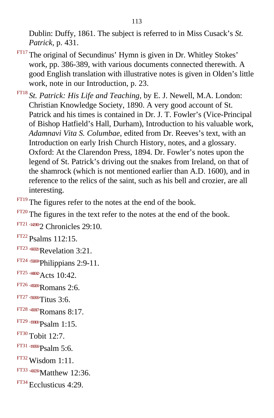Dublin: Duffy, 1861. The subject is referred to in Miss Cusack's *St. Patrick,* p. 431.

- [FT17](#page--1-0) The original of Secundinus' Hymn is given in Dr. Whitley Stokes' work, pp. 386-389, with various documents connected therewith. A good English translation with illustrative notes is given in Olden's little work, note in our Introduction, p. 23.
- [FT18](#page--1-0) *St. Patrick: His Life and Teaching,* by E. J. Newell, M.A. London: Christian Knowledge Society, 1890. A very good account of St. Patrick and his times is contained in Dr. J. T. Fowler's (Vice-Principal of Bishop Hatfield's Hall, Durham), Introduction to his valuable work, *Adamnavi Vita S. Columbae,* edited from Dr. Reeves's text, with an Introduction on early Irish Church History, notes, and a glossary. Oxford: At the Clarendon Press, 1894. Dr. Fowler's notes upon the legend of St. Patrick's driving out the snakes from Ireland, on that of the shamrock (which is not mentioned earlier than A.D. 1600), and in reference to the relics of the saint, such as his bell and crozier, are all interesting.

[FT19](#page--1-0) The figures refer to the notes at the end of the book.

[FT20](#page--1-0) The figures in the text refer to the notes at the end of the book.

[FT21](#page--1-0)  $\triangleleft$ 1990 $\degree$ 2 Chronicles 29:10.

[FT22](#page--1-0) Psalms 112:15.

[FT23](#page--1-0) **46R**evelation 3:21.

 $FT25$   $4400$  Acts 10:42.

[FT26](#page--1-0)  $\triangleleft$ TIMEROMANS 2:6.

 $F$ T $^{127}$   $\leq$   $F$  Titus 3:6.

 $FT28 \ll 4587$  $FT28 \ll 4587$ Romans 8:17.

 $FT^{29}$   $4900$ Psalm 1:15.

[FT30](#page--1-0) Tobit 12:7.

[FT31](#page--1-0) <br/>  $\langle 9006 \rangle$  Psalm 5:6.

[FT32](#page--1-0) Wisdom 1:11.

 $FT33 \triangleleft 225$  $FT33 \triangleleft 225$  Matthew 12:36.

[FT34](#page--1-0) Ecclusticus 4:29.

[FT24](#page--1-0) <5009Philippians 2:9-11.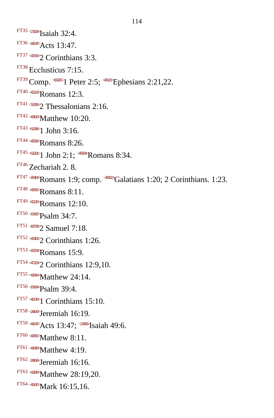[FT35](#page--1-0) <assum| Saiah 32:4. [FT36](#page--1-0) 441347 Acts 13:47. [FT37](#page--1-0) <ARB2 Corinthians 3:3. [FT38](#page--1-0) Ecclusticus 7:15.  $F^{T39}$  Comp.  $4000$  Peter 2:5;  $400$  Ephesians 2:21,22.  $FT^{40}$   $\triangleleft$  ELIBR omans 12:3.  $FT41 \ll 2$  $FT41 \ll 2$  Thessalonians 2:16.  $FT42 \triangleleft 0000$  $FT42 \triangleleft 0000$  Matthew 10:20.  $FT43 \, \text{dB}$  $FT43 \, \text{dB}$ 6 1 John 3:16. [FT44](#page--1-0) <ase Romans 8:26. [FT45](#page--1-0)  $\text{min}$  John 2:1;  $\text{max}$  Romans 8:34. [FT46](#page--1-0) Zechariah 2. 8. [FT47](#page--1-0) <600 Romans 1:9; comp. <a00 Galatians 1:20; 2 Corinthians. 1:23.  $FT48 \leftarrow$  $FT48 \leftarrow$ Romans 8:11.  $FT49 \triangleleft$  $FT49 \triangleleft$ Romans 12:10.  $F$ T50 <1947<sup>D</sup>Psalm 34:7. [FT51](#page--1-0) < $100082$  Samuel 7:18. [FT52](#page--1-0) <anne>2 Corinthians 1:26.  $FTS3 \ll$ Romans 15:9. [FT54](#page--1-0)  $\triangle$  2 Corinthians 12:9,10. [FT55](#page--1-0) <BH4 Matthew 24:14. [FT56](#page--1-0) <br/>  $\langle 4.9904 \rangle$  Psalm 39:4. [FT57](#page--1-0)  $\triangleleft$ 650<sup>2</sup>1 Corinthians 15:10. [FT58](#page--1-0) <241619>Jeremiah 16:19. [FT59](#page--1-0) <40342-Acts 13:47;  $\frac{33405}{15}$  Isaiah 49:6.  $FT60 \ll 1$  $FT60 \ll 1$ Matthew 8:11. [FT61](#page--1-0) <a0499Matthew 4:19. [FT62](#page--1-0) <241616>Jeremiah 16:16.  $FT63 \ll 28:19,20$  $FT63 \ll 28:19,20$ . [FT64](#page--1-0)  $4165$ Mark 16:15,16.

114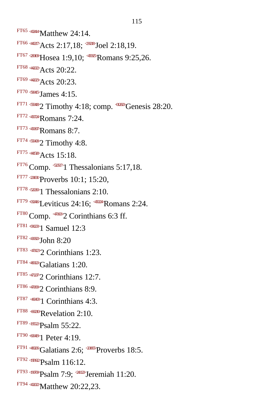- $F$ <sup>T65 < $\text{with}$  Matthew 24:14.</sup>
- [FT66](#page--1-0) 442T Acts 2:17,18; <sup>2028</sup>Joel 2:18,19.
- $F^{T67}$  2009 Hosea 1:9,10;  $F^{T67}$  Romans 9:25,26.
- [FT68](#page--1-0) 4402 Acts 20:22.
- $FT69 \triangleleft \text{R}$  $FT69 \triangleleft \text{R}$  Acts 20:23.
- $FTT0 \ll 13$  James 4:15.
- $FTT1 \ll 2$  Timothy 4:18; comp.  $\ll 28:20$ .
- $FT72 \ll$  $FT72 \ll$ Romans 7:24.
- $FT73$   $ATAD$  Romans 8:7.
- $FTT4 \ll 2$  Timothy 4:8.
- [FT75](#page--1-0) <44518 Acts 15:18.
- $FTT6$  Comp.  $\frac{\text{SUS} 1}{\text{SUS} 1}$  Thessalonians 5:17,18.
- [FT77](#page--1-0) 2000 Proverbs 10:1; 15:20,
- $FT78 \leq 1$  $FT78 \leq 1$  Thessalonians 2:10.
- $FTT9$   $4846$  Leviticus 24:16;  $4824$  Romans 2:24.
- [FT80](#page--1-0) Comp.  $\sqrt{4006}$  2 Corinthians 6:3 ff.
- **FT81**  $\omega$ <sub>223</sub> Samuel 12:3
- [FT82](#page--1-0) <430820>John 8:20
- $FT83 \triangleleft 22$  $FT83 \triangleleft 22$  Corinthians 1:23.
- [FT84](#page--1-0) <amp>Galatians 1:20.
- [FT85](#page--1-0) <471207>2 Corinthians 12:7.
- [FT86](#page--1-0) <axe>2 Corinthians 8:9.
- [FT87](#page--1-0) <600<sup>5</sup>1 Corinthians 4:3.
- [FT88](#page--1-0) **«ELO**Revelation 2:10.
- $FTS9 \triangleleft 22$ .
- [FT90](#page--1-0) <6049>1 Peter 4:19.
- $F$ <sup>FT91</sup>  $\ll$ **M20<sub>6</sub>**Galatians 2:6;  $\ll$ <sup>M85</sup>**Proverbs** 18:5.
- [FT92](#page--1-0) <BB2Psalm 116:12.
- $F^{T93}$   $\ll 1$ Psalm 7:9;  $\ll 1$ Pseremiah 11:20.
- $F<sup>T94</sup>$   $\triangleleft$  Matthew 20:22,23.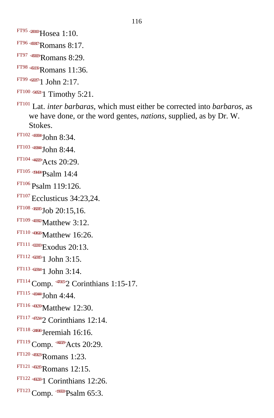- [FT95](#page--1-0) 2010 Hosea 1:10.
- $FT96$   $45872$ Romans 8:17.
- $FT97$   $\leftarrow$  Romans 8:29.
- $FT98 \lll R \text{omans} 11:36$  $FT98 \lll R \text{omans} 11:36$ .
- $FT99 \triangleleft P1$  $FT99 \triangleleft P1$  John 2:17.
- [FT100](#page--1-0)  $\frac{1}{245}$  Timothy 5:21.
- [FT101](#page--1-0) Lat. *inter barbaras,* which must either be corrected into *barbaros,* as we have done, or the word gentes, *nations,* supplied, as by Dr. W. Stokes.
- $FT102 \, 4084$  $FT102 \, 4084$  John 8:34.
- $FT103 \left( 43846 \right)$  $FT103 \left( 43846 \right)$  John 8:44.
- [FT104](#page--1-0) 4402 Acts 20:29.
- [FT105](#page--1-0)  $\triangle$ 9404 $P$ salm 14:4
- [FT106](#page--1-0) Psalm 119:126.
- [FT107](#page--1-0) Ecclusticus 34:23,24.
- $FT108 \, \text{MSE}$  $FT108 \, \text{MSE}$  Job 20:15,16.
- $FT109 \triangleleft \text{MBD}$  $FT109 \triangleleft \text{MBD}$  Matthew 3:12.
- $FTI10}$   $\triangleleft 40$  Matthew 16:26.
- [FT111](#page--1-0)  $\textcircled{2013}$  Exodus 20:13.
- $FT112 \& 15.$  $FT112 \& 15.$  John 3:15.
- $FT113 \, \text{dB}$  $FT113 \, \text{dB}$ 4844 John 3:14.
- [FT114](#page--1-0) Comp. <a Corinthians 1:15-17.
- $FT115 \leftarrow$  $FT115 \leftarrow$  John 4:44.
- [FT116](#page--1-0)  $\triangleleft$ 0230 Matthew 12:30.
- [FT117](#page--1-0)  $\triangleleft$ 7242 Corinthians 12:14.
- [FT118](#page--1-0) <241616>Jeremiah 16:16.
- $FTT119$  Comp.  $44029$ Acts 20:29.
- [FT120](#page--1-0) <450123>Romans 1:23.
- [FT121](#page--1-0) <<u>525</u> Romans 12:15.
- $FT122 \ll 1$  $FT122 \ll 1$  Corinthians 12:26.
- [FT123](#page--1-0) Comp.  $\sqrt{9608}$ Psalm 65:3.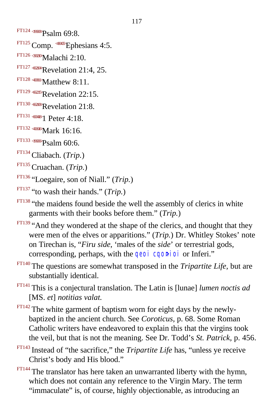[FT124](#page--1-0) <19908 Psalm 69:8.

- $FT125$  Comp.  $4945$  Ephesians 4:5.
- [FT126](#page--1-0) <3020 Malachi 2:10.
- $FTI27 \lll Revelation 21:4, 25.$
- $FT128$   $40815$  Matthew 8:11.
- [FT129](#page--1-0) **EDIS** Revelation 22:15.
- [FT130](#page--1-0) **6208** Revelation 21:8.
- [FT131](#page--1-0) <a048>1 Peter 4:18.
- $F$ T132 4166 Mark 16:16.
- [FT133](#page--1-0) <19606 Psalm 60:6.
- [FT134](#page--1-0) Cliabach. (*Trip.*)
- [FT135](#page--1-0) Cruachan. (*Trip.*)
- [FT136](#page--1-0) "Loegaire, son of Niall." (*Trip.*)
- [FT137](#page--1-0) "to wash their hands." (*Trip.*)
- [FT138](#page--1-0) "the maidens found beside the well the assembly of clerics in white garments with their books before them." (*Trip.*)
- [FT139](#page--1-0) "And they wondered at the shape of the clerics, and thought that they were men of the elves or apparitions." (*Trip.*) Dr. Whitley Stokes' note on Tirechan is, "*Firu side*, 'males of the *side*' or terrestrial gods, corresponding, perhaps, with the **qeoi** cqonioi or Inferi."
- [FT140](#page--1-0) The questions are somewhat transposed in the *Tripartite Life,* but are substantially identical.
- [FT141](#page--1-0) This is a conjectural translation. The Latin is [lunae] *lumen noctis ad* [MS. *et*] *notitias valat.*
- [FT142](#page--1-0) The white garment of baptism worn for eight days by the newlybaptized in the ancient church. See *Coroticus,* p. 68. Some Roman Catholic writers have endeavored to explain this that the virgins took the veil, but that is not the meaning. See Dr. Todd's *St. Patrick,* p. 456.
- [FT143](#page--1-0) Instead of "the sacrifice," the *Tripartite Life* has, "unless ye receive Christ's body and His blood."
- [FT144](#page--1-1) The translator has here taken an unwarranted liberty with the hymn, which does not contain any reference to the Virgin Mary. The term "immaculate" is, of course, highly objectionable, as introducing an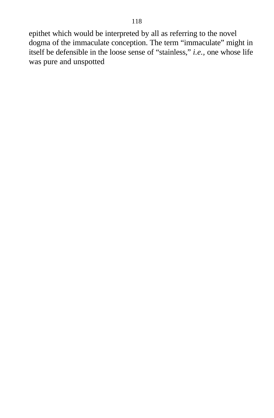epithet which would be interpreted by all as referring to the novel dogma of the immaculate conception. The term "immaculate" might in itself be defensible in the loose sense of "stainless," *i.e.,* one whose life was pure and unspotted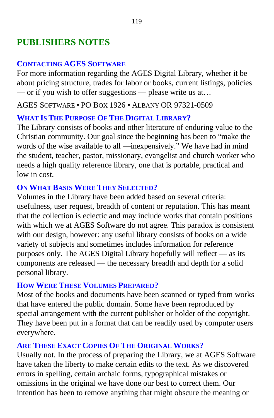# **PUBLISHERS NOTES**

#### **CONTACTING AGES SOFTWARE**

For more information regarding the AGES Digital Library, whether it be about pricing structure, trades for labor or books, current listings, policies — or if you wish to offer suggestions — please write us at…

AGES SOFTWARE • PO BOX 1926 • ALBANY OR 97321-0509

#### **WHAT IS THE PURPOSE OF THE DIGITAL LIBRARY?**

The Library consists of books and other literature of enduring value to the Christian community. Our goal since the beginning has been to "make the words of the wise available to all —inexpensively." We have had in mind the student, teacher, pastor, missionary, evangelist and church worker who needs a high quality reference library, one that is portable, practical and low in cost.

### **ON WHAT BASIS WERE THEY SELECTED?**

Volumes in the Library have been added based on several criteria: usefulness, user request, breadth of content or reputation. This has meant that the collection is eclectic and may include works that contain positions with which we at AGES Software do not agree. This paradox is consistent with our design, however: any useful library consists of books on a wide variety of subjects and sometimes includes information for reference purposes only. The AGES Digital Library hopefully will reflect — as its components are released — the necessary breadth and depth for a solid personal library.

### **HOW WERE THESE VOLUMES PREPARED?**

Most of the books and documents have been scanned or typed from works that have entered the public domain. Some have been reproduced by special arrangement with the current publisher or holder of the copyright. They have been put in a format that can be readily used by computer users everywhere.

## **ARE THESE EXACT COPIES OF THE ORIGINAL WORKS?**

Usually not. In the process of preparing the Library, we at AGES Software have taken the liberty to make certain edits to the text. As we discovered errors in spelling, certain archaic forms, typographical mistakes or omissions in the original we have done our best to correct them. Our intention has been to remove anything that might obscure the meaning or